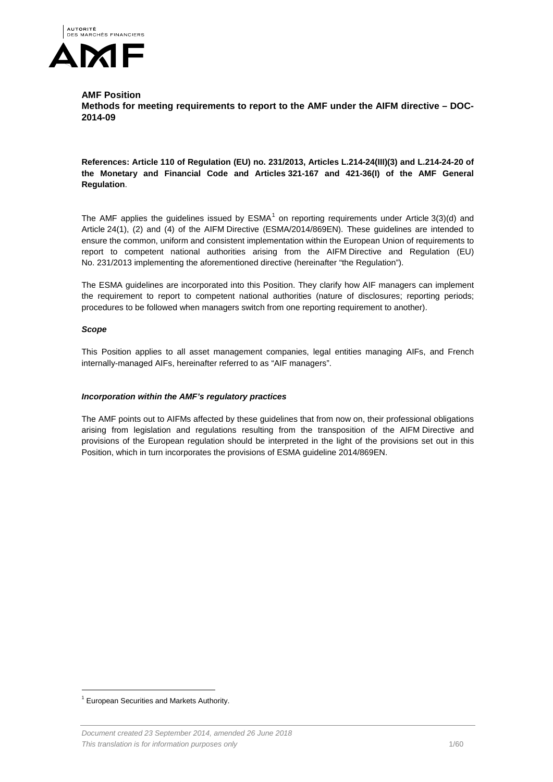

#### **AMF Position**

**Methods for meeting requirements to report to the AMF under the AIFM directive – DOC-2014-09**

#### **References: Article 110 of Regulation (EU) no. 231/2013, Articles L.214-24(III)(3) and L.214-24-20 of the Monetary and Financial Code and Articles 321-167 and 421-36(I) of the AMF General Regulation**.

The AMF applies the guidelines issued by  $ESMA<sup>1</sup>$  $ESMA<sup>1</sup>$  $ESMA<sup>1</sup>$  on reporting requirements under Article 3(3)(d) and Article 24(1), (2) and (4) of the AIFM Directive (ESMA/2014/869EN). These guidelines are intended to ensure the common, uniform and consistent implementation within the European Union of requirements to report to competent national authorities arising from the AIFM Directive and Regulation (EU) No. 231/2013 implementing the aforementioned directive (hereinafter "the Regulation").

The ESMA guidelines are incorporated into this Position. They clarify how AIF managers can implement the requirement to report to competent national authorities (nature of disclosures; reporting periods; procedures to be followed when managers switch from one reporting requirement to another).

#### *Scope*

This Position applies to all asset management companies, legal entities managing AIFs, and French internally-managed AIFs, hereinafter referred to as "AIF managers".

#### *Incorporation within the AMF's regulatory practices*

The AMF points out to AIFMs affected by these guidelines that from now on, their professional obligations arising from legislation and regulations resulting from the transposition of the AIFM Directive and provisions of the European regulation should be interpreted in the light of the provisions set out in this Position, which in turn incorporates the provisions of ESMA guideline 2014/869EN.

<span id="page-0-0"></span> <sup>1</sup> European Securities and Markets Authority.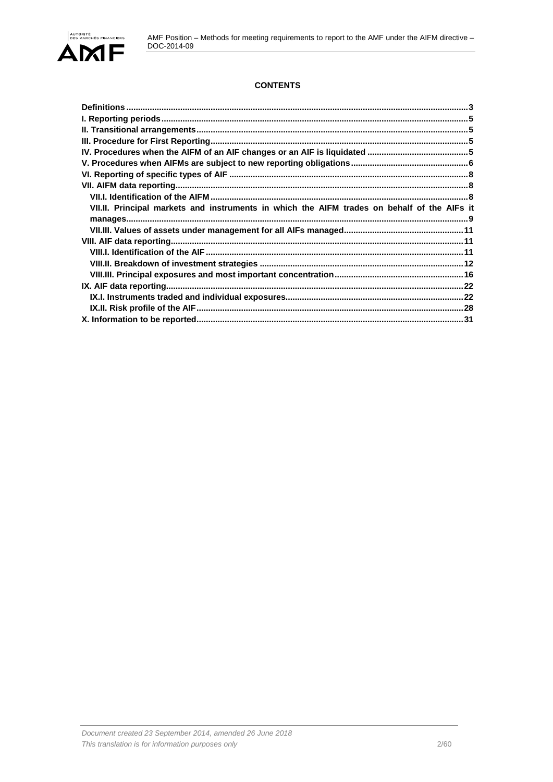### **CONTENTS**

| $\textbf{Definitions} \textcolor{red}{\textbf{1:}\textbf{1:}\textbf{1:}\textbf{1:}\textbf{1:}\textbf{1:}\textbf{1:}\textbf{1:}\textbf{1:}\textbf{1:}\textbf{1:}\textbf{1:}\textbf{1:}\textbf{1:}\textbf{1:}\textbf{1:}\textbf{1:}\textbf{1:}\textbf{1:}\textbf{1:}\textbf{1:}\textbf{1:}\textbf{1:}\textbf{1:}\textbf{1:}\textbf{1:}\textbf{1:}\textbf{1:}\textbf{1:}\textbf{1:}\textbf{1:}\textbf{1:}\textbf{1:}\textbf{1:}\textbf{$ |  |
|---------------------------------------------------------------------------------------------------------------------------------------------------------------------------------------------------------------------------------------------------------------------------------------------------------------------------------------------------------------------------------------------------------------------------------------|--|
|                                                                                                                                                                                                                                                                                                                                                                                                                                       |  |
|                                                                                                                                                                                                                                                                                                                                                                                                                                       |  |
|                                                                                                                                                                                                                                                                                                                                                                                                                                       |  |
|                                                                                                                                                                                                                                                                                                                                                                                                                                       |  |
|                                                                                                                                                                                                                                                                                                                                                                                                                                       |  |
|                                                                                                                                                                                                                                                                                                                                                                                                                                       |  |
|                                                                                                                                                                                                                                                                                                                                                                                                                                       |  |
|                                                                                                                                                                                                                                                                                                                                                                                                                                       |  |
| VII.II. Principal markets and instruments in which the AIFM trades on behalf of the AIFs it                                                                                                                                                                                                                                                                                                                                           |  |
|                                                                                                                                                                                                                                                                                                                                                                                                                                       |  |
|                                                                                                                                                                                                                                                                                                                                                                                                                                       |  |
|                                                                                                                                                                                                                                                                                                                                                                                                                                       |  |
|                                                                                                                                                                                                                                                                                                                                                                                                                                       |  |
|                                                                                                                                                                                                                                                                                                                                                                                                                                       |  |
|                                                                                                                                                                                                                                                                                                                                                                                                                                       |  |
|                                                                                                                                                                                                                                                                                                                                                                                                                                       |  |
|                                                                                                                                                                                                                                                                                                                                                                                                                                       |  |
|                                                                                                                                                                                                                                                                                                                                                                                                                                       |  |
|                                                                                                                                                                                                                                                                                                                                                                                                                                       |  |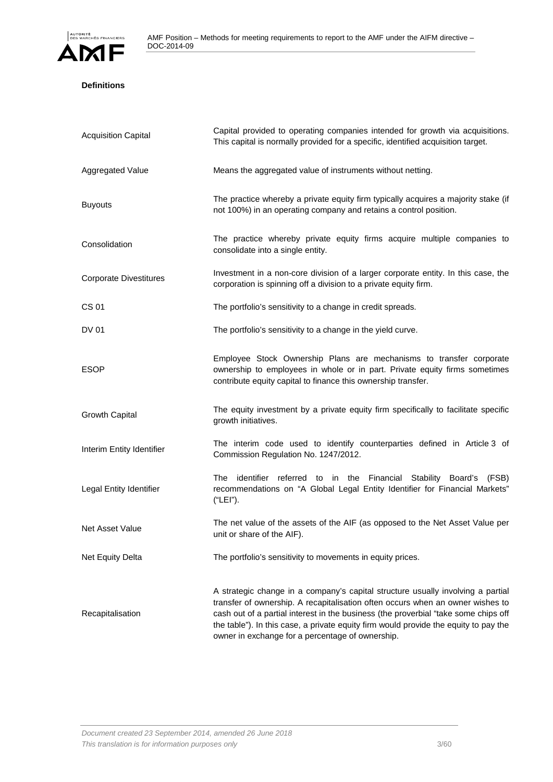

### <span id="page-2-0"></span>**Definitions**

| <b>Acquisition Capital</b>    | Capital provided to operating companies intended for growth via acquisitions.<br>This capital is normally provided for a specific, identified acquisition target.                                                                                                                                                                                                                                    |
|-------------------------------|------------------------------------------------------------------------------------------------------------------------------------------------------------------------------------------------------------------------------------------------------------------------------------------------------------------------------------------------------------------------------------------------------|
| Aggregated Value              | Means the aggregated value of instruments without netting.                                                                                                                                                                                                                                                                                                                                           |
| <b>Buyouts</b>                | The practice whereby a private equity firm typically acquires a majority stake (if<br>not 100%) in an operating company and retains a control position.                                                                                                                                                                                                                                              |
| Consolidation                 | The practice whereby private equity firms acquire multiple companies to<br>consolidate into a single entity.                                                                                                                                                                                                                                                                                         |
| <b>Corporate Divestitures</b> | Investment in a non-core division of a larger corporate entity. In this case, the<br>corporation is spinning off a division to a private equity firm.                                                                                                                                                                                                                                                |
| <b>CS 01</b>                  | The portfolio's sensitivity to a change in credit spreads.                                                                                                                                                                                                                                                                                                                                           |
| <b>DV 01</b>                  | The portfolio's sensitivity to a change in the yield curve.                                                                                                                                                                                                                                                                                                                                          |
| <b>ESOP</b>                   | Employee Stock Ownership Plans are mechanisms to transfer corporate<br>ownership to employees in whole or in part. Private equity firms sometimes<br>contribute equity capital to finance this ownership transfer.                                                                                                                                                                                   |
| Growth Capital                | The equity investment by a private equity firm specifically to facilitate specific<br>growth initiatives.                                                                                                                                                                                                                                                                                            |
| Interim Entity Identifier     | The interim code used to identify counterparties defined in Article 3 of<br>Commission Regulation No. 1247/2012.                                                                                                                                                                                                                                                                                     |
| Legal Entity Identifier       | The<br>identifier referred to in the Financial Stability Board's<br>(FSB)<br>recommendations on "A Global Legal Entity Identifier for Financial Markets"<br>("LEI").                                                                                                                                                                                                                                 |
| Net Asset Value               | The net value of the assets of the AIF (as opposed to the Net Asset Value per<br>unit or share of the AIF).                                                                                                                                                                                                                                                                                          |
| Net Equity Delta              | The portfolio's sensitivity to movements in equity prices.                                                                                                                                                                                                                                                                                                                                           |
| Recapitalisation              | A strategic change in a company's capital structure usually involving a partial<br>transfer of ownership. A recapitalisation often occurs when an owner wishes to<br>cash out of a partial interest in the business (the proverbial "take some chips off<br>the table"). In this case, a private equity firm would provide the equity to pay the<br>owner in exchange for a percentage of ownership. |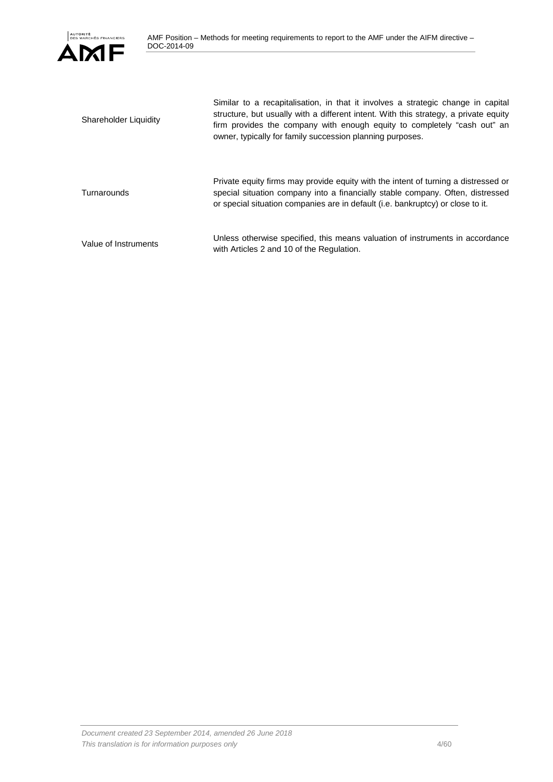

| Shareholder Liquidity | Similar to a recapitalisation, in that it involves a strategic change in capital<br>structure, but usually with a different intent. With this strategy, a private equity<br>firm provides the company with enough equity to completely "cash out" an<br>owner, typically for family succession planning purposes. |
|-----------------------|-------------------------------------------------------------------------------------------------------------------------------------------------------------------------------------------------------------------------------------------------------------------------------------------------------------------|
| Turnarounds           | Private equity firms may provide equity with the intent of turning a distressed or<br>special situation company into a financially stable company. Often, distressed<br>or special situation companies are in default (i.e. bankruptcy) or close to it.                                                           |
| Value of Instruments  | Unless otherwise specified, this means valuation of instruments in accordance<br>with Articles 2 and 10 of the Regulation.                                                                                                                                                                                        |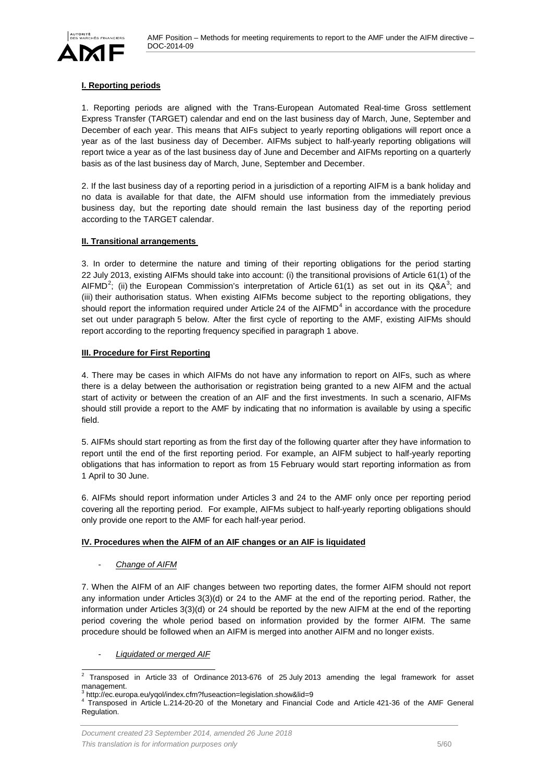

#### <span id="page-4-0"></span>**I. Reporting periods**

1. Reporting periods are aligned with the Trans-European Automated Real-time Gross settlement Express Transfer (TARGET) calendar and end on the last business day of March, June, September and December of each year. This means that AIFs subject to yearly reporting obligations will report once a year as of the last business day of December. AIFMs subject to half-yearly reporting obligations will report twice a year as of the last business day of June and December and AIFMs reporting on a quarterly basis as of the last business day of March, June, September and December.

2. If the last business day of a reporting period in a jurisdiction of a reporting AIFM is a bank holiday and no data is available for that date, the AIFM should use information from the immediately previous business day, but the reporting date should remain the last business day of the reporting period according to the TARGET calendar.

#### <span id="page-4-1"></span>**II. Transitional arrangements**

3. In order to determine the nature and timing of their reporting obligations for the period starting 22 July 2013, existing AIFMs should take into account: (i) the transitional provisions of Article 61(1) of the AIFMD<sup>[2](#page-4-4)</sup>; (ii) the European Commission's interpretation of Article 61(1) as set out in its Q&A<sup>[3](#page-4-5)</sup>; and (iii) their authorisation status. When existing AIFMs become subject to the reporting obligations, they should report the information required under Article 2[4](#page-4-6) of the  $AIFMD<sup>4</sup>$  in accordance with the procedure set out under paragraph 5 below. After the first cycle of reporting to the AMF, existing AIFMs should report according to the reporting frequency specified in paragraph 1 above.

#### <span id="page-4-2"></span>**III. Procedure for First Reporting**

4. There may be cases in which AIFMs do not have any information to report on AIFs, such as where there is a delay between the authorisation or registration being granted to a new AIFM and the actual start of activity or between the creation of an AIF and the first investments. In such a scenario, AIFMs should still provide a report to the AMF by indicating that no information is available by using a specific field.

5. AIFMs should start reporting as from the first day of the following quarter after they have information to report until the end of the first reporting period. For example, an AIFM subject to half-yearly reporting obligations that has information to report as from 15 February would start reporting information as from 1 April to 30 June.

6. AIFMs should report information under Articles 3 and 24 to the AMF only once per reporting period covering all the reporting period. For example, AIFMs subject to half-yearly reporting obligations should only provide one report to the AMF for each half-year period.

#### <span id="page-4-3"></span>**IV. Procedures when the AIFM of an AIF changes or an AIF is liquidated**

#### - *Change of AIFM*

7. When the AIFM of an AIF changes between two reporting dates, the former AIFM should not report any information under Articles 3(3)(d) or 24 to the AMF at the end of the reporting period. Rather, the information under Articles 3(3)(d) or 24 should be reported by the new AIFM at the end of the reporting period covering the whole period based on information provided by the former AIFM. The same procedure should be followed when an AIFM is merged into another AIFM and no longer exists.

- *Liquidated or merged AIF*

<span id="page-4-4"></span> $2$  Transposed in Article 33 of Ordinance 2013-676 of 25 July 2013 amending the legal framework for asset management.

<sup>3</sup> http://ec.europa.eu/yqol/index.cfm?fuseaction=legislation.show&lid=9

<span id="page-4-6"></span><span id="page-4-5"></span><sup>4</sup> Transposed in Article L.214-20-20 of the Monetary and Financial Code and Article 421-36 of the AMF General Regulation.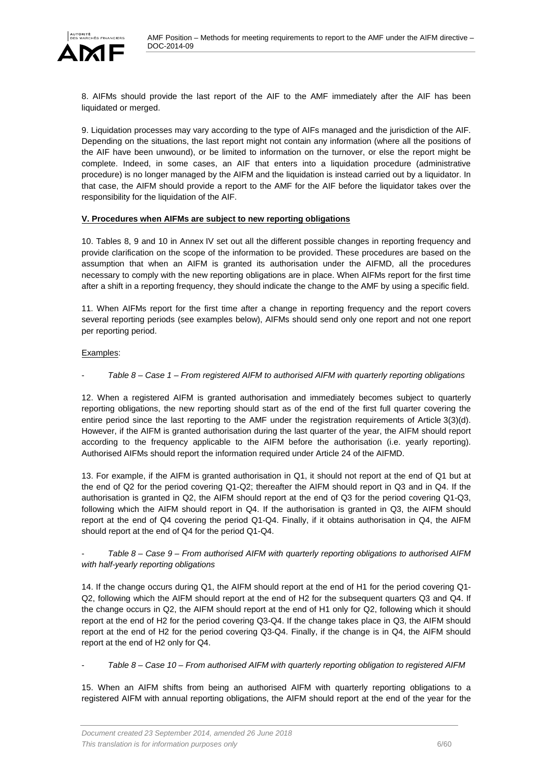

8. AIFMs should provide the last report of the AIF to the AMF immediately after the AIF has been liquidated or merged.

9. Liquidation processes may vary according to the type of AIFs managed and the jurisdiction of the AIF. Depending on the situations, the last report might not contain any information (where all the positions of the AIF have been unwound), or be limited to information on the turnover, or else the report might be complete. Indeed, in some cases, an AIF that enters into a liquidation procedure (administrative procedure) is no longer managed by the AIFM and the liquidation is instead carried out by a liquidator. In that case, the AIFM should provide a report to the AMF for the AIF before the liquidator takes over the responsibility for the liquidation of the AIF.

#### <span id="page-5-0"></span>**V. Procedures when AIFMs are subject to new reporting obligations**

10. Tables 8, 9 and 10 in Annex IV set out all the different possible changes in reporting frequency and provide clarification on the scope of the information to be provided. These procedures are based on the assumption that when an AIFM is granted its authorisation under the AIFMD, all the procedures necessary to comply with the new reporting obligations are in place. When AIFMs report for the first time after a shift in a reporting frequency, they should indicate the change to the AMF by using a specific field.

11. When AIFMs report for the first time after a change in reporting frequency and the report covers several reporting periods (see examples below), AIFMs should send only one report and not one report per reporting period.

#### Examples:

### - *Table 8 – Case 1 – From registered AIFM to authorised AIFM with quarterly reporting obligations*

12. When a registered AIFM is granted authorisation and immediately becomes subject to quarterly reporting obligations, the new reporting should start as of the end of the first full quarter covering the entire period since the last reporting to the AMF under the registration requirements of Article 3(3)(d). However, if the AIFM is granted authorisation during the last quarter of the year, the AIFM should report according to the frequency applicable to the AIFM before the authorisation (i.e. yearly reporting). Authorised AIFMs should report the information required under Article 24 of the AIFMD.

13. For example, if the AIFM is granted authorisation in Q1, it should not report at the end of Q1 but at the end of Q2 for the period covering Q1-Q2; thereafter the AIFM should report in Q3 and in Q4. If the authorisation is granted in Q2, the AIFM should report at the end of Q3 for the period covering Q1-Q3, following which the AIFM should report in Q4. If the authorisation is granted in Q3, the AIFM should report at the end of Q4 covering the period Q1-Q4. Finally, if it obtains authorisation in Q4, the AIFM should report at the end of Q4 for the period Q1-Q4.

#### - *Table 8 – Case 9 – From authorised AIFM with quarterly reporting obligations to authorised AIFM with half-yearly reporting obligations*

14. If the change occurs during Q1, the AIFM should report at the end of H1 for the period covering Q1- Q2, following which the AIFM should report at the end of H2 for the subsequent quarters Q3 and Q4. If the change occurs in Q2, the AIFM should report at the end of H1 only for Q2, following which it should report at the end of H2 for the period covering Q3-Q4. If the change takes place in Q3, the AIFM should report at the end of H2 for the period covering Q3-Q4. Finally, if the change is in Q4, the AIFM should report at the end of H2 only for Q4.

- *Table 8 – Case 10 – From authorised AIFM with quarterly reporting obligation to registered AIFM*

15. When an AIFM shifts from being an authorised AIFM with quarterly reporting obligations to a registered AIFM with annual reporting obligations, the AIFM should report at the end of the year for the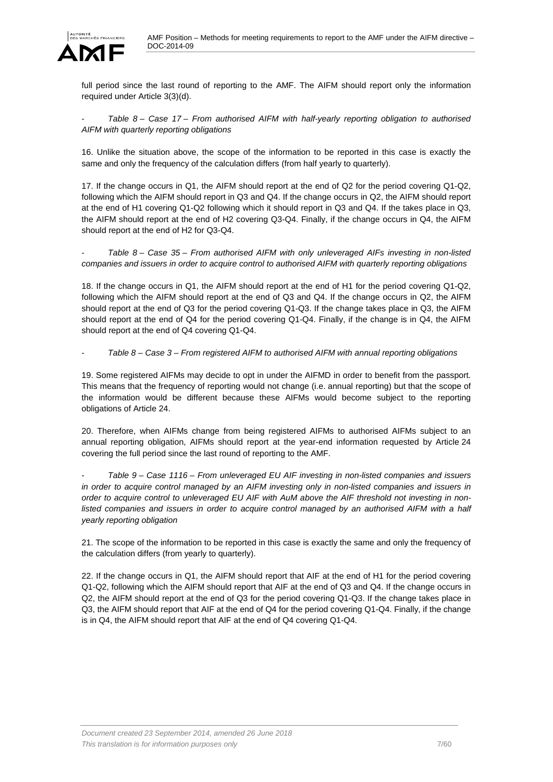

full period since the last round of reporting to the AMF. The AIFM should report only the information required under Article 3(3)(d).

- *Table 8 – Case 17 – From authorised AIFM with half-yearly reporting obligation to authorised AIFM with quarterly reporting obligations*

16. Unlike the situation above, the scope of the information to be reported in this case is exactly the same and only the frequency of the calculation differs (from half yearly to quarterly).

17. If the change occurs in Q1, the AIFM should report at the end of Q2 for the period covering Q1-Q2, following which the AIFM should report in Q3 and Q4. If the change occurs in Q2, the AIFM should report at the end of H1 covering Q1-Q2 following which it should report in Q3 and Q4. If the takes place in Q3, the AIFM should report at the end of H2 covering Q3-Q4. Finally, if the change occurs in Q4, the AIFM should report at the end of H2 for Q3-Q4.

- *Table 8 – Case 35 – From authorised AIFM with only unleveraged AIFs investing in non-listed companies and issuers in order to acquire control to authorised AIFM with quarterly reporting obligations*

18. If the change occurs in Q1, the AIFM should report at the end of H1 for the period covering Q1-Q2, following which the AIFM should report at the end of Q3 and Q4. If the change occurs in Q2, the AIFM should report at the end of Q3 for the period covering Q1-Q3. If the change takes place in Q3, the AIFM should report at the end of Q4 for the period covering Q1-Q4. Finally, if the change is in Q4, the AIFM should report at the end of Q4 covering Q1-Q4.

- *Table 8 – Case 3 – From registered AIFM to authorised AIFM with annual reporting obligations*

19. Some registered AIFMs may decide to opt in under the AIFMD in order to benefit from the passport. This means that the frequency of reporting would not change (i.e. annual reporting) but that the scope of the information would be different because these AIFMs would become subject to the reporting obligations of Article 24.

20. Therefore, when AIFMs change from being registered AIFMs to authorised AIFMs subject to an annual reporting obligation, AIFMs should report at the year-end information requested by Article 24 covering the full period since the last round of reporting to the AMF.

- *Table 9 – Case 1116 – From unleveraged EU AIF investing in non-listed companies and issuers in order to acquire control managed by an AIFM investing only in non-listed companies and issuers in order to acquire control to unleveraged EU AIF with AuM above the AIF threshold not investing in non*listed companies and issuers in order to acquire control managed by an authorised AIFM with a half *yearly reporting obligation*

21. The scope of the information to be reported in this case is exactly the same and only the frequency of the calculation differs (from yearly to quarterly).

22. If the change occurs in Q1, the AIFM should report that AIF at the end of H1 for the period covering Q1-Q2, following which the AIFM should report that AIF at the end of Q3 and Q4. If the change occurs in Q2, the AIFM should report at the end of Q3 for the period covering Q1-Q3. If the change takes place in Q3, the AIFM should report that AIF at the end of Q4 for the period covering Q1-Q4. Finally, if the change is in Q4, the AIFM should report that AIF at the end of Q4 covering Q1-Q4.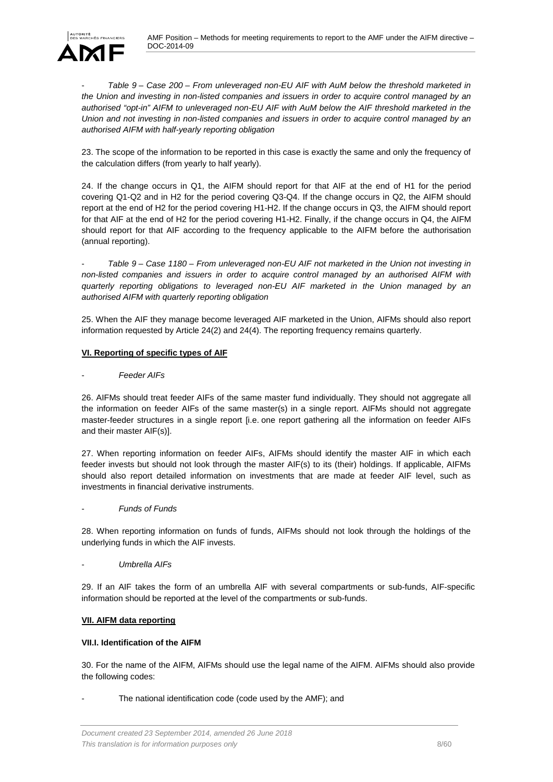

- *Table 9 – Case 200 – From unleveraged non-EU AIF with AuM below the threshold marketed in the Union and investing in non-listed companies and issuers in order to acquire control managed by an authorised "opt-in" AIFM to unleveraged non-EU AIF with AuM below the AIF threshold marketed in the Union and not investing in non-listed companies and issuers in order to acquire control managed by an authorised AIFM with half-yearly reporting obligation*

23. The scope of the information to be reported in this case is exactly the same and only the frequency of the calculation differs (from yearly to half yearly).

24. If the change occurs in Q1, the AIFM should report for that AIF at the end of H1 for the period covering Q1-Q2 and in H2 for the period covering Q3-Q4. If the change occurs in Q2, the AIFM should report at the end of H2 for the period covering H1-H2. If the change occurs in Q3, the AIFM should report for that AIF at the end of H2 for the period covering H1-H2. Finally, if the change occurs in Q4, the AIFM should report for that AIF according to the frequency applicable to the AIFM before the authorisation (annual reporting).

- *Table 9 – Case 1180 – From unleveraged non-EU AIF not marketed in the Union not investing in non-listed companies and issuers in order to acquire control managed by an authorised AIFM with quarterly reporting obligations to leveraged non-EU AIF marketed in the Union managed by an authorised AIFM with quarterly reporting obligation*

25. When the AIF they manage become leveraged AIF marketed in the Union, AIFMs should also report information requested by Article 24(2) and 24(4). The reporting frequency remains quarterly.

### <span id="page-7-0"></span>**VI. Reporting of specific types of AIF**

#### **Feeder AIFs**

26. AIFMs should treat feeder AIFs of the same master fund individually. They should not aggregate all the information on feeder AIFs of the same master(s) in a single report. AIFMs should not aggregate master-feeder structures in a single report [i.e. one report gathering all the information on feeder AIFs and their master AIF(s)].

27. When reporting information on feeder AIFs, AIFMs should identify the master AIF in which each feeder invests but should not look through the master AIF(s) to its (their) holdings. If applicable, AIFMs should also report detailed information on investments that are made at feeder AIF level, such as investments in financial derivative instruments.

- *Funds of Funds*

28. When reporting information on funds of funds, AIFMs should not look through the holdings of the underlying funds in which the AIF invests.

- *Umbrella AIFs*

29. If an AIF takes the form of an umbrella AIF with several compartments or sub-funds, AIF-specific information should be reported at the level of the compartments or sub-funds.

#### <span id="page-7-1"></span>**VII. AIFM data reporting**

#### <span id="page-7-2"></span>**VII.I. Identification of the AIFM**

30. For the name of the AIFM, AIFMs should use the legal name of the AIFM. AIFMs should also provide the following codes:

The national identification code (code used by the AMF); and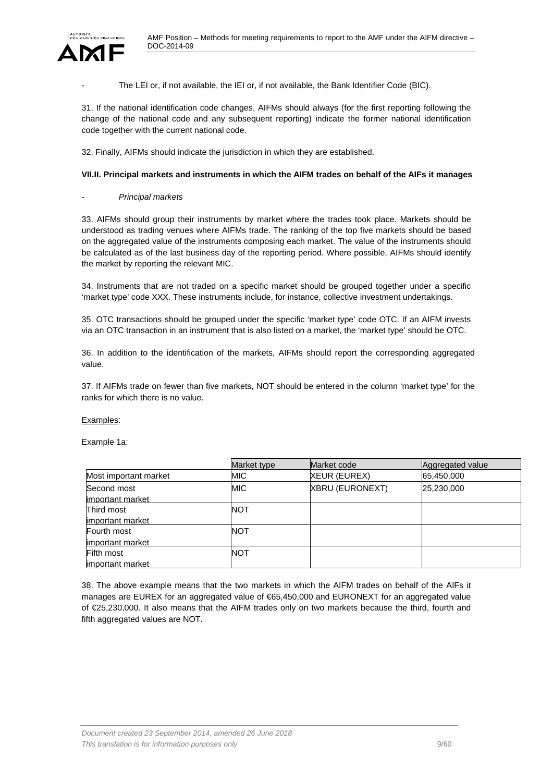

The LEI or, if not available, the IEI or, if not available, the Bank Identifier Code (BIC).

31. If the national identification code changes, AIFMs should always (for the first reporting following the change of the national code and any subsequent reporting) indicate the former national identification code together with the current national code.

32. Finally, AIFMs should indicate the jurisdiction in which they are established.

#### <span id="page-8-0"></span>**VII.II. Principal markets and instruments in which the AIFM trades on behalf of the AIFs it manages**

#### - *Principal markets*

33. AIFMs should group their instruments by market where the trades took place. Markets should be understood as trading venues where AIFMs trade. The ranking of the top five markets should be based on the aggregated value of the instruments composing each market. The value of the instruments should be calculated as of the last business day of the reporting period. Where possible, AIFMs should identify the market by reporting the relevant MIC.

34. Instruments that are not traded on a specific market should be grouped together under a specific 'market type' code XXX. These instruments include, for instance, collective investment undertakings.

35. OTC transactions should be grouped under the specific 'market type' code OTC. If an AIFM invests via an OTC transaction in an instrument that is also listed on a market, the 'market type' should be OTC.

36. In addition to the identification of the markets, AIFMs should report the corresponding aggregated value.

37. If AIFMs trade on fewer than five markets, NOT should be entered in the column 'market type' for the ranks for which there is no value.

#### Examples:

Example 1a:

|                       | Market type | Market code            | Aggregated value |
|-----------------------|-------------|------------------------|------------------|
| Most important market | MIC         | <b>XEUR (EUREX)</b>    | 65,450,000       |
| Second most           | <b>MIC</b>  | <b>XBRU (EURONEXT)</b> | 25,230,000       |
| limportant market     |             |                        |                  |
| Third most            | NOT         |                        |                  |
| limportant market     |             |                        |                  |
| Fourth most           | NOT         |                        |                  |
| important market      |             |                        |                  |
| <b>Fifth most</b>     | NOT         |                        |                  |
| limportant market     |             |                        |                  |

38. The above example means that the two markets in which the AIFM trades on behalf of the AIFs it manages are EUREX for an aggregated value of €65,450,000 and EURONEXT for an aggregated value of €25,230,000. It also means that the AIFM trades only on two markets because the third, fourth and fifth aggregated values are NOT.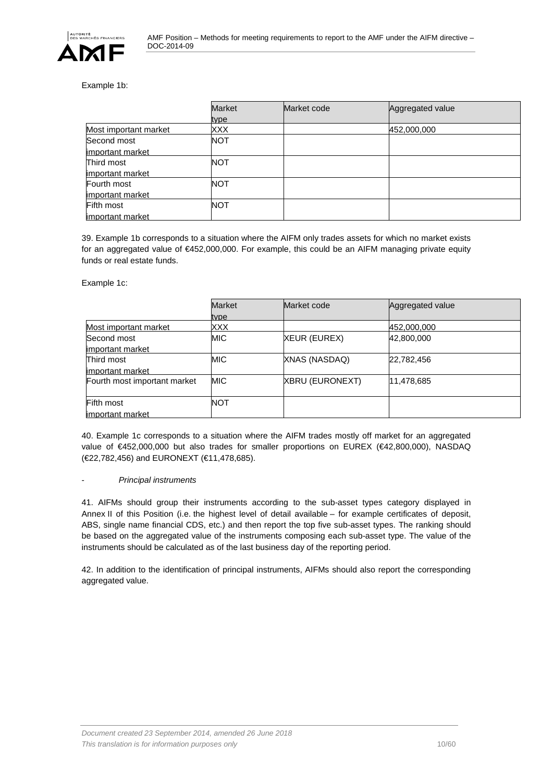

#### Example 1b:

|                       | <b>Market</b> | Market code | Aggregated value |
|-----------------------|---------------|-------------|------------------|
|                       | type          |             |                  |
| Most important market | XXX           |             | 452,000,000      |
| Second most           | <b>NOT</b>    |             |                  |
| important market      |               |             |                  |
| Third most            | NOT           |             |                  |
| important market      |               |             |                  |
| Fourth most           | NOT           |             |                  |
| important market      |               |             |                  |
| <b>Fifth most</b>     | NOT           |             |                  |
| important market      |               |             |                  |

39. Example 1b corresponds to a situation where the AIFM only trades assets for which no market exists for an aggregated value of €452,000,000. For example, this could be an AIFM managing private equity funds or real estate funds.

Example 1c:

|                              | <b>Market</b> | Market code     | Aggregated value |
|------------------------------|---------------|-----------------|------------------|
|                              | type          |                 |                  |
| Most important market        | <b>XXX</b>    |                 | 452,000,000      |
| Second most                  | <b>MIC</b>    | XEUR (EUREX)    | 42,800,000       |
| important market             |               |                 |                  |
| Third most                   | <b>MIC</b>    | XNAS (NASDAQ)   | 22,782,456       |
| important market             |               |                 |                  |
| Fourth most important market | <b>MIC</b>    | XBRU (EURONEXT) | 11,478,685       |
|                              |               |                 |                  |
| <b>Fifth most</b>            | <b>NOT</b>    |                 |                  |
| important market             |               |                 |                  |

40. Example 1c corresponds to a situation where the AIFM trades mostly off market for an aggregated value of €452,000,000 but also trades for smaller proportions on EUREX (€42,800,000), NASDAQ (€22,782,456) and EURONEXT (€11,478,685).

#### - *Principal instruments*

41. AIFMs should group their instruments according to the sub-asset types category displayed in Annex II of this Position (i.e. the highest level of detail available – for example certificates of deposit, ABS, single name financial CDS, etc.) and then report the top five sub-asset types. The ranking should be based on the aggregated value of the instruments composing each sub-asset type. The value of the instruments should be calculated as of the last business day of the reporting period.

42. In addition to the identification of principal instruments, AIFMs should also report the corresponding aggregated value.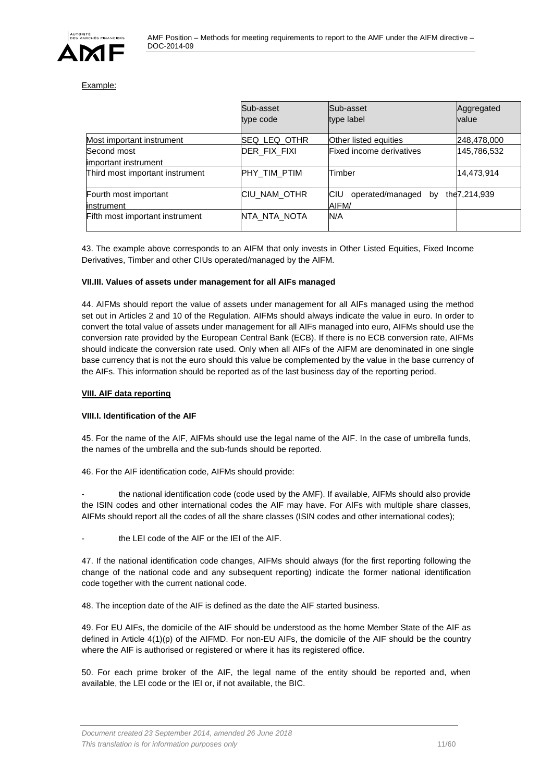

#### Example:

|                                      | Sub-asset<br>type code | Sub-asset<br>type label                     | Aggregated<br>value |
|--------------------------------------|------------------------|---------------------------------------------|---------------------|
| Most important instrument            | ISEQ LEQ OTHR          | Other listed equities                       | 248,478,000         |
| Second most<br>limportant instrument | DER FIX FIXI           | Fixed income derivatives                    | 145,786,532         |
| Third most important instrument      | PHY TIM PTIM           | Timber                                      | 14,473,914          |
| Fourth most important<br>linstrument | ICIU NAM OTHR          | operated/managed by<br><b>ICIU</b><br>AIFM/ | the 7, 214, 939     |
| Fifth most important instrument      | NTA NTA NOTA           | N/A                                         |                     |

43. The example above corresponds to an AIFM that only invests in Other Listed Equities, Fixed Income Derivatives, Timber and other CIUs operated/managed by the AIFM.

#### <span id="page-10-0"></span>**VII.III. Values of assets under management for all AIFs managed**

44. AIFMs should report the value of assets under management for all AIFs managed using the method set out in Articles 2 and 10 of the Regulation. AIFMs should always indicate the value in euro. In order to convert the total value of assets under management for all AIFs managed into euro, AIFMs should use the conversion rate provided by the European Central Bank (ECB). If there is no ECB conversion rate, AIFMs should indicate the conversion rate used. Only when all AIFs of the AIFM are denominated in one single base currency that is not the euro should this value be complemented by the value in the base currency of the AIFs. This information should be reported as of the last business day of the reporting period.

#### <span id="page-10-1"></span>**VIII. AIF data reporting**

#### <span id="page-10-2"></span>**VIII.I. Identification of the AIF**

45. For the name of the AIF, AIFMs should use the legal name of the AIF. In the case of umbrella funds, the names of the umbrella and the sub-funds should be reported.

46. For the AIF identification code, AIFMs should provide:

the national identification code (code used by the AMF). If available, AIFMs should also provide the ISIN codes and other international codes the AIF may have. For AIFs with multiple share classes, AIFMs should report all the codes of all the share classes (ISIN codes and other international codes);

the LEI code of the AIF or the IEI of the AIF.

47. If the national identification code changes, AIFMs should always (for the first reporting following the change of the national code and any subsequent reporting) indicate the former national identification code together with the current national code.

48. The inception date of the AIF is defined as the date the AIF started business.

49. For EU AIFs, the domicile of the AIF should be understood as the home Member State of the AIF as defined in Article 4(1)(p) of the AIFMD. For non-EU AIFs, the domicile of the AIF should be the country where the AIF is authorised or registered or where it has its registered office.

50. For each prime broker of the AIF, the legal name of the entity should be reported and, when available, the LEI code or the IEI or, if not available, the BIC.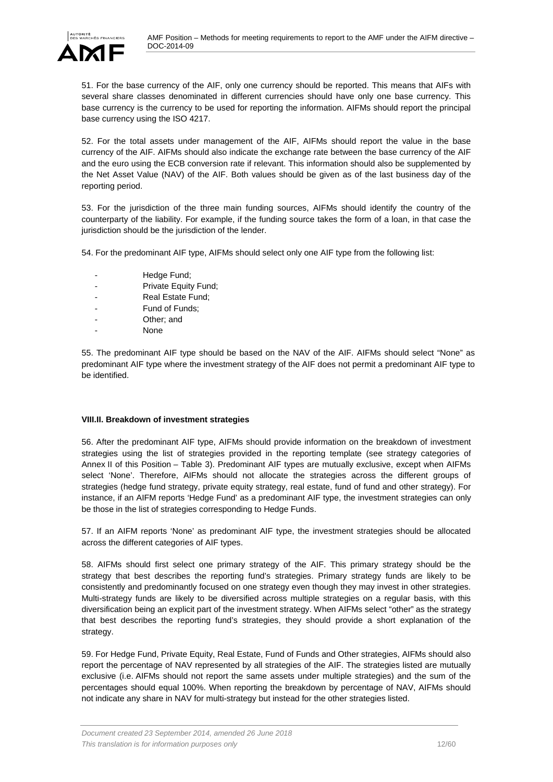

51. For the base currency of the AIF, only one currency should be reported. This means that AIFs with several share classes denominated in different currencies should have only one base currency. This base currency is the currency to be used for reporting the information. AIFMs should report the principal base currency using the ISO 4217.

52. For the total assets under management of the AIF, AIFMs should report the value in the base currency of the AIF. AIFMs should also indicate the exchange rate between the base currency of the AIF and the euro using the ECB conversion rate if relevant. This information should also be supplemented by the Net Asset Value (NAV) of the AIF. Both values should be given as of the last business day of the reporting period.

53. For the jurisdiction of the three main funding sources, AIFMs should identify the country of the counterparty of the liability. For example, if the funding source takes the form of a loan, in that case the jurisdiction should be the jurisdiction of the lender.

54. For the predominant AIF type, AIFMs should select only one AIF type from the following list:

- Hedge Fund;
- Private Equity Fund;
- Real Estate Fund;
- Fund of Funds;
- Other; and
- None

55. The predominant AIF type should be based on the NAV of the AIF. AIFMs should select "None" as predominant AIF type where the investment strategy of the AIF does not permit a predominant AIF type to be identified.

#### <span id="page-11-0"></span>**VIII.II. Breakdown of investment strategies**

56. After the predominant AIF type, AIFMs should provide information on the breakdown of investment strategies using the list of strategies provided in the reporting template (see strategy categories of Annex II of this Position – Table 3). Predominant AIF types are mutually exclusive, except when AIFMs select 'None'. Therefore, AIFMs should not allocate the strategies across the different groups of strategies (hedge fund strategy, private equity strategy, real estate, fund of fund and other strategy). For instance, if an AIFM reports 'Hedge Fund' as a predominant AIF type, the investment strategies can only be those in the list of strategies corresponding to Hedge Funds.

57. If an AIFM reports 'None' as predominant AIF type, the investment strategies should be allocated across the different categories of AIF types.

58. AIFMs should first select one primary strategy of the AIF. This primary strategy should be the strategy that best describes the reporting fund's strategies. Primary strategy funds are likely to be consistently and predominantly focused on one strategy even though they may invest in other strategies. Multi-strategy funds are likely to be diversified across multiple strategies on a regular basis, with this diversification being an explicit part of the investment strategy. When AIFMs select "other" as the strategy that best describes the reporting fund's strategies, they should provide a short explanation of the strategy.

59. For Hedge Fund, Private Equity, Real Estate, Fund of Funds and Other strategies, AIFMs should also report the percentage of NAV represented by all strategies of the AIF. The strategies listed are mutually exclusive (i.e. AIFMs should not report the same assets under multiple strategies) and the sum of the percentages should equal 100%. When reporting the breakdown by percentage of NAV, AIFMs should not indicate any share in NAV for multi-strategy but instead for the other strategies listed.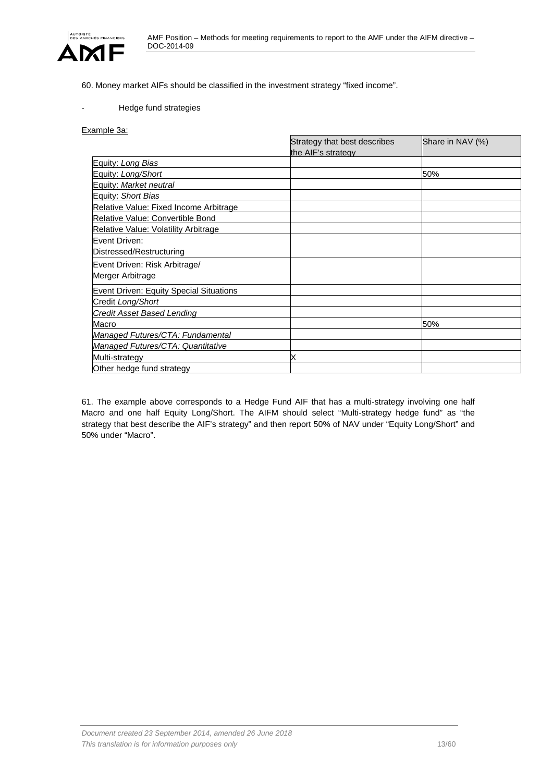

60. Money market AIFs should be classified in the investment strategy "fixed income".

#### Hedge fund strategies

#### Example 3a:

|                                         | Strategy that best describes | Share in NAV (%) |
|-----------------------------------------|------------------------------|------------------|
|                                         | the AIF's strategy           |                  |
| Equity: Long Bias                       |                              |                  |
| Equity: Long/Short                      |                              | 50%              |
| Equity: Market neutral                  |                              |                  |
| Equity: Short Bias                      |                              |                  |
| Relative Value: Fixed Income Arbitrage  |                              |                  |
| Relative Value: Convertible Bond        |                              |                  |
| Relative Value: Volatility Arbitrage    |                              |                  |
| Event Driven:                           |                              |                  |
| Distressed/Restructuring                |                              |                  |
| Event Driven: Risk Arbitrage/           |                              |                  |
| Merger Arbitrage                        |                              |                  |
| Event Driven: Equity Special Situations |                              |                  |
| Credit Long/Short                       |                              |                  |
| <b>Credit Asset Based Lending</b>       |                              |                  |
| Macro                                   |                              | 50%              |
| Managed Futures/CTA: Fundamental        |                              |                  |
| Managed Futures/CTA: Quantitative       |                              |                  |
| Multi-strategy                          |                              |                  |
| Other hedge fund strategy               |                              |                  |

61. The example above corresponds to a Hedge Fund AIF that has a multi-strategy involving one half Macro and one half Equity Long/Short. The AIFM should select "Multi-strategy hedge fund" as "the strategy that best describe the AIF's strategy" and then report 50% of NAV under "Equity Long/Short" and 50% under "Macro".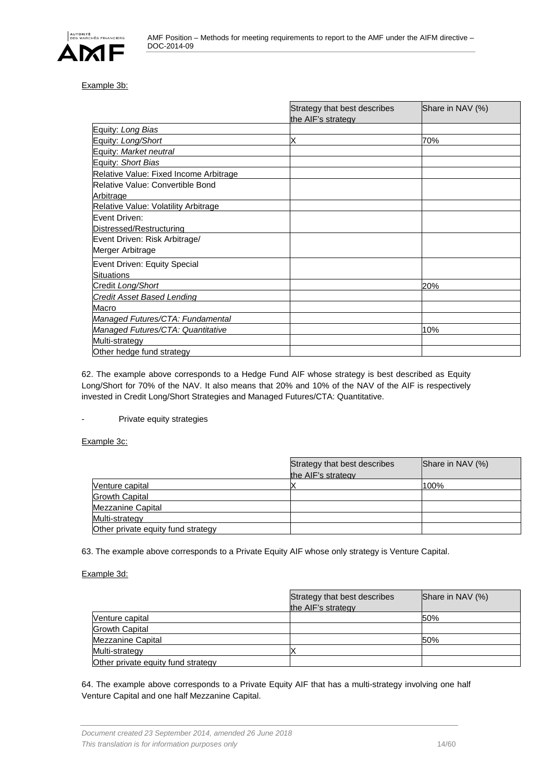

#### Example 3b:

|                                        | Strategy that best describes | Share in NAV (%) |
|----------------------------------------|------------------------------|------------------|
|                                        | the AIF's strategy           |                  |
| Equity: Long Bias                      |                              |                  |
| Equity: Long/Short                     |                              | 70%              |
| Equity: Market neutral                 |                              |                  |
| Equity: Short Bias                     |                              |                  |
| Relative Value: Fixed Income Arbitrage |                              |                  |
| Relative Value: Convertible Bond       |                              |                  |
| Arbitrage                              |                              |                  |
| Relative Value: Volatility Arbitrage   |                              |                  |
| Event Driven:                          |                              |                  |
| Distressed/Restructuring               |                              |                  |
| Event Driven: Risk Arbitrage/          |                              |                  |
| Merger Arbitrage                       |                              |                  |
| Event Driven: Equity Special           |                              |                  |
| <b>Situations</b>                      |                              |                  |
| Credit Long/Short                      |                              | 20%              |
| Credit Asset Based Lending             |                              |                  |
| Macro                                  |                              |                  |
| Managed Futures/CTA: Fundamental       |                              |                  |
| Managed Futures/CTA: Quantitative      |                              | 10%              |
| Multi-strategy                         |                              |                  |
| Other hedge fund strategy              |                              |                  |

62. The example above corresponds to a Hedge Fund AIF whose strategy is best described as Equity Long/Short for 70% of the NAV. It also means that 20% and 10% of the NAV of the AIF is respectively invested in Credit Long/Short Strategies and Managed Futures/CTA: Quantitative.

#### Private equity strategies

#### Example 3c:

|                                    | Strategy that best describes<br>the AIF's strategy | Share in NAV (%) |
|------------------------------------|----------------------------------------------------|------------------|
| Venture capital                    |                                                    | 100%             |
| <b>Growth Capital</b>              |                                                    |                  |
| Mezzanine Capital                  |                                                    |                  |
| Multi-strategy                     |                                                    |                  |
| Other private equity fund strategy |                                                    |                  |

63. The example above corresponds to a Private Equity AIF whose only strategy is Venture Capital.

#### Example 3d:

|                                    | Strategy that best describes | Share in NAV (%) |
|------------------------------------|------------------------------|------------------|
|                                    | the AIF's strategy           |                  |
| Venture capital                    |                              | 50%              |
| <b>Growth Capital</b>              |                              |                  |
| Mezzanine Capital                  |                              | 50%              |
| Multi-strategy                     |                              |                  |
| Other private equity fund strategy |                              |                  |

64. The example above corresponds to a Private Equity AIF that has a multi-strategy involving one half Venture Capital and one half Mezzanine Capital.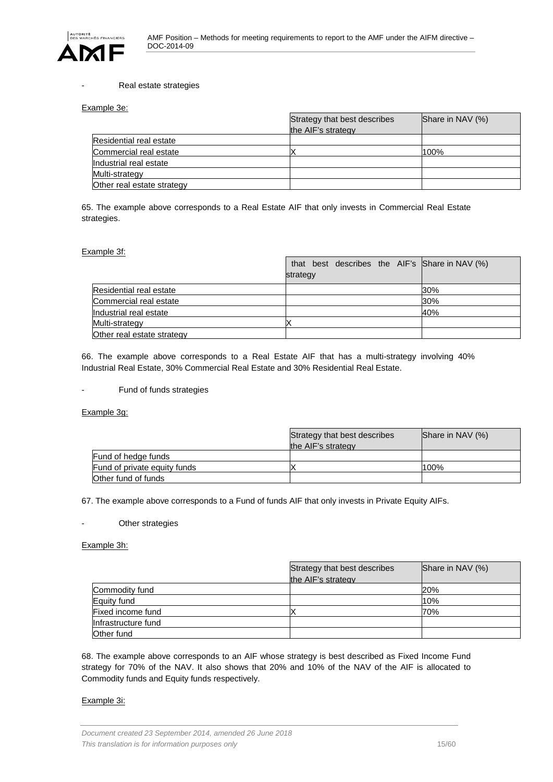

#### Real estate strategies

#### Example 3e:

|                            | Strategy that best describes<br>the AIF's strategy | Share in NAV (%) |
|----------------------------|----------------------------------------------------|------------------|
| Residential real estate    |                                                    |                  |
| Commercial real estate     |                                                    | 100%             |
| Industrial real estate     |                                                    |                  |
| Multi-strategy             |                                                    |                  |
| Other real estate strategy |                                                    |                  |

65. The example above corresponds to a Real Estate AIF that only invests in Commercial Real Estate strategies.

#### Example 3f:

|                            | that best describes the AIF's Share in NAV (%)<br>strategy |     |
|----------------------------|------------------------------------------------------------|-----|
|                            |                                                            |     |
| Residential real estate    |                                                            | 30% |
| Commercial real estate     |                                                            | 30% |
| Industrial real estate     |                                                            | 40% |
| Multi-strategy             |                                                            |     |
| Other real estate strategy |                                                            |     |

66. The example above corresponds to a Real Estate AIF that has a multi-strategy involving 40% Industrial Real Estate, 30% Commercial Real Estate and 30% Residential Real Estate.

#### - Fund of funds strategies

Example 3g:

|                              | Strategy that best describes | Share in NAV (%) |
|------------------------------|------------------------------|------------------|
|                              | the AIF's strategy           |                  |
| <b>Fund of hedge funds</b>   |                              |                  |
| Fund of private equity funds |                              | 100%             |
| Other fund of funds          |                              |                  |

67. The example above corresponds to a Fund of funds AIF that only invests in Private Equity AIFs.

#### Other strategies

#### Example 3h:

|                     | Strategy that best describes<br>the AIF's strategy | Share in NAV (%) |
|---------------------|----------------------------------------------------|------------------|
| Commodity fund      |                                                    | 20%              |
| Equity fund         |                                                    | 10%              |
| Fixed income fund   |                                                    | 70%              |
| Infrastructure fund |                                                    |                  |
| Other fund          |                                                    |                  |

68. The example above corresponds to an AIF whose strategy is best described as Fixed Income Fund strategy for 70% of the NAV. It also shows that 20% and 10% of the NAV of the AIF is allocated to Commodity funds and Equity funds respectively.

#### Example 3i: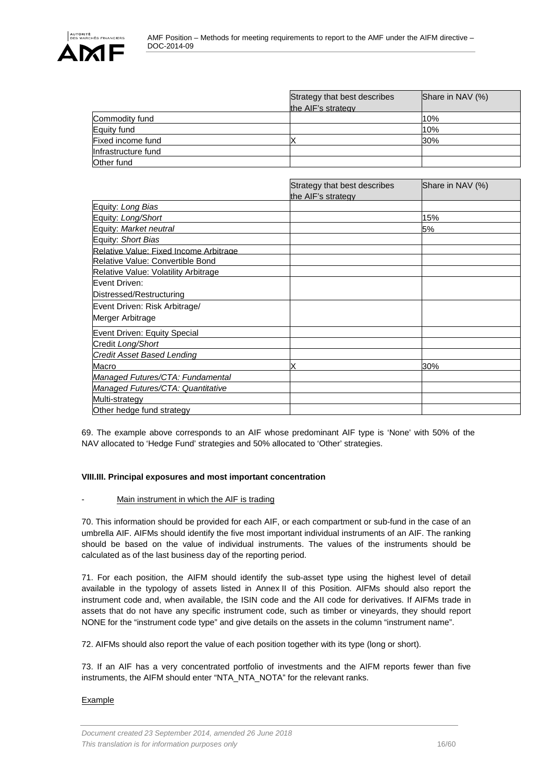

|                     | Strategy that best describes<br>the AIF's strategy | Share in NAV (%) |
|---------------------|----------------------------------------------------|------------------|
| Commodity fund      |                                                    | 10%              |
| Equity fund         |                                                    | 10%              |
| Fixed income fund   |                                                    | 30%              |
| Infrastructure fund |                                                    |                  |
| Other fund          |                                                    |                  |

|                                        | Strategy that best describes<br>the AIF's strategy | Share in NAV (%) |
|----------------------------------------|----------------------------------------------------|------------------|
| Equity: Long Bias                      |                                                    |                  |
| Equity: Long/Short                     |                                                    | 15%              |
| Equity: Market neutral                 |                                                    | 5%               |
| Equity: Short Bias                     |                                                    |                  |
| Relative Value: Fixed Income Arbitrage |                                                    |                  |
| Relative Value: Convertible Bond       |                                                    |                  |
| Relative Value: Volatility Arbitrage   |                                                    |                  |
| Event Driven:                          |                                                    |                  |
| Distressed/Restructuring               |                                                    |                  |
| Event Driven: Risk Arbitrage/          |                                                    |                  |
| Merger Arbitrage                       |                                                    |                  |
| Event Driven: Equity Special           |                                                    |                  |
| Credit Long/Short                      |                                                    |                  |
| <b>Credit Asset Based Lending</b>      |                                                    |                  |
| Macro                                  |                                                    | 30%              |
| Managed Futures/CTA: Fundamental       |                                                    |                  |
| Managed Futures/CTA: Quantitative      |                                                    |                  |
| Multi-strategy                         |                                                    |                  |
| Other hedge fund strategy              |                                                    |                  |

69. The example above corresponds to an AIF whose predominant AIF type is 'None' with 50% of the NAV allocated to 'Hedge Fund' strategies and 50% allocated to 'Other' strategies.

#### <span id="page-15-0"></span>**VIII.III. Principal exposures and most important concentration**

#### Main instrument in which the AIF is trading

70. This information should be provided for each AIF, or each compartment or sub-fund in the case of an umbrella AIF. AIFMs should identify the five most important individual instruments of an AIF. The ranking should be based on the value of individual instruments. The values of the instruments should be calculated as of the last business day of the reporting period.

71. For each position, the AIFM should identify the sub-asset type using the highest level of detail available in the typology of assets listed in Annex II of this Position. AIFMs should also report the instrument code and, when available, the ISIN code and the AII code for derivatives. If AIFMs trade in assets that do not have any specific instrument code, such as timber or vineyards, they should report NONE for the "instrument code type" and give details on the assets in the column "instrument name".

72. AIFMs should also report the value of each position together with its type (long or short).

73. If an AIF has a very concentrated portfolio of investments and the AIFM reports fewer than five instruments, the AIFM should enter "NTA\_NTA\_NOTA" for the relevant ranks.

#### Example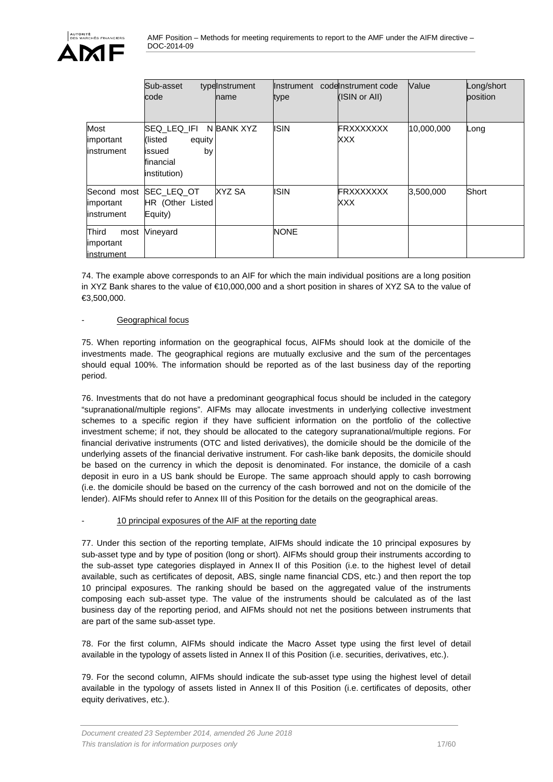|                                                | Sub-asset<br>code                                                              | typelnstrument<br><b>name</b> | Ilnstrument<br>type | codelnstrument code<br>(ISIN or All) | Value      | Long/short<br>position |
|------------------------------------------------|--------------------------------------------------------------------------------|-------------------------------|---------------------|--------------------------------------|------------|------------------------|
| Most<br>important<br><b>linstrument</b>        | SEQ LEQ IFI<br>(listed)<br>equity<br>by<br>issued<br>financial<br>institution) | N BANK XYZ                    | <b>ISIN</b>         | <b>FRXXXXXXX</b><br>XXX              | 10,000,000 | Long                   |
| Second most<br>important<br><b>linstrument</b> | <b>SEC LEQ OT</b><br>HR (Other Listed<br>Equity)                               | XYZ SA                        | <b>ISIN</b>         | FRXXXXXXX<br>XXX                     | 3,500,000  | Short                  |
| Third<br>most<br>important<br>instrument       | Vineyard                                                                       |                               | <b>NONE</b>         |                                      |            |                        |

74. The example above corresponds to an AIF for which the main individual positions are a long position in XYZ Bank shares to the value of €10,000,000 and a short position in shares of XYZ SA to the value of €3,500,000.

#### Geographical focus

75. When reporting information on the geographical focus, AIFMs should look at the domicile of the investments made. The geographical regions are mutually exclusive and the sum of the percentages should equal 100%. The information should be reported as of the last business day of the reporting period.

76. Investments that do not have a predominant geographical focus should be included in the category "supranational/multiple regions". AIFMs may allocate investments in underlying collective investment schemes to a specific region if they have sufficient information on the portfolio of the collective investment scheme; if not, they should be allocated to the category supranational/multiple regions. For financial derivative instruments (OTC and listed derivatives), the domicile should be the domicile of the underlying assets of the financial derivative instrument. For cash-like bank deposits, the domicile should be based on the currency in which the deposit is denominated. For instance, the domicile of a cash deposit in euro in a US bank should be Europe. The same approach should apply to cash borrowing (i.e. the domicile should be based on the currency of the cash borrowed and not on the domicile of the lender). AIFMs should refer to Annex III of this Position for the details on the geographical areas.

#### 10 principal exposures of the AIF at the reporting date

77. Under this section of the reporting template, AIFMs should indicate the 10 principal exposures by sub-asset type and by type of position (long or short). AIFMs should group their instruments according to the sub-asset type categories displayed in Annex II of this Position (i.e. to the highest level of detail available, such as certificates of deposit, ABS, single name financial CDS, etc.) and then report the top 10 principal exposures. The ranking should be based on the aggregated value of the instruments composing each sub-asset type. The value of the instruments should be calculated as of the last business day of the reporting period, and AIFMs should not net the positions between instruments that are part of the same sub-asset type.

78. For the first column, AIFMs should indicate the Macro Asset type using the first level of detail available in the typology of assets listed in Annex II of this Position (i.e. securities, derivatives, etc.).

79. For the second column, AIFMs should indicate the sub-asset type using the highest level of detail available in the typology of assets listed in Annex II of this Position (i.e. certificates of deposits, other equity derivatives, etc.).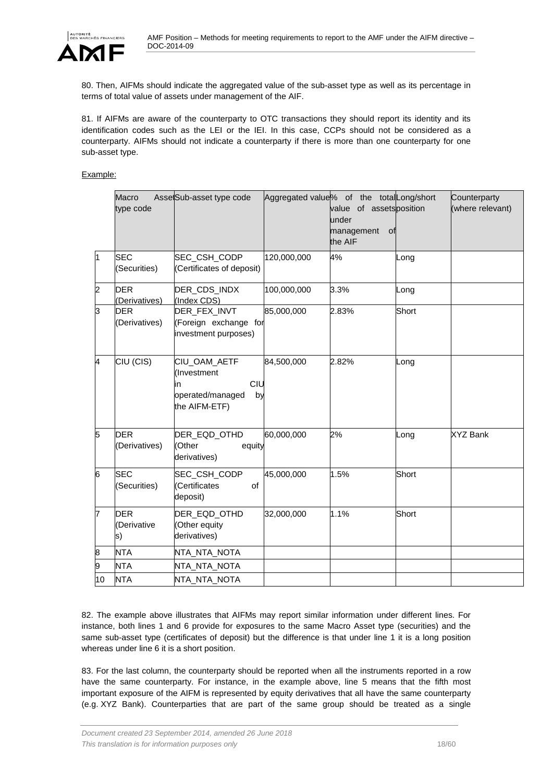

80. Then, AIFMs should indicate the aggregated value of the sub-asset type as well as its percentage in terms of total value of assets under management of the AIF.

81. If AIFMs are aware of the counterparty to OTC transactions they should report its identity and its identification codes such as the LEI or the IEI. In this case, CCPs should not be considered as a counterparty. AIFMs should not indicate a counterparty if there is more than one counterparty for one sub-asset type.

Example:

|    | Macro<br>type code              | AssetSub-asset type code                                                            | Aggregated value% of the total Long/short | value of assets position<br>under<br>management<br>of<br>the AIF |       | Counterparty<br>(where relevant) |
|----|---------------------------------|-------------------------------------------------------------------------------------|-------------------------------------------|------------------------------------------------------------------|-------|----------------------------------|
| l1 | <b>SEC</b><br>(Securities)      | SEC_CSH_CODP<br>(Certificates of deposit)                                           | 120,000,000                               | 4%                                                               | Long  |                                  |
| 2  | <b>DER</b><br>(Derivatives)     | DER_CDS_INDX<br>(Index CDS)                                                         | 100,000,000                               | 3.3%                                                             | Long  |                                  |
| 3  | <b>DER</b><br>(Derivatives)     | DER_FEX_INVT<br>(Foreign exchange for<br>investment purposes)                       | 85,000,000                                | 2.83%                                                            | Short |                                  |
| 4  | CIU (CIS)                       | CIU_OAM_AETF<br>(Investment<br>CIU<br>in<br>operated/managed<br>by<br>the AIFM-ETF) | 84,500,000                                | 2.82%                                                            | Long  |                                  |
| 5  | <b>DER</b><br>(Derivatives)     | DER_EQD_OTHD<br>(Other<br>equity<br>derivatives)                                    | 60,000,000                                | 2%                                                               | Long  | <b>XYZ Bank</b>                  |
| 6  | <b>SEC</b><br>(Securities)      | SEC_CSH_CODP<br>(Certificates<br>of<br>deposit)                                     | 45,000,000                                | 1.5%                                                             | Short |                                  |
| 17 | <b>DER</b><br>(Derivative<br>s) | DER_EQD_OTHD<br>(Other equity<br>derivatives)                                       | 32,000,000                                | 1.1%                                                             | Short |                                  |
| 8  | <b>NTA</b>                      | NTA_NTA_NOTA                                                                        |                                           |                                                                  |       |                                  |
| 9  | <b>NTA</b>                      | NTA_NTA_NOTA                                                                        |                                           |                                                                  |       |                                  |
| 10 | <b>NTA</b>                      | NTA_NTA_NOTA                                                                        |                                           |                                                                  |       |                                  |

82. The example above illustrates that AIFMs may report similar information under different lines. For instance, both lines 1 and 6 provide for exposures to the same Macro Asset type (securities) and the same sub-asset type (certificates of deposit) but the difference is that under line 1 it is a long position whereas under line 6 it is a short position.

83. For the last column, the counterparty should be reported when all the instruments reported in a row have the same counterparty. For instance, in the example above, line 5 means that the fifth most important exposure of the AIFM is represented by equity derivatives that all have the same counterparty (e.g. XYZ Bank). Counterparties that are part of the same group should be treated as a single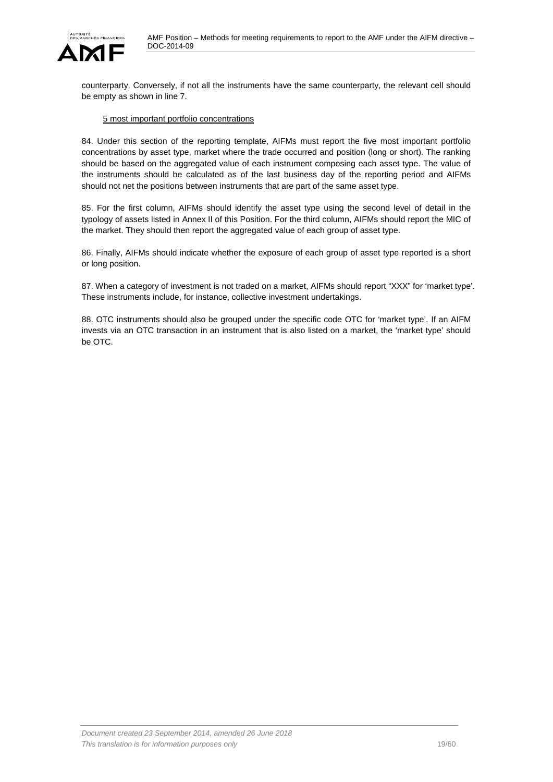AMF Position – Methods for meeting requirements to report to the AMF under the AIFM directive – DOC-2014-09



counterparty. Conversely, if not all the instruments have the same counterparty, the relevant cell should be empty as shown in line 7.

#### 5 most important portfolio concentrations

84. Under this section of the reporting template, AIFMs must report the five most important portfolio concentrations by asset type, market where the trade occurred and position (long or short). The ranking should be based on the aggregated value of each instrument composing each asset type. The value of the instruments should be calculated as of the last business day of the reporting period and AIFMs should not net the positions between instruments that are part of the same asset type.

85. For the first column, AIFMs should identify the asset type using the second level of detail in the typology of assets listed in Annex II of this Position. For the third column, AIFMs should report the MIC of the market. They should then report the aggregated value of each group of asset type.

86. Finally, AIFMs should indicate whether the exposure of each group of asset type reported is a short or long position.

87. When a category of investment is not traded on a market, AIFMs should report "XXX" for 'market type'. These instruments include, for instance, collective investment undertakings.

88. OTC instruments should also be grouped under the specific code OTC for 'market type'. If an AIFM invests via an OTC transaction in an instrument that is also listed on a market, the 'market type' should be OTC.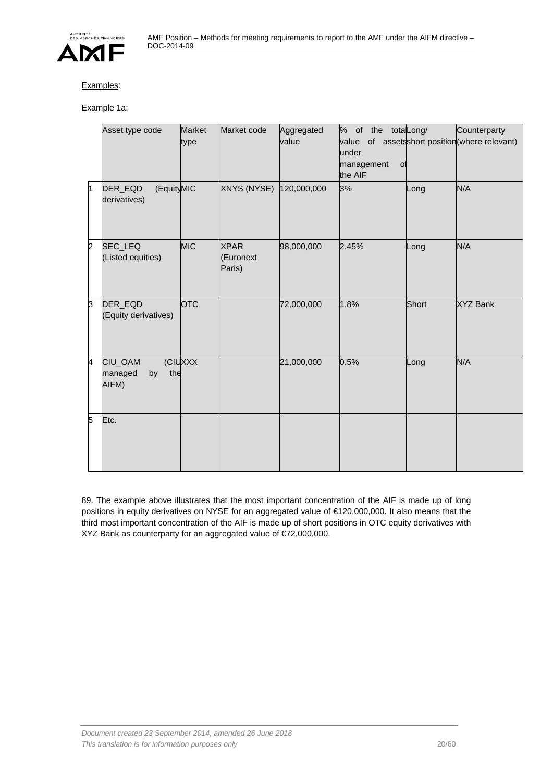

### Examples:

Example 1a:

|                | Asset type code                          | <b>Market</b><br>type | Market code                        | Aggregated<br>value | % of the totalLong/<br>value of assetsshort position (where relevant)<br>under<br>management<br><sub>o</sub><br>the AIF |       | Counterparty    |
|----------------|------------------------------------------|-----------------------|------------------------------------|---------------------|-------------------------------------------------------------------------------------------------------------------------|-------|-----------------|
| <sup>1</sup>   | (EquityMIC<br>DER_EQD<br>derivatives)    |                       | XNYS (NYSE)                        | 120,000,000         | 3%                                                                                                                      | Long  | N/A             |
| $\overline{2}$ | SEC_LEQ<br>(Listed equities)             | <b>MIC</b>            | <b>XPAR</b><br>(Euronext<br>Paris) | 98,000,000          | 2.45%                                                                                                                   | Long  | N/A             |
| 3              | DER_EQD<br>(Equity derivatives)          | <b>OTC</b>            |                                    | 72,000,000          | 1.8%                                                                                                                    | Short | <b>XYZ Bank</b> |
| 4              | CIU_OAM<br>the<br>managed<br>by<br>AIFM) | (CIUXXX               |                                    | 21,000,000          | 0.5%                                                                                                                    | Long  | N/A             |
| 5              | Etc.                                     |                       |                                    |                     |                                                                                                                         |       |                 |

89. The example above illustrates that the most important concentration of the AIF is made up of long positions in equity derivatives on NYSE for an aggregated value of €120,000,000. It also means that the third most important concentration of the AIF is made up of short positions in OTC equity derivatives with XYZ Bank as counterparty for an aggregated value of €72,000,000.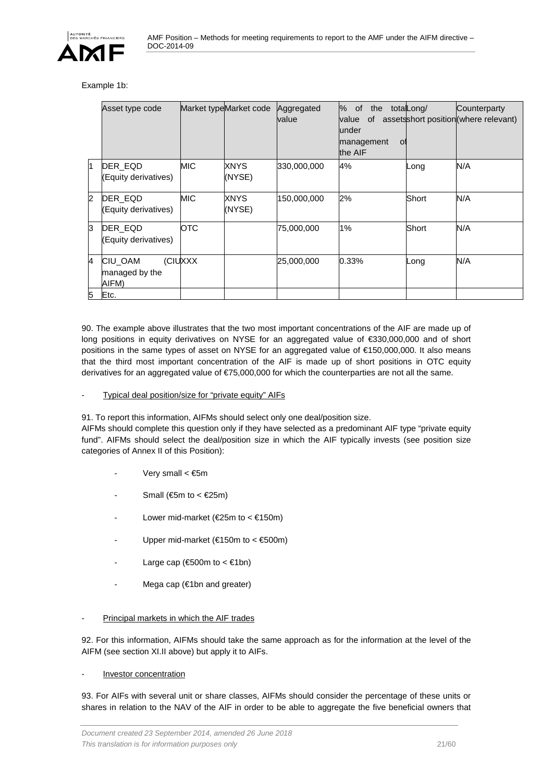

#### Example 1b:

|     | Asset type code                    |            | Market typeMarket code | Aggregated<br>value | % of<br>the<br>0f<br>value<br>lunder<br>management<br>01<br>the AIF | totaLong/ | Counterparty<br>assetsshort position (where relevant) |
|-----|------------------------------------|------------|------------------------|---------------------|---------------------------------------------------------------------|-----------|-------------------------------------------------------|
| ł1. | DER_EQD<br>(Equity derivatives)    | <b>MIC</b> | XNYS<br>(NYSE)         | 330,000,000         | 4%                                                                  | Long      | N/A                                                   |
| 2   | DER EQD<br>(Equity derivatives)    | <b>MIC</b> | XNYS<br>(NYSE)         | 150,000,000         | 2%                                                                  | Short     | N/A                                                   |
| 3   | DER EQD<br>(Equity derivatives)    | <b>OTC</b> |                        | 75,000,000          | 1%                                                                  | Short     | N/A                                                   |
| 4   | CIU_OAM<br>managed by the<br>AIFM) | (CIUXXX    |                        | 25,000,000          | 0.33%                                                               | Long      | N/A                                                   |
| 5   | Etc.                               |            |                        |                     |                                                                     |           |                                                       |

90. The example above illustrates that the two most important concentrations of the AIF are made up of long positions in equity derivatives on NYSE for an aggregated value of €330,000,000 and of short positions in the same types of asset on NYSE for an aggregated value of €150,000,000. It also means that the third most important concentration of the AIF is made up of short positions in OTC equity derivatives for an aggregated value of €75,000,000 for which the counterparties are not all the same.

#### Typical deal position/size for "private equity" AIFs

91. To report this information, AIFMs should select only one deal/position size.

AIFMs should complete this question only if they have selected as a predominant AIF type "private equity fund". AIFMs should select the deal/position size in which the AIF typically invests (see position size categories of Annex II of this Position):

- Very small  $< \epsilon$ 5m
- Small ( $\text{65m}$  to <  $\text{625m}$ )
- Lower mid-market ( $E25m$  to <  $E150m$ )
- Upper mid-market ( $€150m$  to <  $€500m$ )
- Large cap ( $600m$  to < $61bn$ )
- Mega cap (€1bn and greater)
- Principal markets in which the AIF trades

92. For this information, AIFMs should take the same approach as for the information at the level of the AIFM (see section XI.II above) but apply it to AIFs.

#### - **Investor concentration**

93. For AIFs with several unit or share classes, AIFMs should consider the percentage of these units or shares in relation to the NAV of the AIF in order to be able to aggregate the five beneficial owners that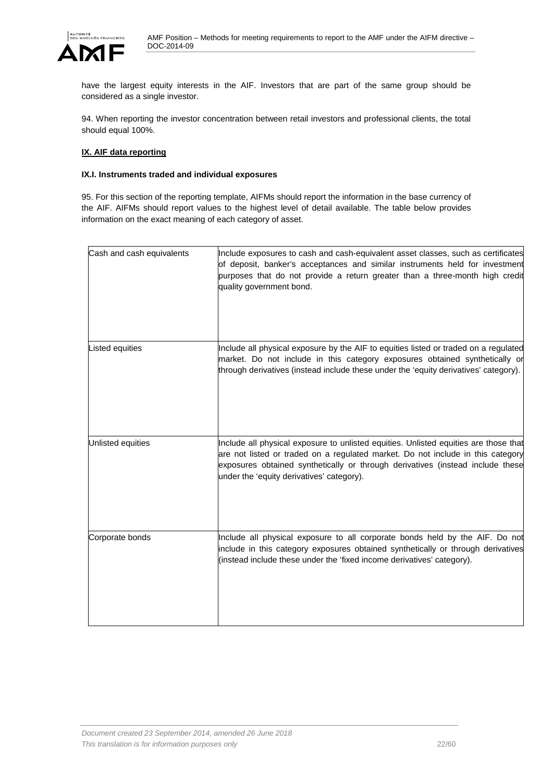

have the largest equity interests in the AIF. Investors that are part of the same group should be considered as a single investor.

94. When reporting the investor concentration between retail investors and professional clients, the total should equal 100%.

#### <span id="page-21-0"></span>**IX. AIF data reporting**

#### <span id="page-21-1"></span>**IX.I. Instruments traded and individual exposures**

95. For this section of the reporting template, AIFMs should report the information in the base currency of the AIF. AIFMs should report values to the highest level of detail available. The table below provides information on the exact meaning of each category of asset.

| Cash and cash equivalents | Include exposures to cash and cash-equivalent asset classes, such as certificates<br>of deposit, banker's acceptances and similar instruments held for investment<br>purposes that do not provide a return greater than a three-month high credit<br>quality government bond.                          |
|---------------------------|--------------------------------------------------------------------------------------------------------------------------------------------------------------------------------------------------------------------------------------------------------------------------------------------------------|
| Listed equities           | Include all physical exposure by the AIF to equities listed or traded on a regulated<br>market. Do not include in this category exposures obtained synthetically or<br>through derivatives (instead include these under the 'equity derivatives' category).                                            |
| Unlisted equities         | Include all physical exposure to unlisted equities. Unlisted equities are those that<br>are not listed or traded on a regulated market. Do not include in this category<br>exposures obtained synthetically or through derivatives (instead include these<br>under the 'equity derivatives' category). |
| Corporate bonds           | Include all physical exposure to all corporate bonds held by the AIF. Do not<br>include in this category exposures obtained synthetically or through derivatives<br>(instead include these under the 'fixed income derivatives' category).                                                             |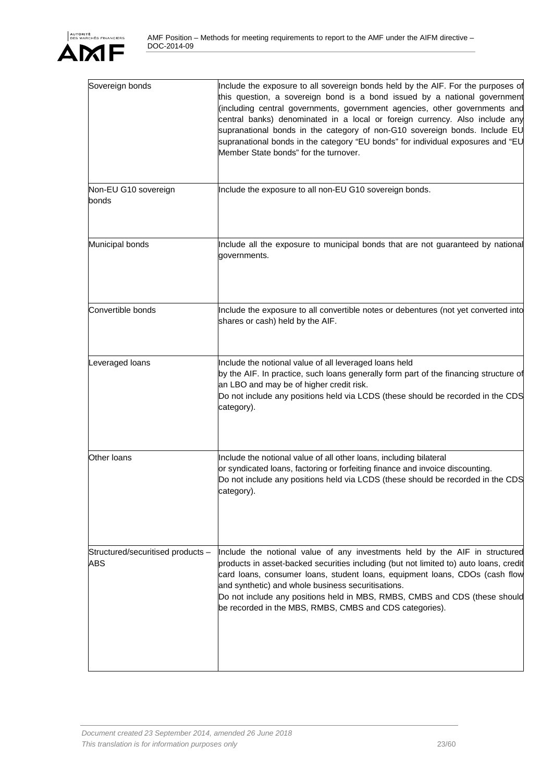

| Sovereign bonds                          | Include the exposure to all sovereign bonds held by the AIF. For the purposes of<br>this question, a sovereign bond is a bond issued by a national government<br>(including central governments, government agencies, other governments and<br>central banks) denominated in a local or foreign currency. Also include any<br>supranational bonds in the category of non-G10 sovereign bonds. Include EU<br>supranational bonds in the category "EU bonds" for individual exposures and "EU<br>Member State bonds" for the turnover. |
|------------------------------------------|--------------------------------------------------------------------------------------------------------------------------------------------------------------------------------------------------------------------------------------------------------------------------------------------------------------------------------------------------------------------------------------------------------------------------------------------------------------------------------------------------------------------------------------|
| Non-EU G10 sovereign<br>bonds            | Include the exposure to all non-EU G10 sovereign bonds.                                                                                                                                                                                                                                                                                                                                                                                                                                                                              |
| Municipal bonds                          | Include all the exposure to municipal bonds that are not guaranteed by national<br>governments.                                                                                                                                                                                                                                                                                                                                                                                                                                      |
| Convertible bonds                        | Include the exposure to all convertible notes or debentures (not yet converted into<br>shares or cash) held by the AIF.                                                                                                                                                                                                                                                                                                                                                                                                              |
| Leveraged loans                          | Include the notional value of all leveraged loans held<br>by the AIF. In practice, such loans generally form part of the financing structure of<br>an LBO and may be of higher credit risk.<br>Do not include any positions held via LCDS (these should be recorded in the CDS<br>category).                                                                                                                                                                                                                                         |
| Other loans                              | Include the notional value of all other loans, including bilateral<br>or syndicated loans, factoring or forfeiting finance and invoice discounting.<br>Do not include any positions held via LCDS (these should be recorded in the CDS<br>category).                                                                                                                                                                                                                                                                                 |
| Structured/securitised products -<br>ABS | Include the notional value of any investments held by the AIF in structured<br>products in asset-backed securities including (but not limited to) auto loans, credit<br>card loans, consumer loans, student loans, equipment loans, CDOs (cash flow<br>and synthetic) and whole business securitisations.<br>Do not include any positions held in MBS, RMBS, CMBS and CDS (these should<br>be recorded in the MBS, RMBS, CMBS and CDS categories).                                                                                   |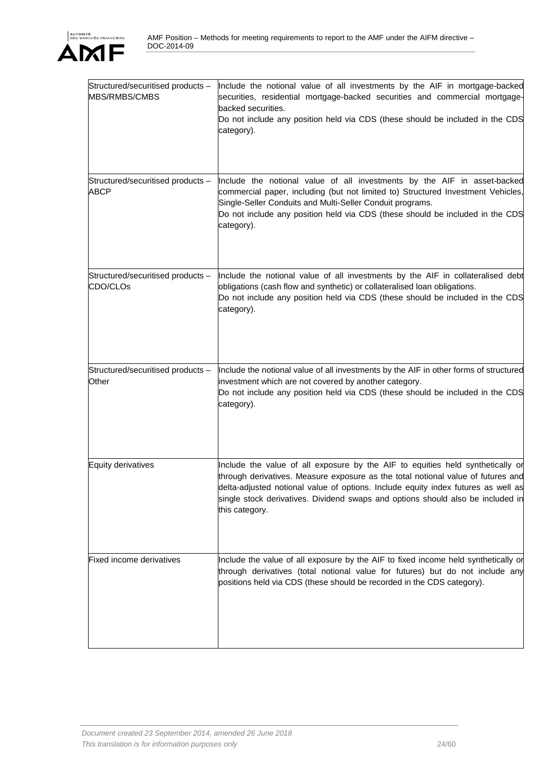

| Structured/securitised products -<br>MBS/RMBS/CMBS | Include the notional value of all investments by the AIF in mortgage-backed<br>securities, residential mortgage-backed securities and commercial mortgage-<br>backed securities.<br>Do not include any position held via CDS (these should be included in the CDS<br>category).                                                                              |
|----------------------------------------------------|--------------------------------------------------------------------------------------------------------------------------------------------------------------------------------------------------------------------------------------------------------------------------------------------------------------------------------------------------------------|
| Structured/securitised products -<br>ABCP          | Include the notional value of all investments by the AIF in asset-backed<br>commercial paper, including (but not limited to) Structured Investment Vehicles,<br>Single-Seller Conduits and Multi-Seller Conduit programs.<br>Do not include any position held via CDS (these should be included in the CDS<br>category).                                     |
| Structured/securitised products -<br>CDO/CLOs      | Include the notional value of all investments by the AIF in collateralised debt<br>obligations (cash flow and synthetic) or collateralised loan obligations.<br>Do not include any position held via CDS (these should be included in the CDS<br>category).                                                                                                  |
| Structured/securitised products -<br>Other         | Include the notional value of all investments by the AIF in other forms of structured<br>investment which are not covered by another category.<br>Do not include any position held via CDS (these should be included in the CDS<br>category).                                                                                                                |
| <b>Equity derivatives</b>                          | Include the value of all exposure by the AIF to equities held synthetically or<br>through derivatives. Measure exposure as the total notional value of futures and<br>delta-adjusted notional value of options. Include equity index futures as well as<br>single stock derivatives. Dividend swaps and options should also be included in<br>this category. |
| Fixed income derivatives                           | Include the value of all exposure by the AIF to fixed income held synthetically or<br>through derivatives (total notional value for futures) but do not include any<br>positions held via CDS (these should be recorded in the CDS category).                                                                                                                |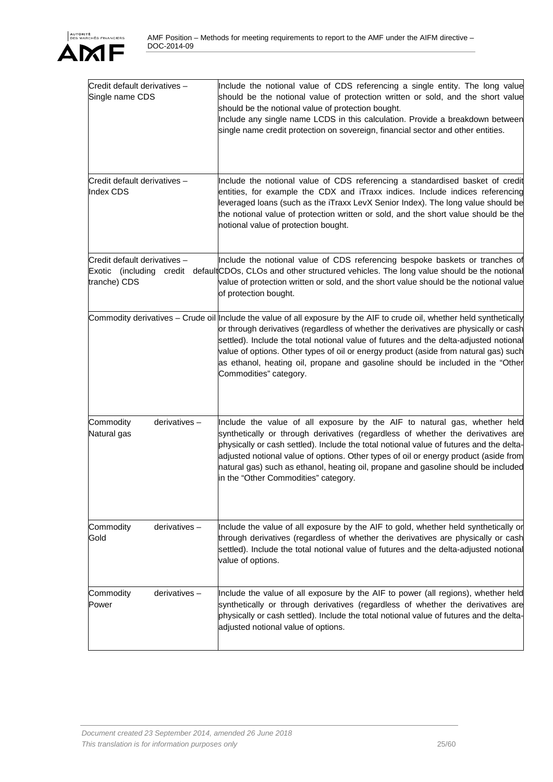| Credit default derivatives -<br>Single name CDS                          | Include the notional value of CDS referencing a single entity. The long value<br>should be the notional value of protection written or sold, and the short value<br>should be the notional value of protection bought.<br>Include any single name LCDS in this calculation. Provide a breakdown between<br>single name credit protection on sovereign, financial sector and other entities.                                                                                                                  |
|--------------------------------------------------------------------------|--------------------------------------------------------------------------------------------------------------------------------------------------------------------------------------------------------------------------------------------------------------------------------------------------------------------------------------------------------------------------------------------------------------------------------------------------------------------------------------------------------------|
| Credit default derivatives -<br>Index CDS                                | Include the notional value of CDS referencing a standardised basket of credit<br>entities, for example the CDX and iTraxx indices. Include indices referencing<br>leveraged loans (such as the iTraxx LevX Senior Index). The long value should be<br>the notional value of protection written or sold, and the short value should be the<br>notional value of protection bought.                                                                                                                            |
| Credit default derivatives -<br>Exotic (including credit<br>tranche) CDS | Include the notional value of CDS referencing bespoke baskets or tranches of<br>default CDOs, CLOs and other structured vehicles. The long value should be the notional<br>value of protection written or sold, and the short value should be the notional value<br>of protection bought.                                                                                                                                                                                                                    |
|                                                                          | Commodity derivatives - Crude oil Include the value of all exposure by the AIF to crude oil, whether held synthetically<br>or through derivatives (regardless of whether the derivatives are physically or cash<br>settled). Include the total notional value of futures and the delta-adjusted notional<br>value of options. Other types of oil or energy product (aside from natural gas) such<br>as ethanol, heating oil, propane and gasoline should be included in the "Other<br>Commodities" category. |
| Commodity<br>derivatives-<br>Natural gas                                 | Include the value of all exposure by the AIF to natural gas, whether held<br>synthetically or through derivatives (regardless of whether the derivatives are<br>physically or cash settled). Include the total notional value of futures and the delta-<br>adjusted notional value of options. Other types of oil or energy product (aside from<br>natural gas) such as ethanol, heating oil, propane and gasoline should be included<br>in the "Other Commodities" category.                                |
| Commodity<br>$derivatives -$<br>Gold                                     | Include the value of all exposure by the AIF to gold, whether held synthetically or<br>through derivatives (regardless of whether the derivatives are physically or cash<br>settled). Include the total notional value of futures and the delta-adjusted notional<br>value of options.                                                                                                                                                                                                                       |
| Commodity<br>derivatives-<br>Power                                       | Include the value of all exposure by the AIF to power (all regions), whether held<br>synthetically or through derivatives (regardless of whether the derivatives are<br>physically or cash settled). Include the total notional value of futures and the delta-<br>adjusted notional value of options.                                                                                                                                                                                                       |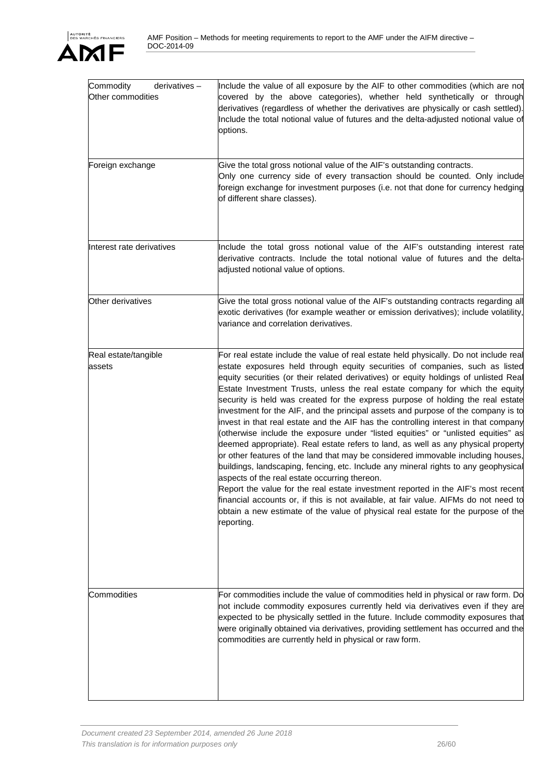| Commodity<br>$derivatives -$<br>Other commodities | Include the value of all exposure by the AIF to other commodities (which are not<br>covered by the above categories), whether held synthetically or through<br>derivatives (regardless of whether the derivatives are physically or cash settled).<br>Include the total notional value of futures and the delta-adjusted notional value of<br>options.                                                                                                                                                                                                                                                                                                                                                                                                                                                                                                                                                                                                                                                                                                                                                                                                                                                                                                                                              |
|---------------------------------------------------|-----------------------------------------------------------------------------------------------------------------------------------------------------------------------------------------------------------------------------------------------------------------------------------------------------------------------------------------------------------------------------------------------------------------------------------------------------------------------------------------------------------------------------------------------------------------------------------------------------------------------------------------------------------------------------------------------------------------------------------------------------------------------------------------------------------------------------------------------------------------------------------------------------------------------------------------------------------------------------------------------------------------------------------------------------------------------------------------------------------------------------------------------------------------------------------------------------------------------------------------------------------------------------------------------------|
| Foreign exchange                                  | Give the total gross notional value of the AIF's outstanding contracts.<br>Only one currency side of every transaction should be counted. Only include<br>foreign exchange for investment purposes (i.e. not that done for currency hedging<br>of different share classes).                                                                                                                                                                                                                                                                                                                                                                                                                                                                                                                                                                                                                                                                                                                                                                                                                                                                                                                                                                                                                         |
| Interest rate derivatives                         | Include the total gross notional value of the AIF's outstanding interest rate<br>derivative contracts. Include the total notional value of futures and the delta-<br>adjusted notional value of options.                                                                                                                                                                                                                                                                                                                                                                                                                                                                                                                                                                                                                                                                                                                                                                                                                                                                                                                                                                                                                                                                                            |
| Other derivatives                                 | Give the total gross notional value of the AIF's outstanding contracts regarding all<br>exotic derivatives (for example weather or emission derivatives); include volatility,<br>variance and correlation derivatives.                                                                                                                                                                                                                                                                                                                                                                                                                                                                                                                                                                                                                                                                                                                                                                                                                                                                                                                                                                                                                                                                              |
| Real estate/tangible<br>assets                    | For real estate include the value of real estate held physically. Do not include real<br>estate exposures held through equity securities of companies, such as listed<br>equity securities (or their related derivatives) or equity holdings of unlisted Real<br>Estate Investment Trusts, unless the real estate company for which the equity<br>security is held was created for the express purpose of holding the real estate<br>investment for the AIF, and the principal assets and purpose of the company is to<br>invest in that real estate and the AIF has the controlling interest in that company<br>(otherwise include the exposure under "listed equities" or "unlisted equities" as<br>deemed appropriate). Real estate refers to land, as well as any physical property<br>or other features of the land that may be considered immovable including houses,<br>buildings, landscaping, fencing, etc. Include any mineral rights to any geophysical<br>aspects of the real estate occurring thereon.<br>Report the value for the real estate investment reported in the AIF's most recent<br>financial accounts or, if this is not available, at fair value. AIFMs do not need to<br>obtain a new estimate of the value of physical real estate for the purpose of the<br>reporting. |
| Commodities                                       | For commodities include the value of commodities held in physical or raw form. Do<br>not include commodity exposures currently held via derivatives even if they are<br>expected to be physically settled in the future. Include commodity exposures that<br>were originally obtained via derivatives, providing settlement has occurred and the<br>commodities are currently held in physical or raw form.                                                                                                                                                                                                                                                                                                                                                                                                                                                                                                                                                                                                                                                                                                                                                                                                                                                                                         |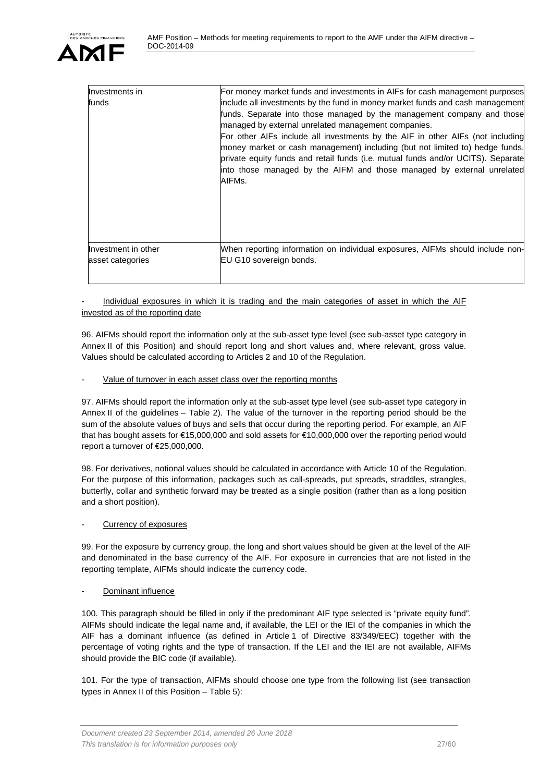| Investments in<br>funds | For money market funds and investments in AIFs for cash management purposes<br>include all investments by the fund in money market funds and cash management<br>funds. Separate into those managed by the management company and those<br>managed by external unrelated management companies.<br>For other AIFs include all investments by the AIF in other AIFs (not including<br>money market or cash management) including (but not limited to) hedge funds,<br>private equity funds and retail funds (i.e. mutual funds and/or UCITS). Separate<br>into those managed by the AIFM and those managed by external unrelated<br>AIFMs. |
|-------------------------|-----------------------------------------------------------------------------------------------------------------------------------------------------------------------------------------------------------------------------------------------------------------------------------------------------------------------------------------------------------------------------------------------------------------------------------------------------------------------------------------------------------------------------------------------------------------------------------------------------------------------------------------|
| Investment in other     | When reporting information on individual exposures, AIFMs should include non-                                                                                                                                                                                                                                                                                                                                                                                                                                                                                                                                                           |
| asset categories        | EU G10 sovereign bonds.                                                                                                                                                                                                                                                                                                                                                                                                                                                                                                                                                                                                                 |

#### Individual exposures in which it is trading and the main categories of asset in which the AIF invested as of the reporting date

96. AIFMs should report the information only at the sub-asset type level (see sub-asset type category in Annex II of this Position) and should report long and short values and, where relevant, gross value. Values should be calculated according to Articles 2 and 10 of the Regulation.

#### Value of turnover in each asset class over the reporting months

97. AIFMs should report the information only at the sub-asset type level (see sub-asset type category in Annex II of the guidelines – Table 2). The value of the turnover in the reporting period should be the sum of the absolute values of buys and sells that occur during the reporting period. For example, an AIF that has bought assets for €15,000,000 and sold assets for €10,000,000 over the reporting period would report a turnover of €25,000,000.

98. For derivatives, notional values should be calculated in accordance with Article 10 of the Regulation. For the purpose of this information, packages such as call-spreads, put spreads, straddles, strangles, butterfly, collar and synthetic forward may be treated as a single position (rather than as a long position and a short position).

#### Currency of exposures

99. For the exposure by currency group, the long and short values should be given at the level of the AIF and denominated in the base currency of the AIF. For exposure in currencies that are not listed in the reporting template, AIFMs should indicate the currency code.

### Dominant influence

100. This paragraph should be filled in only if the predominant AIF type selected is "private equity fund". AIFMs should indicate the legal name and, if available, the LEI or the IEI of the companies in which the AIF has a dominant influence (as defined in Article 1 of Directive 83/349/EEC) together with the percentage of voting rights and the type of transaction. If the LEI and the IEI are not available, AIFMs should provide the BIC code (if available).

101. For the type of transaction, AIFMs should choose one type from the following list (see transaction types in Annex II of this Position – Table 5):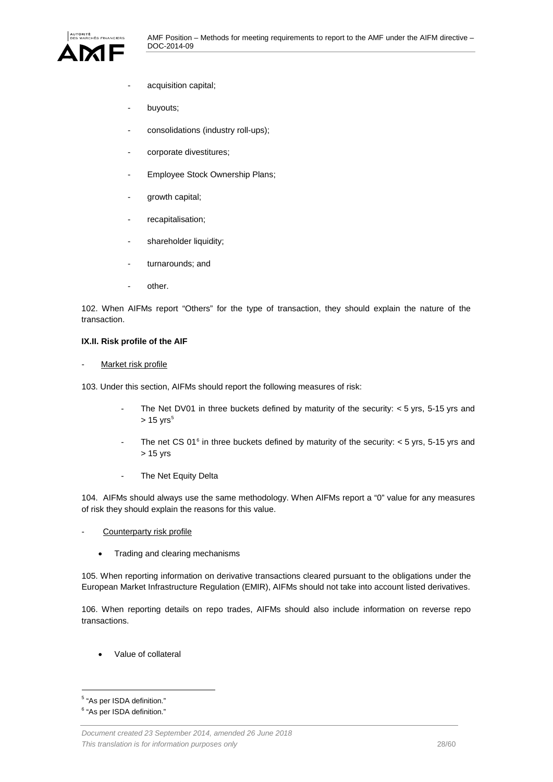

- acquisition capital;
- buyouts;
- consolidations (industry roll-ups);
- corporate divestitures;
- Employee Stock Ownership Plans;
- growth capital;
- recapitalisation;
- shareholder liquidity;
- turnarounds; and
- other.

102. When AIFMs report "Others" for the type of transaction, they should explain the nature of the transaction.

#### <span id="page-27-0"></span>**IX.II. Risk profile of the AIF**

#### Market risk profile

103. Under this section, AIFMs should report the following measures of risk:

- The Net DV01 in three buckets defined by maturity of the security:  $<$  5 yrs, 5-15 yrs and  $> 15$  $> 15$  yrs<sup>5</sup>
- The net CS 01 $^6$  $^6$  in three buckets defined by maturity of the security:  $<$  5 yrs, 5-15 yrs and > 15 yrs
- The Net Equity Delta

104. AIFMs should always use the same methodology. When AIFMs report a "0" value for any measures of risk they should explain the reasons for this value.

- Counterparty risk profile
	- Trading and clearing mechanisms

105. When reporting information on derivative transactions cleared pursuant to the obligations under the European Market Infrastructure Regulation (EMIR), AIFMs should not take into account listed derivatives.

106. When reporting details on repo trades, AIFMs should also include information on reverse repo transactions.

• Value of collateral

<span id="page-27-1"></span> <sup>5</sup> "As per ISDA definition."

<span id="page-27-2"></span><sup>6</sup> "As per ISDA definition."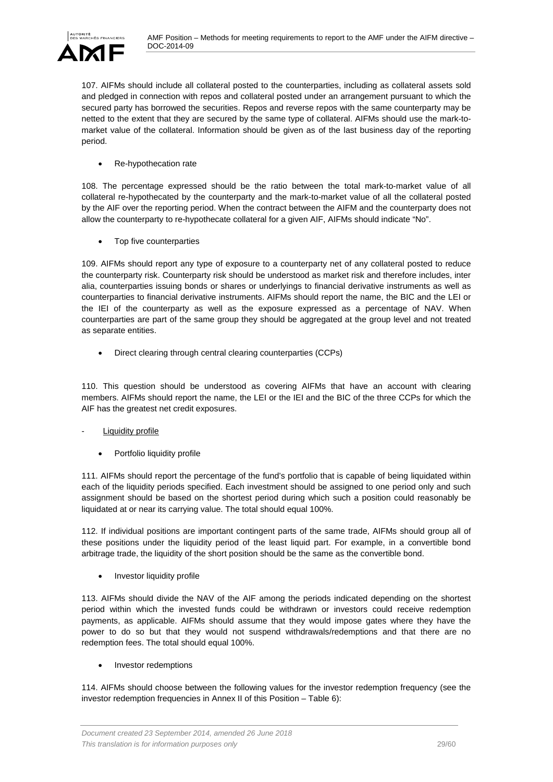107. AIFMs should include all collateral posted to the counterparties, including as collateral assets sold and pledged in connection with repos and collateral posted under an arrangement pursuant to which the secured party has borrowed the securities. Repos and reverse repos with the same counterparty may be netted to the extent that they are secured by the same type of collateral. AIFMs should use the mark-tomarket value of the collateral. Information should be given as of the last business day of the reporting period.

• Re-hypothecation rate

108. The percentage expressed should be the ratio between the total mark-to-market value of all collateral re-hypothecated by the counterparty and the mark-to-market value of all the collateral posted by the AIF over the reporting period. When the contract between the AIFM and the counterparty does not allow the counterparty to re-hypothecate collateral for a given AIF, AIFMs should indicate "No".

• Top five counterparties

109. AIFMs should report any type of exposure to a counterparty net of any collateral posted to reduce the counterparty risk. Counterparty risk should be understood as market risk and therefore includes, inter alia, counterparties issuing bonds or shares or underlyings to financial derivative instruments as well as counterparties to financial derivative instruments. AIFMs should report the name, the BIC and the LEI or the IEI of the counterparty as well as the exposure expressed as a percentage of NAV. When counterparties are part of the same group they should be aggregated at the group level and not treated as separate entities.

• Direct clearing through central clearing counterparties (CCPs)

110. This question should be understood as covering AIFMs that have an account with clearing members. AIFMs should report the name, the LEI or the IEI and the BIC of the three CCPs for which the AIF has the greatest net credit exposures.

### Liquidity profile

Portfolio liquidity profile

111. AIFMs should report the percentage of the fund's portfolio that is capable of being liquidated within each of the liquidity periods specified. Each investment should be assigned to one period only and such assignment should be based on the shortest period during which such a position could reasonably be liquidated at or near its carrying value. The total should equal 100%.

112. If individual positions are important contingent parts of the same trade, AIFMs should group all of these positions under the liquidity period of the least liquid part. For example, in a convertible bond arbitrage trade, the liquidity of the short position should be the same as the convertible bond.

Investor liquidity profile

113. AIFMs should divide the NAV of the AIF among the periods indicated depending on the shortest period within which the invested funds could be withdrawn or investors could receive redemption payments, as applicable. AIFMs should assume that they would impose gates where they have the power to do so but that they would not suspend withdrawals/redemptions and that there are no redemption fees. The total should equal 100%.

• Investor redemptions

114. AIFMs should choose between the following values for the investor redemption frequency (see the investor redemption frequencies in Annex II of this Position – Table 6):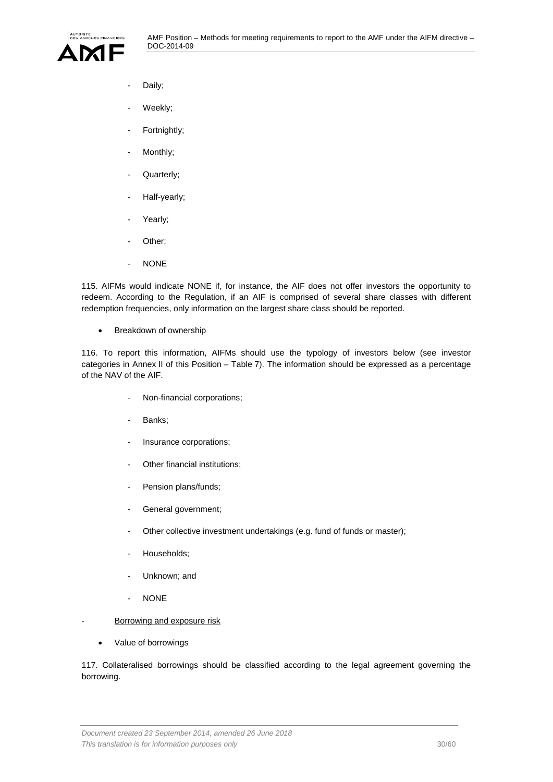

- Daily;
- Weekly;
- Fortnightly;
- Monthly;
- Quarterly;
- Half-yearly;
- Yearly;
- Other;
- NONE

115. AIFMs would indicate NONE if, for instance, the AIF does not offer investors the opportunity to redeem. According to the Regulation, if an AIF is comprised of several share classes with different redemption frequencies, only information on the largest share class should be reported.

• Breakdown of ownership

116. To report this information, AIFMs should use the typology of investors below (see investor categories in Annex II of this Position – Table 7). The information should be expressed as a percentage of the NAV of the AIF.

- Non-financial corporations;
- Banks;
- Insurance corporations;
- Other financial institutions;
- Pension plans/funds;
- General government;
- Other collective investment undertakings (e.g. fund of funds or master);
- Households;
- Unknown; and
- NONE
- Borrowing and exposure risk
	- Value of borrowings

117. Collateralised borrowings should be classified according to the legal agreement governing the borrowing.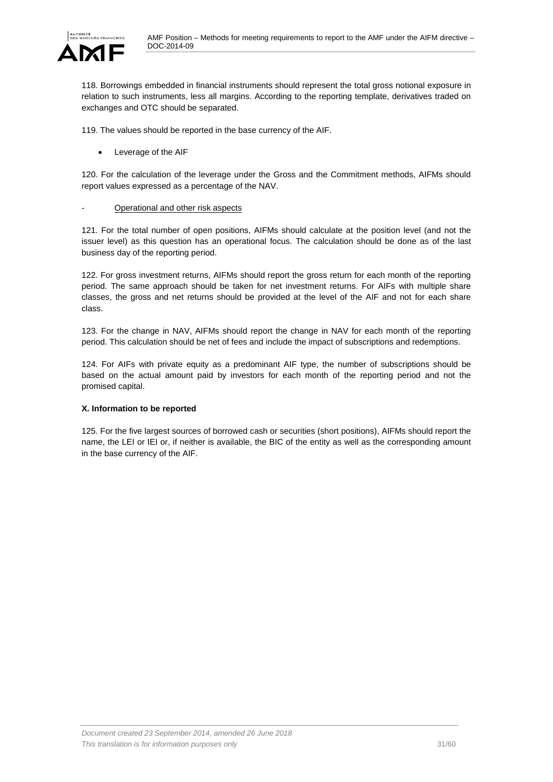118. Borrowings embedded in financial instruments should represent the total gross notional exposure in relation to such instruments, less all margins. According to the reporting template, derivatives traded on exchanges and OTC should be separated.

119. The values should be reported in the base currency of the AIF.

• Leverage of the AIF

120. For the calculation of the leverage under the Gross and the Commitment methods, AIFMs should report values expressed as a percentage of the NAV.

#### Operational and other risk aspects

121. For the total number of open positions, AIFMs should calculate at the position level (and not the issuer level) as this question has an operational focus. The calculation should be done as of the last business day of the reporting period.

122. For gross investment returns, AIFMs should report the gross return for each month of the reporting period. The same approach should be taken for net investment returns. For AIFs with multiple share classes, the gross and net returns should be provided at the level of the AIF and not for each share class.

123. For the change in NAV, AIFMs should report the change in NAV for each month of the reporting period. This calculation should be net of fees and include the impact of subscriptions and redemptions.

124. For AIFs with private equity as a predominant AIF type, the number of subscriptions should be based on the actual amount paid by investors for each month of the reporting period and not the promised capital.

#### <span id="page-30-0"></span>**X. Information to be reported**

125. For the five largest sources of borrowed cash or securities (short positions), AIFMs should report the name, the LEI or IEI or, if neither is available, the BIC of the entity as well as the corresponding amount in the base currency of the AIF.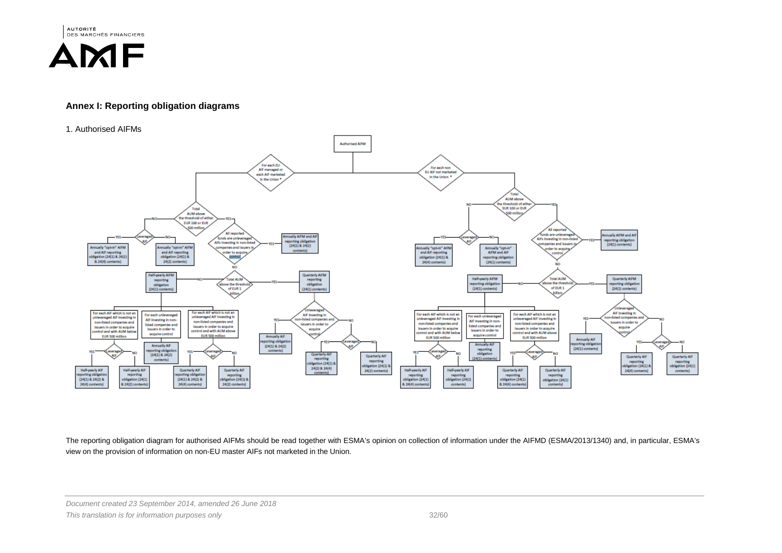**AUTORITÉ** DES MARCHÉS FINANCIERS

# AMF

### **Annex I: Reporting obligation diagrams**

#### 1. Authorised AIFMs



The reporting obligation diagram for authorised AIFMs should be read together with ESMA's opinion on collection of information under the AIFMD (ESMA/2013/1340) and, in particular, ESMA's view on the provision of information on non-EU master AIFs not marketed in the Union.

*Document created 23 September 2014, amended 26 June 2018*

*This translation is for information purposes only* 32/60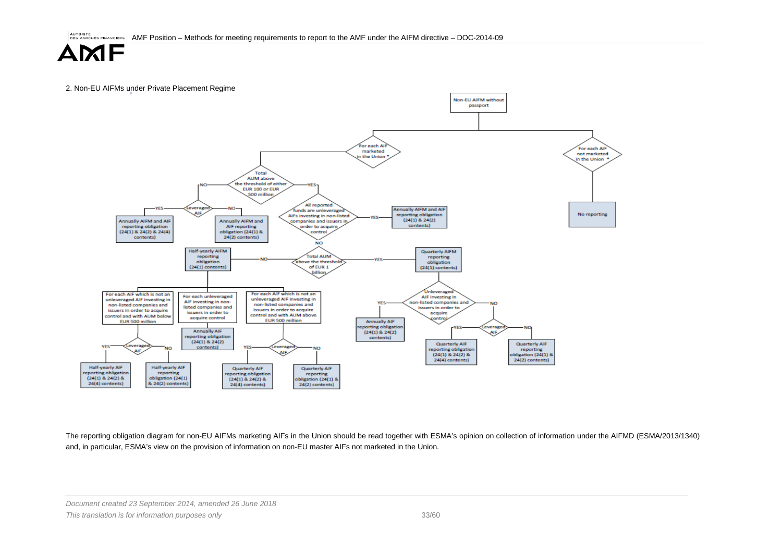2. Non-EU AIFMs under Private Placement Regime



The reporting obligation diagram for non-EU AIFMs marketing AIFs in the Union should be read together with ESMA's opinion on collection of information under the AIFMD (ESMA/2013/1340) and, in particular, ESMA's view on the provision of information on non-EU master AIFs not marketed in the Union.

*Document created 23 September 2014, amended 26 June 2018*

*This translation is for information purposes only* 33/60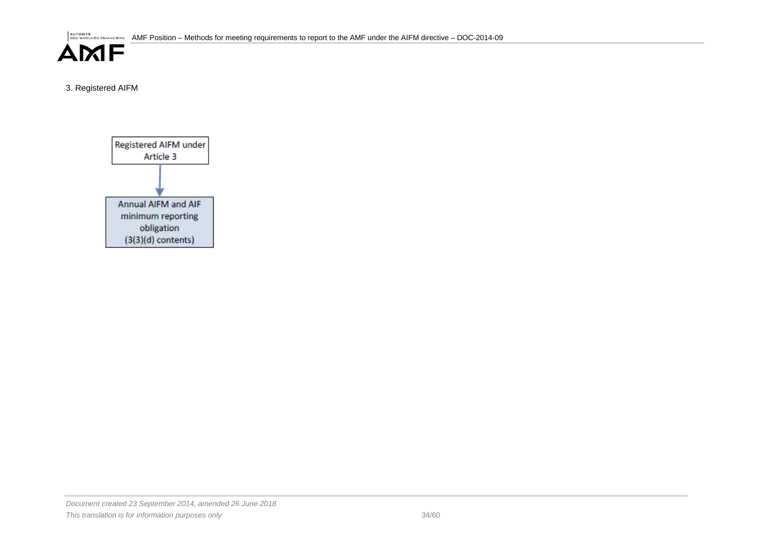AUTORITÉ FINANCIERS AMF Position – Methods for meeting requirements to report to the AMF under the AIFM directive – DOC-2014-09



3. Registered AIFM



*Document created 23 September 2014, amended 26 June 2018 This translation is for information purposes only* 34/60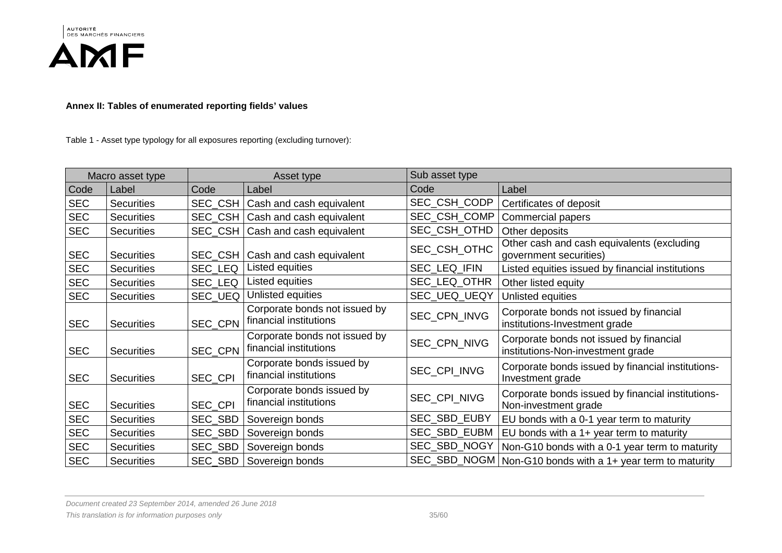



**Annex II: Tables of enumerated reporting fields' values**

Table 1 - Asset type typology for all exposures reporting (excluding turnover):

|            | Macro asset type  | Asset type     |                                                         | Sub asset type |                                                                              |
|------------|-------------------|----------------|---------------------------------------------------------|----------------|------------------------------------------------------------------------------|
| Code       | Label             | Code           | Label                                                   | Code           | Label                                                                        |
| <b>SEC</b> | <b>Securities</b> | SEC_CSH        | Cash and cash equivalent                                | SEC_CSH_CODP   | Certificates of deposit                                                      |
| <b>SEC</b> | <b>Securities</b> | SEC_CSH        | <b>Cash and cash equivalent</b>                         | SEC_CSH_COMP   | Commercial papers                                                            |
| <b>SEC</b> | <b>Securities</b> | <b>SEC CSH</b> | Cash and cash equivalent                                | SEC_CSH_OTHD   | Other deposits                                                               |
| <b>SEC</b> | <b>Securities</b> | SEC CSH        | Cash and cash equivalent                                | SEC_CSH_OTHC   | Other cash and cash equivalents (excluding<br>government securities)         |
| <b>SEC</b> | <b>Securities</b> | SEC LEQ        | Listed equities                                         | SEC_LEQ_IFIN   | Listed equities issued by financial institutions                             |
| <b>SEC</b> | <b>Securities</b> | SEC_LEQ        | Listed equities                                         | SEC_LEQ_OTHR   | Other listed equity                                                          |
| <b>SEC</b> | <b>Securities</b> | SEC UEQ        | Unlisted equities                                       | SEC_UEQ_UEQY   | Unlisted equities                                                            |
| <b>SEC</b> | <b>Securities</b> | SEC_CPN        | Corporate bonds not issued by<br>financial institutions | SEC_CPN_INVG   | Corporate bonds not issued by financial<br>institutions-Investment grade     |
| <b>SEC</b> | <b>Securities</b> | <b>SEC CPN</b> | Corporate bonds not issued by<br>financial institutions | SEC_CPN_NIVG   | Corporate bonds not issued by financial<br>institutions-Non-investment grade |
| <b>SEC</b> | <b>Securities</b> | <b>SEC CPI</b> | Corporate bonds issued by<br>financial institutions     | SEC_CPI_INVG   | Corporate bonds issued by financial institutions-<br>Investment grade        |
| <b>SEC</b> | <b>Securities</b> | <b>SEC CPI</b> | Corporate bonds issued by<br>financial institutions     | SEC_CPI_NIVG   | Corporate bonds issued by financial institutions-<br>Non-investment grade    |
| <b>SEC</b> | <b>Securities</b> | SEC_SBD        | Sovereign bonds                                         | SEC_SBD_EUBY   | EU bonds with a 0-1 year term to maturity                                    |
| <b>SEC</b> | <b>Securities</b> | SEC_SBD        | Sovereign bonds                                         | SEC_SBD_EUBM   | EU bonds with a 1+ year term to maturity                                     |
| <b>SEC</b> | <b>Securities</b> | SEC_SBD        | Sovereign bonds                                         | SEC_SBD_NOGY   | Non-G10 bonds with a 0-1 year term to maturity                               |
| <b>SEC</b> | <b>Securities</b> | SEC_SBD        | Sovereign bonds                                         |                | SEC_SBD_NOGM   Non-G10 bonds with a 1+ year term to maturity                 |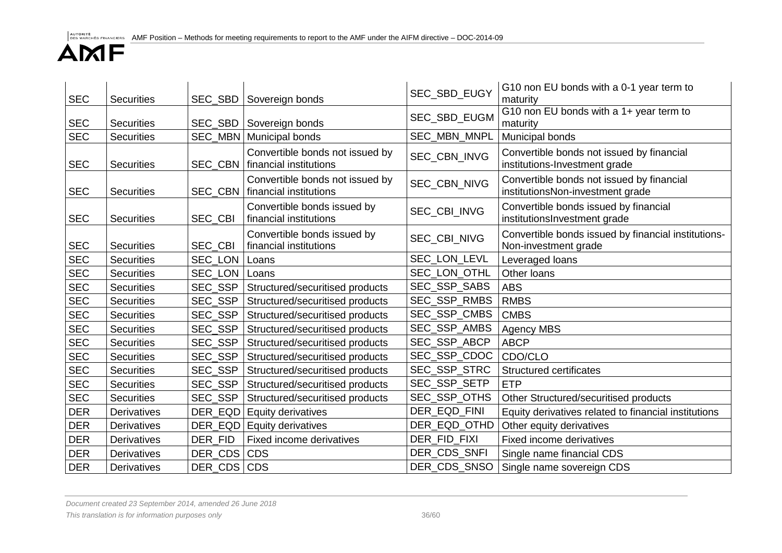| <b>SEC</b> | <b>Securities</b> |                | SEC_SBD   Sovereign bonds                                 | SEC_SBD_EUGY | G10 non EU bonds with a 0-1 year term to<br>maturity                          |
|------------|-------------------|----------------|-----------------------------------------------------------|--------------|-------------------------------------------------------------------------------|
| <b>SEC</b> | <b>Securities</b> | SEC_SBD        | Sovereign bonds                                           | SEC_SBD_EUGM | G10 non EU bonds with a 1+ year term to<br>maturity                           |
| <b>SEC</b> | <b>Securities</b> |                | SEC_MBN   Municipal bonds                                 | SEC_MBN_MNPL | Municipal bonds                                                               |
| <b>SEC</b> | <b>Securities</b> | SEC CBN        | Convertible bonds not issued by<br>financial institutions | SEC CBN INVG | Convertible bonds not issued by financial<br>institutions-Investment grade    |
| <b>SEC</b> | <b>Securities</b> | <b>SEC CBN</b> | Convertible bonds not issued by<br>financial institutions | SEC_CBN_NIVG | Convertible bonds not issued by financial<br>institutionsNon-investment grade |
| <b>SEC</b> | <b>Securities</b> | SEC_CBI        | Convertible bonds issued by<br>financial institutions     | SEC_CBI_INVG | Convertible bonds issued by financial<br>institutionsInvestment grade         |
| <b>SEC</b> | <b>Securities</b> | SEC_CBI        | Convertible bonds issued by<br>financial institutions     | SEC_CBI_NIVG | Convertible bonds issued by financial institutions-<br>Non-investment grade   |
| <b>SEC</b> | <b>Securities</b> | SEC_LON        | Loans                                                     | SEC_LON_LEVL | Leveraged loans                                                               |
| <b>SEC</b> | <b>Securities</b> | SEC_LON        | Loans                                                     | SEC_LON_OTHL | Other loans                                                                   |
| <b>SEC</b> | <b>Securities</b> | SEC_SSP        | Structured/securitised products                           | SEC_SSP_SABS | <b>ABS</b>                                                                    |
| <b>SEC</b> | <b>Securities</b> | SEC_SSP        | Structured/securitised products                           | SEC_SSP_RMBS | <b>RMBS</b>                                                                   |
| SEC        | <b>Securities</b> | SEC_SSP        | Structured/securitised products                           | SEC_SSP_CMBS | <b>CMBS</b>                                                                   |
| <b>SEC</b> | <b>Securities</b> | SEC_SSP        | Structured/securitised products                           | SEC_SSP_AMBS | <b>Agency MBS</b>                                                             |
| <b>SEC</b> | <b>Securities</b> | SEC_SSP        | Structured/securitised products                           | SEC_SSP_ABCP | <b>ABCP</b>                                                                   |
| <b>SEC</b> | <b>Securities</b> | SEC_SSP        | Structured/securitised products                           | SEC_SSP_CDOC | CDO/CLO                                                                       |
| <b>SEC</b> | <b>Securities</b> | SEC_SSP        | Structured/securitised products                           | SEC_SSP_STRC | <b>Structured certificates</b>                                                |
| <b>SEC</b> | <b>Securities</b> | SEC_SSP        | Structured/securitised products                           | SEC_SSP_SETP | <b>ETP</b>                                                                    |
| <b>SEC</b> | <b>Securities</b> | SEC_SSP        | Structured/securitised products                           | SEC_SSP_OTHS | Other Structured/securitised products                                         |
| <b>DER</b> | Derivatives       |                | DER_EQD   Equity derivatives                              | DER_EQD_FINI | Equity derivatives related to financial institutions                          |
| <b>DER</b> | Derivatives       |                | DER_EQD Equity derivatives                                | DER_EQD_OTHD | Other equity derivatives                                                      |
| <b>DER</b> | Derivatives       | DER FID        | Fixed income derivatives                                  | DER_FID_FIXI | Fixed income derivatives                                                      |
| <b>DER</b> | Derivatives       | DER_CDS CDS    |                                                           | DER_CDS_SNFI | Single name financial CDS                                                     |
| <b>DER</b> | Derivatives       | DER CDS CDS    |                                                           | DER_CDS_SNSO | Single name sovereign CDS                                                     |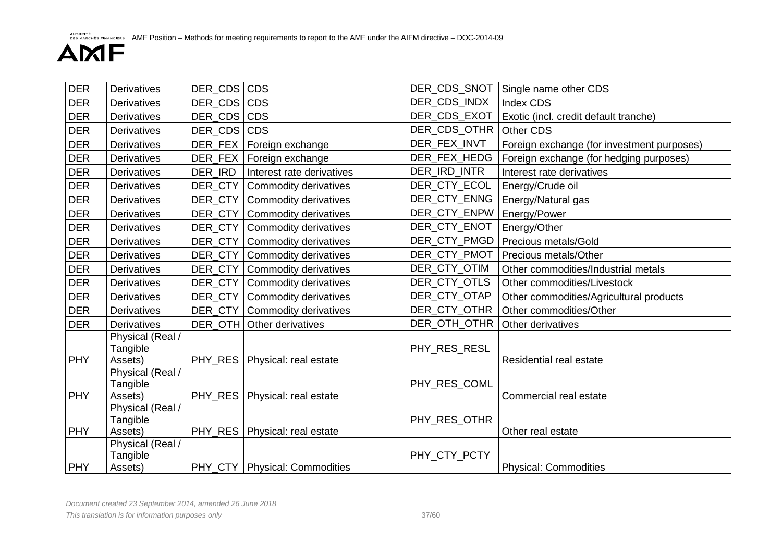| <b>DER</b> | <b>Derivatives</b>           | DER CDS CDS |                                 | DER_CDS_SNOT | Single name other CDS                      |
|------------|------------------------------|-------------|---------------------------------|--------------|--------------------------------------------|
| <b>DER</b> | <b>Derivatives</b>           | DER_CDS CDS |                                 | DER_CDS_INDX | Index CDS                                  |
| <b>DER</b> | <b>Derivatives</b>           | DER CDS CDS |                                 | DER_CDS_EXOT | Exotic (incl. credit default tranche)      |
| <b>DER</b> | <b>Derivatives</b>           | DER_CDS     | <b>CDS</b>                      | DER_CDS_OTHR | Other CDS                                  |
| <b>DER</b> | <b>Derivatives</b>           | DER_FEX     | Foreign exchange                | DER_FEX_INVT | Foreign exchange (for investment purposes) |
| <b>DER</b> | <b>Derivatives</b>           | DER_FEX     | Foreign exchange                | DER_FEX_HEDG | Foreign exchange (for hedging purposes)    |
| <b>DER</b> | Derivatives                  | DER IRD     | Interest rate derivatives       | DER_IRD_INTR | Interest rate derivatives                  |
| <b>DER</b> | <b>Derivatives</b>           | DER CTY     | Commodity derivatives           | DER_CTY_ECOL | Energy/Crude oil                           |
| <b>DER</b> | Derivatives                  | DER_CTY     | Commodity derivatives           | DER_CTY_ENNG | Energy/Natural gas                         |
| <b>DER</b> | <b>Derivatives</b>           | DER_CTY     | Commodity derivatives           | DER_CTY_ENPW | Energy/Power                               |
| <b>DER</b> | <b>Derivatives</b>           | DER_CTY     | Commodity derivatives           | DER_CTY_ENOT | Energy/Other                               |
| <b>DER</b> | <b>Derivatives</b>           | DER_CTY     | Commodity derivatives           | DER_CTY_PMGD | Precious metals/Gold                       |
| <b>DER</b> | <b>Derivatives</b>           | DER_CTY     | Commodity derivatives           | DER_CTY_PMOT | Precious metals/Other                      |
| <b>DER</b> | <b>Derivatives</b>           | DER_CTY     | Commodity derivatives           | DER_CTY_OTIM | Other commodities/Industrial metals        |
| <b>DER</b> | <b>Derivatives</b>           | DER CTY     | Commodity derivatives           | DER_CTY_OTLS | Other commodities/Livestock                |
| <b>DER</b> | <b>Derivatives</b>           | DER_CTY     | Commodity derivatives           | DER_CTY_OTAP | Other commodities/Agricultural products    |
| <b>DER</b> | <b>Derivatives</b>           | DER CTY     | Commodity derivatives           | DER_CTY_OTHR | Other commodities/Other                    |
| <b>DER</b> | <b>Derivatives</b>           |             | DER_OTH   Other derivatives     | DER_OTH_OTHR | Other derivatives                          |
|            | Physical (Real /<br>Tangible |             |                                 | PHY_RES_RESL |                                            |
| PHY        | Assets)<br>Physical (Real /  |             | PHY_RES   Physical: real estate |              | Residential real estate                    |
|            | Tangible                     |             |                                 | PHY RES COML |                                            |
| PHY        | Assets)                      |             | PHY RES   Physical: real estate |              | Commercial real estate                     |
|            | Physical (Real /             |             |                                 |              |                                            |
|            | Tangible                     |             |                                 | PHY_RES_OTHR |                                            |
| PHY        | Assets)                      |             | PHY_RES   Physical: real estate |              | Other real estate                          |
|            | Physical (Real /             |             |                                 |              |                                            |
| <b>PHY</b> | Tangible<br>Assets)          |             | PHY_CTY   Physical: Commodities | PHY_CTY_PCTY | <b>Physical: Commodities</b>               |
|            |                              |             |                                 |              |                                            |

*Document created 23 September 2014, amended 26 June 2018*

*This translation is for information purposes only* 37/60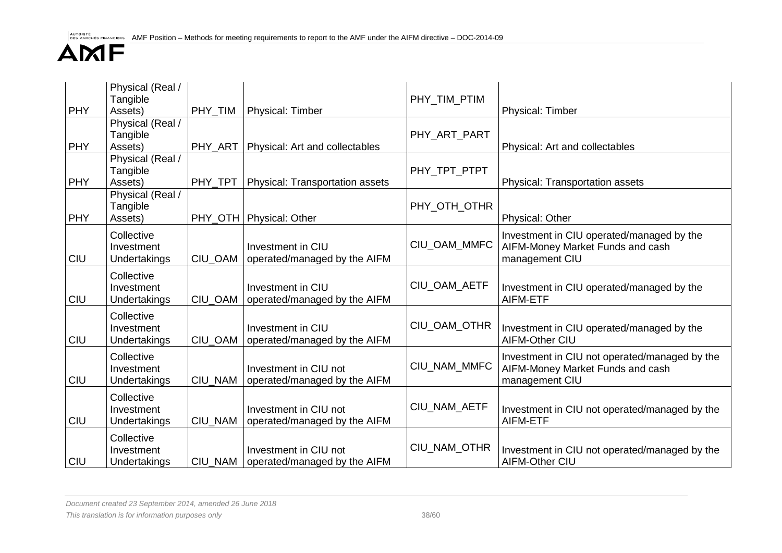| <b>PHY</b> | Physical (Real /<br>Tangible<br>Assets)  | PHY_TIM | <b>Physical: Timber</b>                               | PHY TIM PTIM | <b>Physical: Timber</b>                                                                             |
|------------|------------------------------------------|---------|-------------------------------------------------------|--------------|-----------------------------------------------------------------------------------------------------|
| <b>PHY</b> | Physical (Real /<br>Tangible<br>Assets)  | PHY ART | Physical: Art and collectables                        | PHY_ART_PART | Physical: Art and collectables                                                                      |
| <b>PHY</b> | Physical (Real /<br>Tangible<br>Assets)  | PHY TPT | <b>Physical: Transportation assets</b>                | PHY TPT PTPT | Physical: Transportation assets                                                                     |
| <b>PHY</b> | Physical (Real /<br>Tangible<br>Assets)  |         | PHY_OTH   Physical: Other                             | PHY_OTH_OTHR | <b>Physical: Other</b>                                                                              |
| <b>CIU</b> | Collective<br>Investment<br>Undertakings | CIU OAM | Investment in CIU<br>operated/managed by the AIFM     | CIU_OAM_MMFC | Investment in CIU operated/managed by the<br>AIFM-Money Market Funds and cash<br>management CIU     |
| <b>CIU</b> | Collective<br>Investment<br>Undertakings | CIU OAM | Investment in CIU<br>operated/managed by the AIFM     | CIU_OAM_AETF | Investment in CIU operated/managed by the<br>AIFM-ETF                                               |
| <b>CIU</b> | Collective<br>Investment<br>Undertakings | CIU_OAM | Investment in CIU<br>operated/managed by the AIFM     | CIU_OAM_OTHR | Investment in CIU operated/managed by the<br>AIFM-Other CIU                                         |
| <b>CIU</b> | Collective<br>Investment<br>Undertakings | CIU_NAM | Investment in CIU not<br>operated/managed by the AIFM | CIU NAM MMFC | Investment in CIU not operated/managed by the<br>AIFM-Money Market Funds and cash<br>management CIU |
| <b>CIU</b> | Collective<br>Investment<br>Undertakings | CIU_NAM | Investment in CIU not<br>operated/managed by the AIFM | CIU NAM AETF | Investment in CIU not operated/managed by the<br>AIFM-ETF                                           |
| <b>CIU</b> | Collective<br>Investment<br>Undertakings | CIU NAM | Investment in CIU not<br>operated/managed by the AIFM | CIU NAM OTHR | Investment in CIU not operated/managed by the<br>AIFM-Other CIU                                     |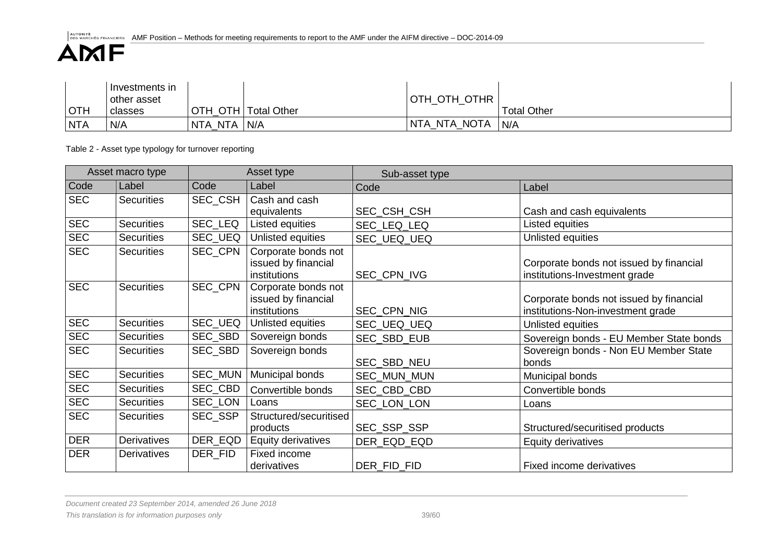|            | l Investments in<br>other asset |         |                     | OTH_OTH_OTHR |                    |
|------------|---------------------------------|---------|---------------------|--------------|--------------------|
| <b>OTH</b> | classes                         |         | OTH OTH Total Other |              | <b>Total Other</b> |
| <b>NTA</b> | N/A                             | NTA NTA | N/A                 | NTA NTA NOTA | N/A                |

Table 2 - Asset type typology for turnover reporting

|            | Asset macro type   |                | Asset type                                                 | Sub-asset type |                                                                              |
|------------|--------------------|----------------|------------------------------------------------------------|----------------|------------------------------------------------------------------------------|
| Code       | Label              | Code           | Label                                                      | Code           | Label                                                                        |
| <b>SEC</b> | <b>Securities</b>  | SEC_CSH        | Cash and cash<br>equivalents                               | SEC_CSH_CSH    | Cash and cash equivalents                                                    |
| <b>SEC</b> | Securities         | SEC_LEQ        | Listed equities                                            | SEC_LEQ_LEQ    | Listed equities                                                              |
| <b>SEC</b> | <b>Securities</b>  | <b>SEC UEQ</b> | Unlisted equities                                          | SEC_UEQ_UEQ    | Unlisted equities                                                            |
| <b>SEC</b> | <b>Securities</b>  | SEC_CPN        | Corporate bonds not<br>issued by financial<br>institutions | SEC_CPN_IVG    | Corporate bonds not issued by financial<br>institutions-Investment grade     |
| <b>SEC</b> | <b>Securities</b>  | SEC CPN        | Corporate bonds not<br>issued by financial<br>institutions | SEC_CPN_NIG    | Corporate bonds not issued by financial<br>institutions-Non-investment grade |
| <b>SEC</b> | <b>Securities</b>  | SEC_UEQ        | Unlisted equities                                          | SEC_UEQ_UEQ    | Unlisted equities                                                            |
| <b>SEC</b> | <b>Securities</b>  | SEC_SBD        | Sovereign bonds                                            | SEC_SBD_EUB    | Sovereign bonds - EU Member State bonds                                      |
| <b>SEC</b> | <b>Securities</b>  | SEC_SBD        | Sovereign bonds                                            | SEC_SBD_NEU    | Sovereign bonds - Non EU Member State<br>bonds                               |
| <b>SEC</b> | <b>Securities</b>  | SEC_MUN        | Municipal bonds                                            | SEC_MUN_MUN    | Municipal bonds                                                              |
| <b>SEC</b> | <b>Securities</b>  | SEC_CBD        | Convertible bonds                                          | SEC_CBD_CBD    | Convertible bonds                                                            |
| <b>SEC</b> | <b>Securities</b>  | SEC_LON        | Loans                                                      | SEC_LON_LON    | Loans                                                                        |
| <b>SEC</b> | <b>Securities</b>  | SEC_SSP        | Structured/securitised<br>products                         | SEC_SSP_SSP    | Structured/securitised products                                              |
| <b>DER</b> | <b>Derivatives</b> | DER_EQD        | Equity derivatives                                         | DER EQD EQD    | <b>Equity derivatives</b>                                                    |
| <b>DER</b> | Derivatives        | DER_FID        | Fixed income<br>derivatives                                | DER FID FID    | Fixed income derivatives                                                     |

*Document created 23 September 2014, amended 26 June 2018*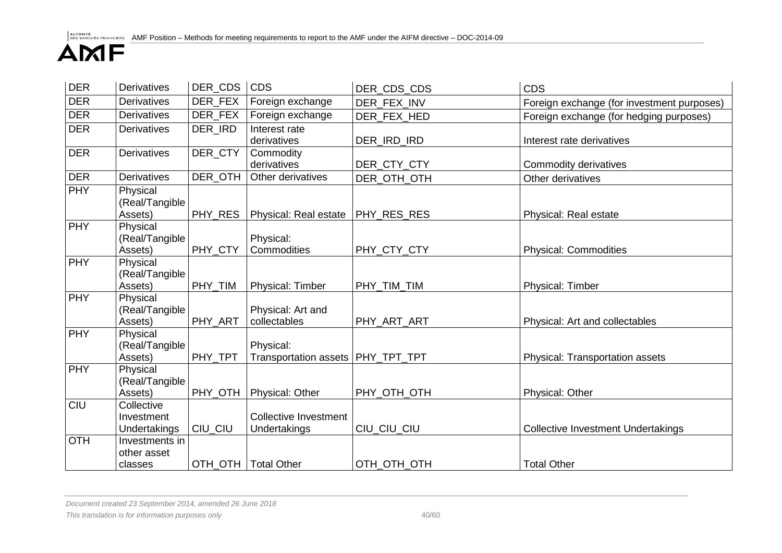| <b>DER</b> | <b>Derivatives</b>                       | DER CDS | <b>CDS</b>                                       | DER CDS CDS | <b>CDS</b>                                 |
|------------|------------------------------------------|---------|--------------------------------------------------|-------------|--------------------------------------------|
| <b>DER</b> | <b>Derivatives</b>                       | DER_FEX | Foreign exchange                                 | DER FEX INV | Foreign exchange (for investment purposes) |
| <b>DER</b> | <b>Derivatives</b>                       | DER_FEX | Foreign exchange                                 | DER_FEX_HED | Foreign exchange (for hedging purposes)    |
| <b>DER</b> | <b>Derivatives</b>                       | DER_IRD | Interest rate<br>derivatives                     | DER_IRD_IRD | Interest rate derivatives                  |
| <b>DER</b> | <b>Derivatives</b>                       | DER_CTY | Commodity<br>derivatives                         | DER_CTY_CTY | Commodity derivatives                      |
| <b>DER</b> | <b>Derivatives</b>                       | DER_OTH | Other derivatives                                | DER_OTH_OTH | Other derivatives                          |
| <b>PHY</b> | Physical<br>(Real/Tangible<br>Assets)    | PHY_RES | Physical: Real estate                            | PHY_RES_RES | Physical: Real estate                      |
| <b>PHY</b> | Physical<br>(Real/Tangible<br>Assets)    | PHY_CTY | Physical:<br>Commodities                         | PHY_CTY_CTY | <b>Physical: Commodities</b>               |
| <b>PHY</b> | Physical<br>(Real/Tangible<br>Assets)    | PHY_TIM | Physical: Timber                                 | PHY_TIM_TIM | Physical: Timber                           |
| <b>PHY</b> | Physical<br>(Real/Tangible<br>Assets)    | PHY_ART | Physical: Art and<br>collectables                | PHY_ART_ART | Physical: Art and collectables             |
| <b>PHY</b> | Physical<br>(Real/Tangible<br>Assets)    | PHY_TPT | Physical:<br>Transportation assets   PHY_TPT_TPT |             | <b>Physical: Transportation assets</b>     |
| <b>PHY</b> | Physical<br>(Real/Tangible<br>Assets)    | PHY_OTH | Physical: Other                                  | PHY_OTH_OTH | <b>Physical: Other</b>                     |
| CIU        | Collective<br>Investment<br>Undertakings | CIU_CIU | <b>Collective Investment</b><br>Undertakings     | CIU_CIU_CIU | <b>Collective Investment Undertakings</b>  |
| <b>OTH</b> | Investments in<br>other asset<br>classes | OTH OTH | <b>Total Other</b>                               | OTH OTH OTH | <b>Total Other</b>                         |

*Document created 23 September 2014, amended 26 June 2018* This translation is for information purposes only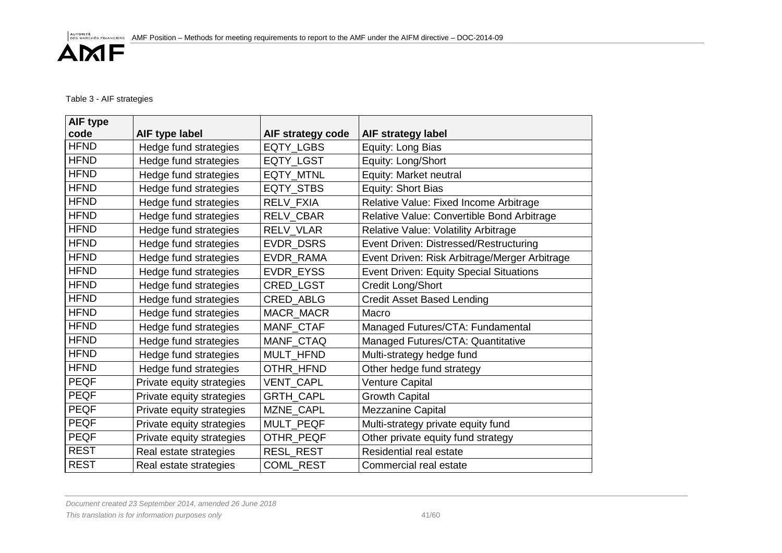### Table 3 - AIF strategies

| <b>AIF type</b><br>code | AIF type label            | AIF strategy code | <b>AIF strategy label</b>                      |
|-------------------------|---------------------------|-------------------|------------------------------------------------|
| <b>HFND</b>             | Hedge fund strategies     | EQTY_LGBS         | Equity: Long Bias                              |
| <b>HFND</b>             | Hedge fund strategies     | EQTY_LGST         | Equity: Long/Short                             |
| <b>HFND</b>             | Hedge fund strategies     | EQTY_MTNL         | Equity: Market neutral                         |
| <b>HFND</b>             | Hedge fund strategies     | EQTY_STBS         | Equity: Short Bias                             |
| <b>HFND</b>             | Hedge fund strategies     | <b>RELV FXIA</b>  | Relative Value: Fixed Income Arbitrage         |
| <b>HFND</b>             | Hedge fund strategies     | <b>RELV CBAR</b>  | Relative Value: Convertible Bond Arbitrage     |
| <b>HFND</b>             | Hedge fund strategies     | RELV_VLAR         | Relative Value: Volatility Arbitrage           |
| <b>HFND</b>             | Hedge fund strategies     | EVDR_DSRS         | Event Driven: Distressed/Restructuring         |
| <b>HFND</b>             | Hedge fund strategies     | EVDR_RAMA         | Event Driven: Risk Arbitrage/Merger Arbitrage  |
| <b>HFND</b>             | Hedge fund strategies     | <b>EVDR EYSS</b>  | <b>Event Driven: Equity Special Situations</b> |
| <b>HFND</b>             | Hedge fund strategies     | CRED_LGST         | Credit Long/Short                              |
| <b>HFND</b>             | Hedge fund strategies     | CRED_ABLG         | <b>Credit Asset Based Lending</b>              |
| <b>HFND</b>             | Hedge fund strategies     | MACR_MACR         | Macro                                          |
| <b>HFND</b>             | Hedge fund strategies     | MANF_CTAF         | Managed Futures/CTA: Fundamental               |
| <b>HFND</b>             | Hedge fund strategies     | MANF CTAQ         | Managed Futures/CTA: Quantitative              |
| <b>HFND</b>             | Hedge fund strategies     | MULT_HFND         | Multi-strategy hedge fund                      |
| <b>HFND</b>             | Hedge fund strategies     | OTHR_HFND         | Other hedge fund strategy                      |
| <b>PEQF</b>             | Private equity strategies | VENT_CAPL         | Venture Capital                                |
| <b>PEQF</b>             | Private equity strategies | GRTH_CAPL         | <b>Growth Capital</b>                          |
| <b>PEQF</b>             | Private equity strategies | MZNE_CAPL         | Mezzanine Capital                              |
| <b>PEQF</b>             | Private equity strategies | MULT_PEQF         | Multi-strategy private equity fund             |
| <b>PEQF</b>             | Private equity strategies | OTHR_PEQF         | Other private equity fund strategy             |
| <b>REST</b>             | Real estate strategies    | RESL_REST         | Residential real estate                        |
| <b>REST</b>             | Real estate strategies    | COML_REST         | Commercial real estate                         |

*Document created 23 September 2014, amended 26 June 2018*

This translation is for information purposes only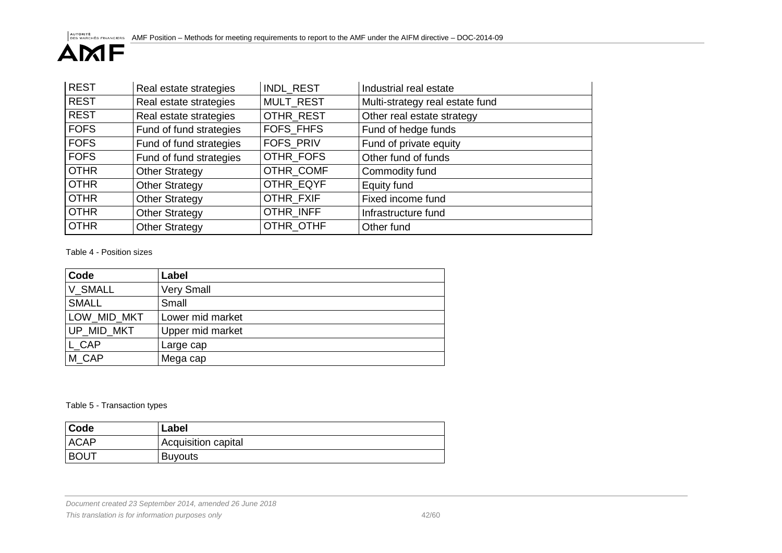| <b>REST</b> | Real estate strategies  | INDL_REST        | Industrial real estate          |
|-------------|-------------------------|------------------|---------------------------------|
| <b>REST</b> | Real estate strategies  | <b>MULT REST</b> | Multi-strategy real estate fund |
| <b>REST</b> | Real estate strategies  | OTHR REST        | Other real estate strategy      |
| <b>FOFS</b> | Fund of fund strategies | <b>FOFS FHFS</b> | Fund of hedge funds             |
| <b>FOFS</b> | Fund of fund strategies | FOFS_PRIV        | Fund of private equity          |
| <b>FOFS</b> | Fund of fund strategies | OTHR FOFS        | Other fund of funds             |
| <b>OTHR</b> | <b>Other Strategy</b>   | OTHR COMF        | Commodity fund                  |
| <b>OTHR</b> | <b>Other Strategy</b>   | OTHR EQYF        | Equity fund                     |
| <b>OTHR</b> | <b>Other Strategy</b>   | OTHR FXIF        | Fixed income fund               |
| <b>OTHR</b> | <b>Other Strategy</b>   | OTHR INFF        | Infrastructure fund             |
| <b>OTHR</b> | <b>Other Strategy</b>   | OTHR OTHF        | Other fund                      |

Table 4 - Position sizes

| Code         | Label             |
|--------------|-------------------|
| V_SMALL      | <b>Very Small</b> |
| <b>SMALL</b> | Small             |
| LOW MID MKT  | Lower mid market  |
| UP MID MKT   | Upper mid market  |
| L CAP        | Large cap         |
| M CAP        | Mega cap          |

Table 5 - Transaction types

| Code        | Label               |
|-------------|---------------------|
| <b>ACAP</b> | Acquisition capital |
| <b>BOUT</b> | <b>Buyouts</b>      |

*Document created 23 September 2014, amended 26 June 2018*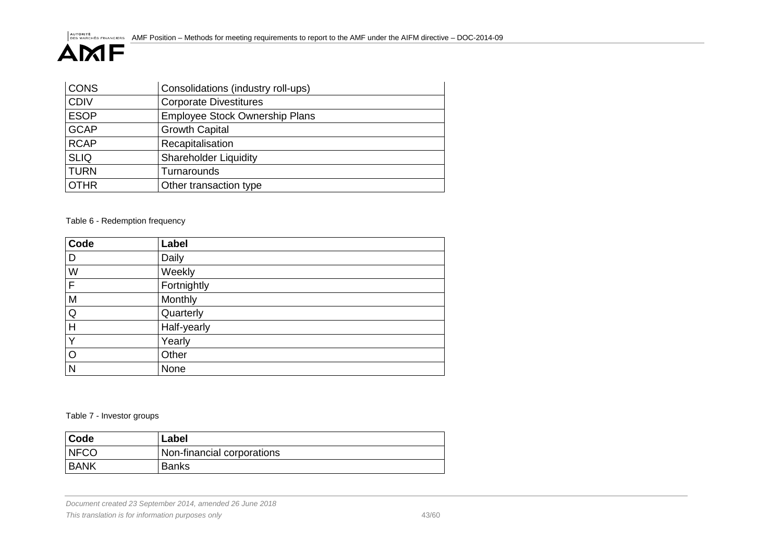| <b>CONS</b> | Consolidations (industry roll-ups)    |  |  |
|-------------|---------------------------------------|--|--|
| <b>CDIV</b> | <b>Corporate Divestitures</b>         |  |  |
| <b>ESOP</b> | <b>Employee Stock Ownership Plans</b> |  |  |
| <b>GCAP</b> | <b>Growth Capital</b>                 |  |  |
| <b>RCAP</b> | Recapitalisation                      |  |  |
| <b>SLIQ</b> | <b>Shareholder Liquidity</b>          |  |  |
| <b>TURN</b> | Turnarounds                           |  |  |
| <b>OTHR</b> | Other transaction type                |  |  |

Table 6 - Redemption frequency

| Code         | Label       |
|--------------|-------------|
| D            | Daily       |
| W            | Weekly      |
| $\mathsf{F}$ | Fortnightly |
| M            | Monthly     |
| $\mathsf Q$  | Quarterly   |
| H            | Half-yearly |
| Y            | Yearly      |
| $\circ$      | Other       |
| $\mathsf{N}$ | None        |

Table 7 - Investor groups

| <b>Code</b> | Label                      |
|-------------|----------------------------|
| <b>NFCO</b> | Non-financial corporations |
| I BANK      | <b>Banks</b>               |

*Document created 23 September 2014, amended 26 June 2018 This translation is for information purposes only* 43/60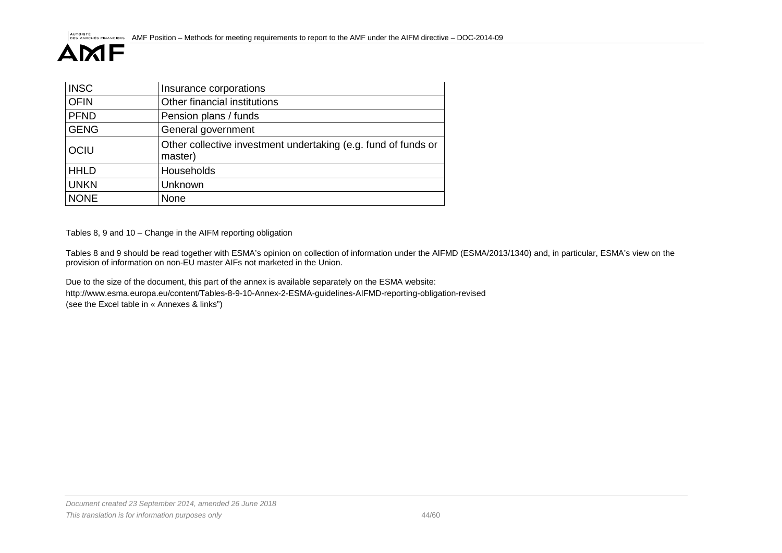| <b>INSC</b> | Insurance corporations                                                    |  |  |  |
|-------------|---------------------------------------------------------------------------|--|--|--|
| <b>OFIN</b> | Other financial institutions                                              |  |  |  |
| <b>PFND</b> | Pension plans / funds                                                     |  |  |  |
| <b>GENG</b> | General government                                                        |  |  |  |
| <b>OCIU</b> | Other collective investment undertaking (e.g. fund of funds or<br>master) |  |  |  |
| <b>HHLD</b> | Households                                                                |  |  |  |
| <b>UNKN</b> | Unknown                                                                   |  |  |  |
| <b>NONE</b> | None                                                                      |  |  |  |

Tables 8, 9 and 10 – Change in the AIFM reporting obligation

Tables 8 and 9 should be read together with ESMA's opinion on collection of information under the AIFMD (ESMA/2013/1340) and, in particular, ESMA's view on the provision of information on non-EU master AIFs not marketed in the Union.

Due to the size of the document, this part of the annex is available separately on the ESMA website: <http://www.esma.europa.eu/content/Tables-8-9-10-Annex-2-ESMA-guidelines-AIFMD-reporting-obligation-revised> (see the Excel table in « Annexes & links")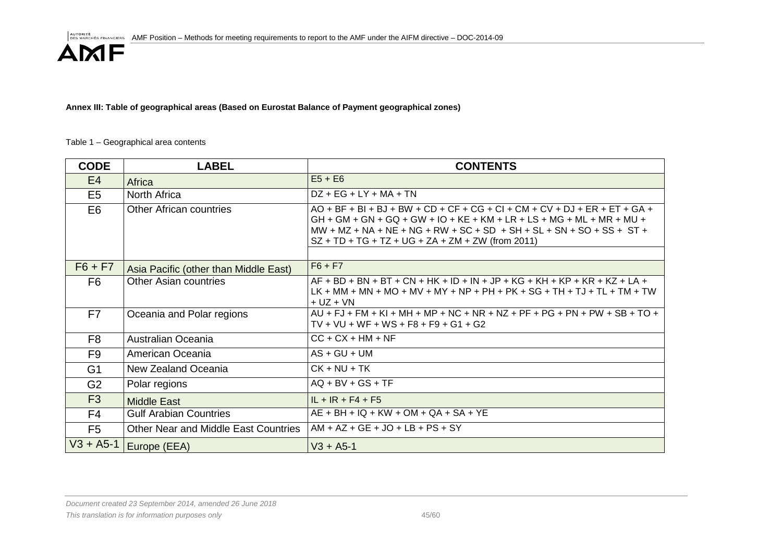**Annex III: Table of geographical areas (Based on Eurostat Balance of Payment geographical zones)**

#### Table 1 – Geographical area contents

| <b>CODE</b>    | <b>LABEL</b>                                | <b>CONTENTS</b>                                                                                                                                                                                                                                                                           |
|----------------|---------------------------------------------|-------------------------------------------------------------------------------------------------------------------------------------------------------------------------------------------------------------------------------------------------------------------------------------------|
| E4             | Africa                                      | $E5 + E6$                                                                                                                                                                                                                                                                                 |
| E <sub>5</sub> | North Africa                                | $DZ + EG + LY + MA + TN$                                                                                                                                                                                                                                                                  |
| E <sub>6</sub> | <b>Other African countries</b>              | $AO + BF + BI + BJ + BW + CD + CF + CG + CI + CM + CV + DJ + ER + ET + GA +$<br>$GH$ + GM + GN + GQ + GW + IO + KE + KM + LR + LS + MG + ML + MR + MU +<br>$MW + MZ + NA + NE + NG + RW + SC + SD + SH + SL + SN + SO + SS + ST +$<br>$SZ + TD + TG + TZ + UG + ZA + ZM + ZW$ (from 2011) |
|                |                                             |                                                                                                                                                                                                                                                                                           |
| $F6 + F7$      | Asia Pacific (other than Middle East)       | $F6 + F7$                                                                                                                                                                                                                                                                                 |
| F6             | <b>Other Asian countries</b>                | $AF + BD + BN + BT + CN + HK + ID + IN + JP + KG + KH + KP + KR + KZ + LA +$<br>$LK + MM + MN + MO + MV + MY + NP + PH + PK + SG + TH + TJ + TL + TM + TW$<br>$+ UZ + VN$                                                                                                                 |
| F7             | Oceania and Polar regions                   | $AU$ + FJ + FM + KI + MH + MP + NC + NR + NZ + PF + PG + PN + PW + SB + TO +<br>$TV + VU + WF + WS + F8 + F9 + G1 + G2$                                                                                                                                                                   |
| F <sub>8</sub> | Australian Oceania                          | $CC + CX + HM + NF$                                                                                                                                                                                                                                                                       |
| F <sub>9</sub> | American Oceania                            | $AS + GU + UM$                                                                                                                                                                                                                                                                            |
| G <sub>1</sub> | New Zealand Oceania                         | $CK + NU + TK$                                                                                                                                                                                                                                                                            |
| G <sub>2</sub> | Polar regions                               | $AQ + BV + GS + TF$                                                                                                                                                                                                                                                                       |
| F <sub>3</sub> | <b>Middle East</b>                          | $IL + IR + F4 + F5$                                                                                                                                                                                                                                                                       |
| F <sub>4</sub> | <b>Gulf Arabian Countries</b>               | $AE + BH + IQ + KW + OM + QA + SA + YE$                                                                                                                                                                                                                                                   |
| F <sub>5</sub> | <b>Other Near and Middle East Countries</b> | $AM + AZ + GE + JO + LB + PS + SY$                                                                                                                                                                                                                                                        |
|                | $V3 + A5-1$ Europe (EEA)                    | $V3 + A5-1$                                                                                                                                                                                                                                                                               |

*Document created 23 September 2014, amended 26 June 2018 This translation is for information purposes only* 45/60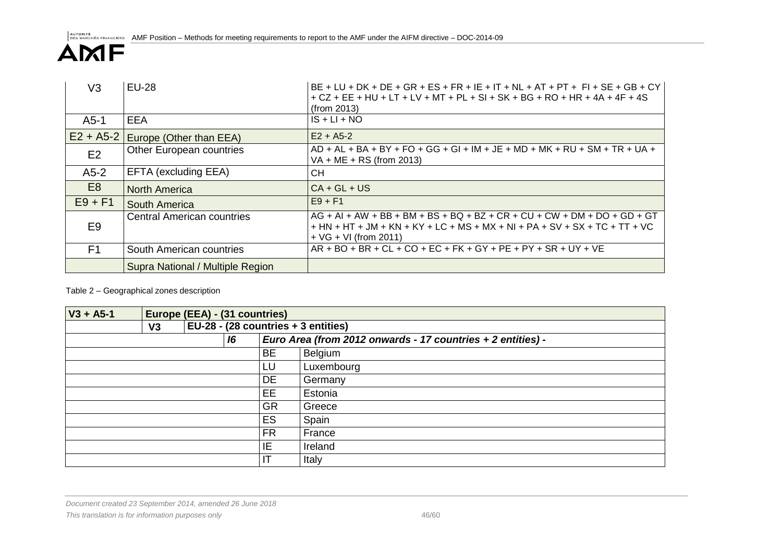| V3             | <b>EU-28</b>                        | $BE + LU + DK + DE + GR + ES + FR + IE + IT + NL + AT + PT + FI + SE + GB + CY$<br>+ CZ + EE + HU + LT + LV + MT + PL + SI + SK + BG + RO + HR + 4A + 4F + 4S<br>(from 2013)                    |
|----------------|-------------------------------------|-------------------------------------------------------------------------------------------------------------------------------------------------------------------------------------------------|
| $A5-1$         | <b>EEA</b>                          | $IS + LI + NO$                                                                                                                                                                                  |
|                | $E2 + A5-2$ Europe (Other than EEA) | $E2 + A5-2$                                                                                                                                                                                     |
| E <sub>2</sub> | Other European countries            | $AD + AL + BA + BY + FO + GG + GI + IM + JE + MD + MK + RU + SM + TR + UA +$<br>VA + ME + RS (from 2013)                                                                                        |
| $A5-2$         | EFTA (excluding EEA)                | <b>CH</b>                                                                                                                                                                                       |
| E <sub>8</sub> | <b>North America</b>                | $CA + GL + US$                                                                                                                                                                                  |
| $E9 + F1$      | South America                       | $E9 + F1$                                                                                                                                                                                       |
| E <sub>9</sub> | <b>Central American countries</b>   | $AG + AI + AW + BB + BM + BS + BQ + BZ + CR + CU + CW + DM + DO + GD + GT$<br>+ HN + HT + JM + KN + KY + LC + MS + MX + NI + PA + SV + SX + TC + TT + VC<br>$+ \sqrt{G} + \sqrt{G}$ (from 2011) |
| F <sub>1</sub> | South American countries            | $AR + BO + BR + CL + CO + EC + FK + GY + PE + PY + SR + UY + VE$                                                                                                                                |
|                | Supra National / Multiple Region    |                                                                                                                                                                                                 |

### Table 2 – Geographical zones description

| $V3 + A5-1$ |    | Europe (EEA) - (31 countries)          |    |           |                                                             |
|-------------|----|----------------------------------------|----|-----------|-------------------------------------------------------------|
|             | V3 | EU-28 - $(28$ countries $+3$ entities) |    |           |                                                             |
|             |    |                                        | 16 |           | Euro Area (from 2012 onwards - 17 countries + 2 entities) - |
|             |    |                                        |    | <b>BE</b> | Belgium                                                     |
|             |    |                                        |    | LU        | Luxembourg                                                  |
|             |    |                                        |    | DE        | Germany                                                     |
|             |    |                                        |    | <b>EE</b> | Estonia                                                     |
|             |    |                                        |    | <b>GR</b> | Greece                                                      |
|             |    |                                        |    | <b>ES</b> | Spain                                                       |
|             |    |                                        |    | <b>FR</b> | France                                                      |
|             |    |                                        |    | IE        | Ireland                                                     |
|             |    |                                        |    |           | Italy                                                       |

*Document created 23 September 2014, amended 26 June 2018*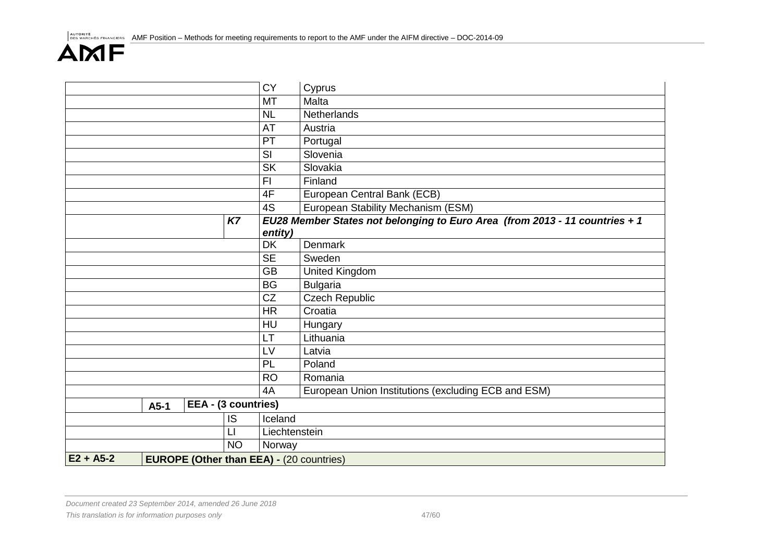|             |        |                                                 |           | <b>CY</b>       | Cyprus                                                                      |
|-------------|--------|-------------------------------------------------|-----------|-----------------|-----------------------------------------------------------------------------|
|             |        |                                                 |           | <b>MT</b>       | Malta                                                                       |
|             |        |                                                 |           | <b>NL</b>       | Netherlands                                                                 |
|             |        |                                                 |           | AT              | Austria                                                                     |
|             |        |                                                 |           | PT              | Portugal                                                                    |
|             |        |                                                 |           | SI              | Slovenia                                                                    |
|             |        |                                                 |           | <b>SK</b>       | Slovakia                                                                    |
|             |        |                                                 |           | F <sub>l</sub>  | Finland                                                                     |
|             |        |                                                 |           | 4F              | European Central Bank (ECB)                                                 |
|             |        |                                                 |           | $\overline{4S}$ | European Stability Mechanism (ESM)                                          |
|             |        |                                                 | <b>K7</b> |                 | EU28 Member States not belonging to Euro Area (from 2013 - 11 countries + 1 |
|             |        |                                                 |           | entity)         |                                                                             |
|             |        |                                                 |           | <b>DK</b>       | Denmark                                                                     |
|             |        |                                                 |           | <b>SE</b>       | Sweden                                                                      |
|             |        |                                                 |           | <b>GB</b>       | <b>United Kingdom</b>                                                       |
|             |        |                                                 |           | <b>BG</b>       | <b>Bulgaria</b>                                                             |
|             |        |                                                 |           | CZ              | <b>Czech Republic</b>                                                       |
|             |        |                                                 |           | <b>HR</b>       | Croatia                                                                     |
|             |        |                                                 |           | HU              | Hungary                                                                     |
|             |        |                                                 |           | LT              | Lithuania                                                                   |
|             |        |                                                 |           | LV              | Latvia                                                                      |
|             |        |                                                 |           | PL              | Poland                                                                      |
|             |        |                                                 |           | <b>RO</b>       | Romania                                                                     |
|             |        |                                                 |           | 4A              | European Union Institutions (excluding ECB and ESM)                         |
|             | $A5-1$ | EEA - (3 countries)                             |           |                 |                                                                             |
|             |        |                                                 | IS        | Iceland         |                                                                             |
|             |        |                                                 | LI        | Liechtenstein   |                                                                             |
|             |        |                                                 | <b>NO</b> | Norway          |                                                                             |
| $E2 + A5-2$ |        | <b>EUROPE (Other than EEA) - (20 countries)</b> |           |                 |                                                                             |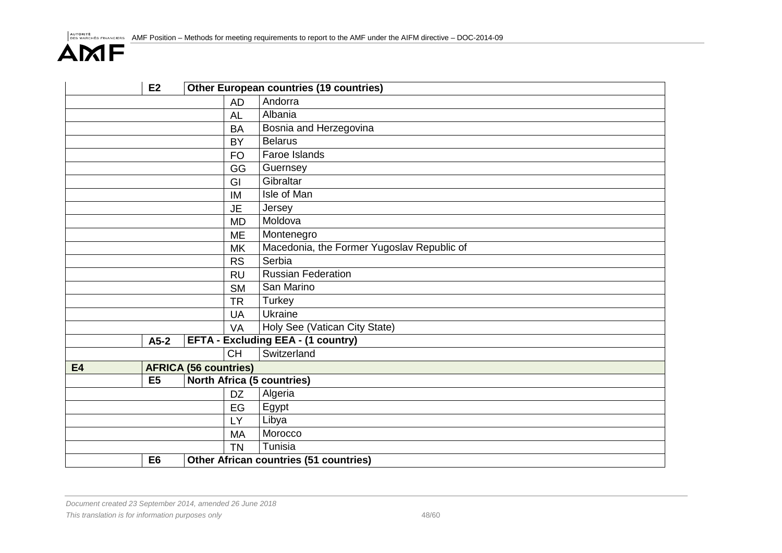|           | E2             |                                   | <b>Other European countries (19 countries)</b> |  |  |  |
|-----------|----------------|-----------------------------------|------------------------------------------------|--|--|--|
|           |                | <b>AD</b>                         | Andorra                                        |  |  |  |
|           |                | <b>AL</b>                         | Albania                                        |  |  |  |
|           |                | <b>BA</b>                         | Bosnia and Herzegovina                         |  |  |  |
|           |                | <b>BY</b>                         | <b>Belarus</b>                                 |  |  |  |
|           |                | <b>FO</b>                         | Faroe Islands                                  |  |  |  |
|           |                | GG                                | Guernsey                                       |  |  |  |
|           |                | GI                                | Gibraltar                                      |  |  |  |
|           |                | IM                                | Isle of Man                                    |  |  |  |
|           |                | <b>JE</b>                         | Jersey                                         |  |  |  |
|           |                | <b>MD</b>                         | Moldova                                        |  |  |  |
|           |                | <b>ME</b>                         | Montenegro                                     |  |  |  |
|           |                | <b>MK</b>                         | Macedonia, the Former Yugoslav Republic of     |  |  |  |
|           |                | <b>RS</b>                         | Serbia                                         |  |  |  |
|           |                | <b>RU</b>                         | <b>Russian Federation</b>                      |  |  |  |
|           |                | <b>SM</b>                         | San Marino                                     |  |  |  |
|           |                | <b>TR</b>                         | Turkey                                         |  |  |  |
|           |                | <b>UA</b>                         | Ukraine                                        |  |  |  |
|           |                | VA                                | Holy See (Vatican City State)                  |  |  |  |
|           | $A5-2$         |                                   | <b>EFTA - Excluding EEA - (1 country)</b>      |  |  |  |
|           |                | <b>CH</b>                         | Switzerland                                    |  |  |  |
| <b>E4</b> |                | <b>AFRICA (56 countries)</b>      |                                                |  |  |  |
|           | E <sub>5</sub> | <b>North Africa (5 countries)</b> |                                                |  |  |  |
|           |                | <b>DZ</b>                         | Algeria                                        |  |  |  |
|           |                | EG                                | Egypt                                          |  |  |  |
|           |                | LY                                | Libya                                          |  |  |  |
|           |                | <b>MA</b>                         | Morocco                                        |  |  |  |
|           |                |                                   | Tunisia                                        |  |  |  |
|           | E <sub>6</sub> |                                   | Other African countries (51 countries)         |  |  |  |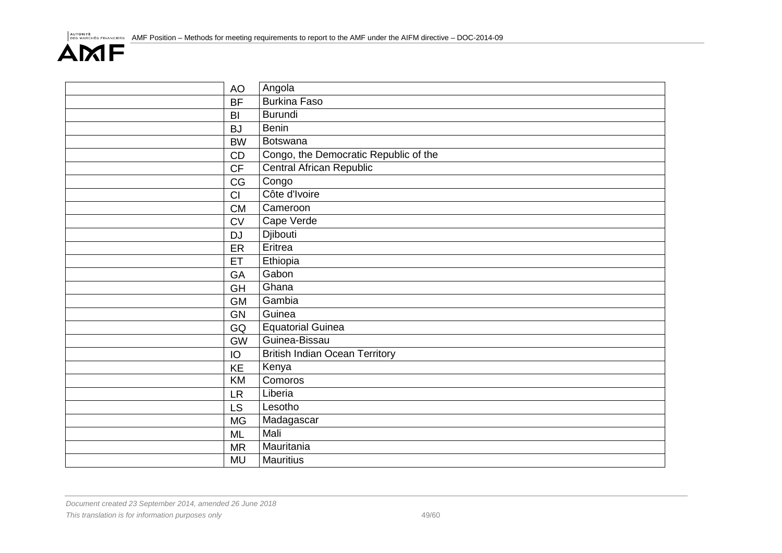| <b>AO</b> | Angola                                |
|-----------|---------------------------------------|
| <b>BF</b> | <b>Burkina Faso</b>                   |
| BI        | <b>Burundi</b>                        |
| <b>BJ</b> | <b>Benin</b>                          |
| <b>BW</b> | <b>Botswana</b>                       |
| CD        | Congo, the Democratic Republic of the |
| CF        | <b>Central African Republic</b>       |
| CG        | Congo                                 |
| CI        | Côte d'Ivoire                         |
| <b>CM</b> | Cameroon                              |
| <b>CV</b> | Cape Verde                            |
| <b>DJ</b> | Djibouti                              |
| ER        | Eritrea                               |
| ET        | Ethiopia                              |
| GA        | Gabon                                 |
| <b>GH</b> | Ghana                                 |
| <b>GM</b> | Gambia                                |
| <b>GN</b> | Guinea                                |
| GQ        | <b>Equatorial Guinea</b>              |
| <b>GW</b> | Guinea-Bissau                         |
| IO        | <b>British Indian Ocean Territory</b> |
| KE        | Kenya                                 |
| KM        | Comoros                               |
| <b>LR</b> | Liberia                               |
| LS        | Lesotho                               |
| <b>MG</b> | Madagascar                            |
| <b>ML</b> | Mali                                  |
| <b>MR</b> | Mauritania                            |
| <b>MU</b> | <b>Mauritius</b>                      |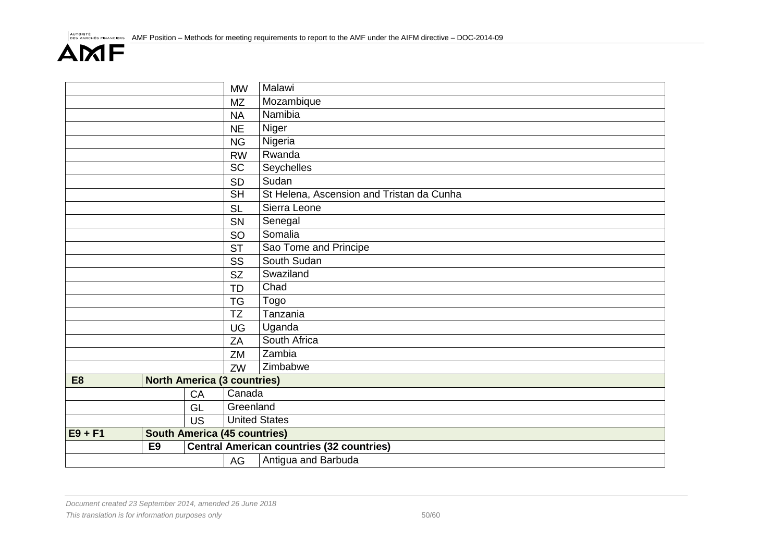|                |                |                                     | <b>MW</b>                | Malawi                                           |  |
|----------------|----------------|-------------------------------------|--------------------------|--------------------------------------------------|--|
|                |                |                                     | <b>MZ</b>                | Mozambique                                       |  |
|                |                |                                     | <b>NA</b>                | Namibia                                          |  |
|                |                |                                     | <b>NE</b>                | Niger                                            |  |
| <b>NG</b>      |                |                                     |                          | Nigeria                                          |  |
|                |                |                                     | <b>RW</b>                | Rwanda                                           |  |
|                |                |                                     | <b>SC</b>                | Seychelles                                       |  |
|                |                |                                     | SD                       | Sudan                                            |  |
|                |                |                                     | $\overline{\mathsf{SH}}$ | St Helena, Ascension and Tristan da Cunha        |  |
|                |                |                                     | <b>SL</b>                | Sierra Leone                                     |  |
|                |                |                                     | SN                       | Senegal                                          |  |
|                |                |                                     | SO                       | Somalia                                          |  |
|                |                |                                     | <b>ST</b>                | Sao Tome and Principe                            |  |
| SS             |                |                                     |                          | South Sudan                                      |  |
| <b>SZ</b>      |                |                                     |                          | Swaziland                                        |  |
|                |                |                                     | <b>TD</b>                | Chad                                             |  |
|                |                |                                     | <b>TG</b>                | Togo                                             |  |
|                |                |                                     | <b>TZ</b>                | Tanzania                                         |  |
|                |                |                                     | UG                       | Uganda                                           |  |
|                |                |                                     | ZA                       | South Africa                                     |  |
|                |                |                                     | ZM                       | Zambia                                           |  |
|                |                |                                     | ZW                       | Zimbabwe                                         |  |
| E <sub>8</sub> |                | <b>North America (3 countries)</b>  |                          |                                                  |  |
|                |                | CA                                  | Canada                   |                                                  |  |
|                |                | GL                                  | Greenland                |                                                  |  |
|                |                | <b>US</b>                           | <b>United States</b>     |                                                  |  |
| $E9 + F1$      |                | <b>South America (45 countries)</b> |                          |                                                  |  |
|                | E <sub>9</sub> |                                     |                          | <b>Central American countries (32 countries)</b> |  |
|                |                |                                     | AG                       | Antigua and Barbuda                              |  |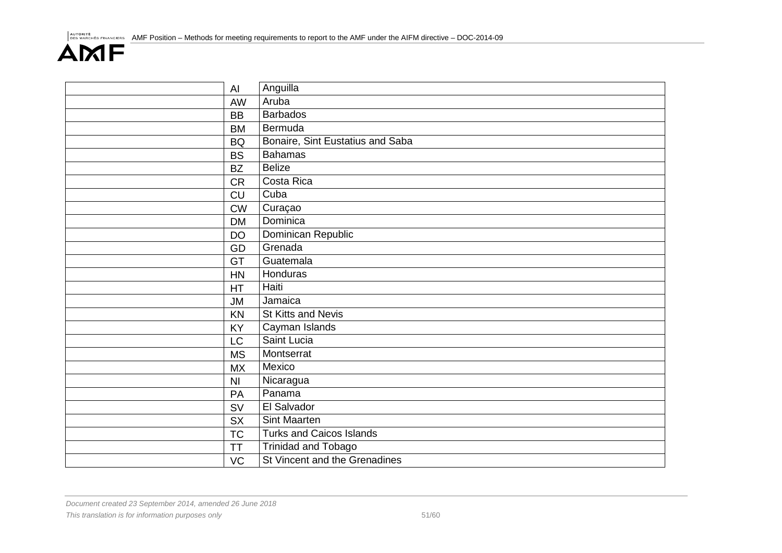| AI             | Anguilla                         |
|----------------|----------------------------------|
| AW             | Aruba                            |
| <b>BB</b>      | <b>Barbados</b>                  |
| <b>BM</b>      | Bermuda                          |
| <b>BQ</b>      | Bonaire, Sint Eustatius and Saba |
| <b>BS</b>      | <b>Bahamas</b>                   |
| <b>BZ</b>      | <b>Belize</b>                    |
| <b>CR</b>      | Costa Rica                       |
| <b>CU</b>      | Cuba                             |
| <b>CW</b>      | Curaçao                          |
| <b>DM</b>      | <b>Dominica</b>                  |
| <b>DO</b>      | Dominican Republic               |
| GD             | Grenada                          |
| GT             | Guatemala                        |
| HN             | Honduras                         |
| <b>HT</b>      | Haiti                            |
| <b>JM</b>      | Jamaica                          |
| KN             | <b>St Kitts and Nevis</b>        |
| KY             | Cayman Islands                   |
| LC             | Saint Lucia                      |
| <b>MS</b>      | Montserrat                       |
| <b>MX</b>      | Mexico                           |
| N <sub>l</sub> | Nicaragua                        |
| PA             | Panama                           |
| SV             | El Salvador                      |
| <b>SX</b>      | Sint Maarten                     |
| <b>TC</b>      | <b>Turks and Caicos Islands</b>  |
| <b>TT</b>      | <b>Trinidad and Tobago</b>       |
| VC             | St Vincent and the Grenadines    |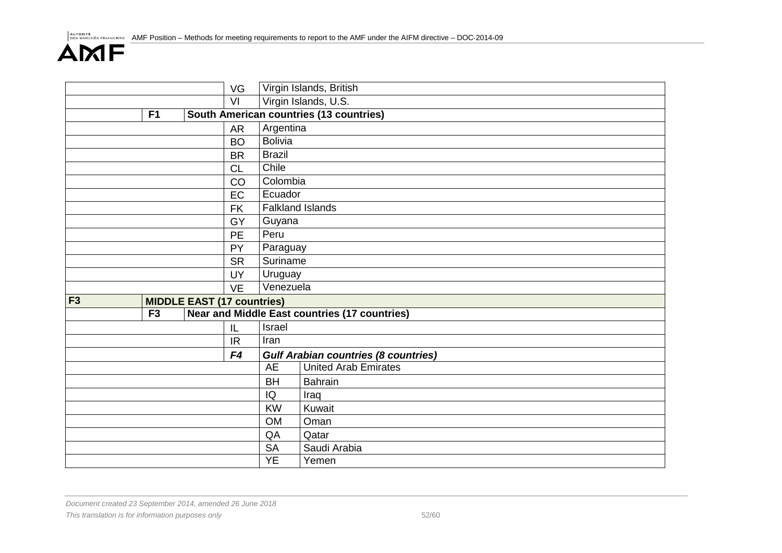|           |    |                                   | VG             |                                                | Virgin Islands, British                              |  |  |
|-----------|----|-----------------------------------|----------------|------------------------------------------------|------------------------------------------------------|--|--|
|           |    |                                   | VI             |                                                | Virgin Islands, U.S.                                 |  |  |
|           | F1 |                                   |                | <b>South American countries (13 countries)</b> |                                                      |  |  |
|           |    |                                   | <b>AR</b>      | Argentina                                      |                                                      |  |  |
|           |    |                                   | <b>BO</b>      | <b>Bolivia</b>                                 |                                                      |  |  |
|           |    |                                   | <b>BR</b>      | <b>Brazil</b>                                  |                                                      |  |  |
|           |    |                                   | <b>CL</b>      |                                                | Chile                                                |  |  |
|           |    |                                   | CO             | Colombia                                       |                                                      |  |  |
|           |    |                                   | EC             | Ecuador                                        |                                                      |  |  |
|           |    |                                   | <b>FK</b>      |                                                | <b>Falkland Islands</b>                              |  |  |
|           |    |                                   | GY             | Guyana                                         |                                                      |  |  |
|           |    |                                   | <b>PE</b>      | Peru                                           |                                                      |  |  |
|           | PY |                                   | Paraguay       |                                                |                                                      |  |  |
| <b>SR</b> |    | Suriname                          |                |                                                |                                                      |  |  |
|           |    |                                   | UY             | Uruguay                                        |                                                      |  |  |
|           |    |                                   | <b>VE</b>      | Venezuela                                      |                                                      |  |  |
| F3        |    | <b>MIDDLE EAST (17 countries)</b> |                |                                                |                                                      |  |  |
|           | F3 |                                   |                |                                                | <b>Near and Middle East countries (17 countries)</b> |  |  |
|           |    |                                   | L              | Israel                                         |                                                      |  |  |
|           |    |                                   | IR.            | Iran                                           |                                                      |  |  |
|           |    |                                   | F <sub>4</sub> |                                                | <b>Gulf Arabian countries (8 countries)</b>          |  |  |
|           |    |                                   |                | <b>AE</b>                                      | <b>United Arab Emirates</b>                          |  |  |
|           |    |                                   |                | <b>BH</b>                                      | <b>Bahrain</b>                                       |  |  |
|           |    |                                   |                | IQ                                             | Iraq                                                 |  |  |
|           |    |                                   |                | <b>KW</b>                                      | Kuwait                                               |  |  |
|           |    |                                   |                | <b>OM</b>                                      | Oman                                                 |  |  |
|           |    |                                   |                | QA                                             | Qatar                                                |  |  |
|           |    |                                   |                | <b>SA</b>                                      | Saudi Arabia                                         |  |  |
|           |    |                                   |                | <b>YE</b>                                      | Yemen                                                |  |  |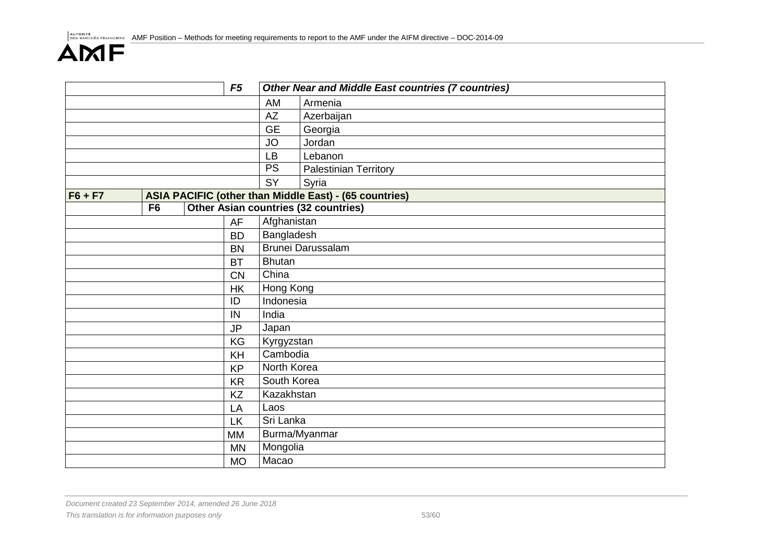|           |                |       | F <sub>5</sub> |               | <b>Other Near and Middle East countries (7 countries)</b> |
|-----------|----------------|-------|----------------|---------------|-----------------------------------------------------------|
|           |                |       |                | AM            | Armenia                                                   |
|           |                |       |                | <b>AZ</b>     | Azerbaijan                                                |
|           |                |       |                | <b>GE</b>     | Georgia                                                   |
|           |                |       |                | <b>JO</b>     | Jordan                                                    |
|           |                |       |                | <b>LB</b>     | Lebanon                                                   |
|           |                |       |                | <b>PS</b>     | <b>Palestinian Territory</b>                              |
|           |                |       |                | <b>SY</b>     | Syria                                                     |
| $F6 + F7$ |                |       |                |               | ASIA PACIFIC (other than Middle East) - (65 countries)    |
|           | F <sub>6</sub> |       |                |               | Other Asian countries (32 countries)                      |
|           |                |       | AF             | Afghanistan   |                                                           |
|           |                |       | <b>BD</b>      | Bangladesh    |                                                           |
|           |                |       | <b>BN</b>      |               | <b>Brunei Darussalam</b>                                  |
|           |                |       | <b>BT</b>      | <b>Bhutan</b> |                                                           |
| <b>CN</b> |                | China |                |               |                                                           |
|           | <b>HK</b>      |       | Hong Kong      |               |                                                           |
|           |                |       | ID             | Indonesia     |                                                           |
|           |                |       | IN             | India         |                                                           |
|           |                |       | <b>JP</b>      | Japan         |                                                           |
|           |                |       | KG             | Kyrgyzstan    |                                                           |
|           |                |       | KH             | Cambodia      |                                                           |
|           |                |       | <b>KP</b>      | North Korea   |                                                           |
|           |                |       | <b>KR</b>      | South Korea   |                                                           |
|           |                |       | <b>KZ</b>      | Kazakhstan    |                                                           |
|           |                |       | LA             | Laos          |                                                           |
|           |                |       | <b>LK</b>      | Sri Lanka     |                                                           |
|           |                |       | <b>MM</b>      |               | Burma/Myanmar                                             |
|           |                |       | <b>MN</b>      | Mongolia      |                                                           |
|           |                |       | <b>MO</b>      | Macao         |                                                           |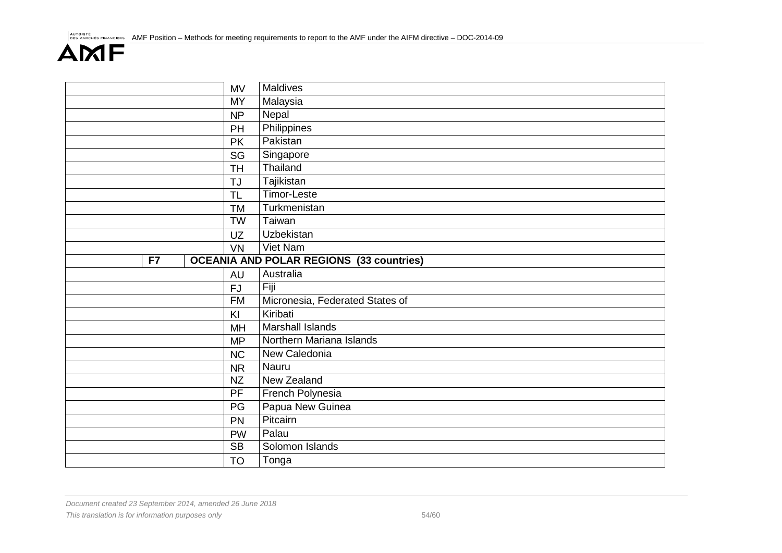|    | <b>MV</b> | Maldives                                        |
|----|-----------|-------------------------------------------------|
|    | <b>MY</b> | Malaysia                                        |
|    | <b>NP</b> | Nepal                                           |
|    | PH        | Philippines                                     |
|    | <b>PK</b> | Pakistan                                        |
|    | SG        | Singapore                                       |
|    | <b>TH</b> | Thailand                                        |
|    | TJ        | Tajikistan                                      |
|    | <b>TL</b> | <b>Timor-Leste</b>                              |
|    | <b>TM</b> | Turkmenistan                                    |
|    | <b>TW</b> | Taiwan                                          |
|    | UZ        | Uzbekistan                                      |
|    | <b>VN</b> | Viet Nam                                        |
| F7 |           | <b>OCEANIA AND POLAR REGIONS (33 countries)</b> |
|    | <b>AU</b> | Australia                                       |
|    | <b>FJ</b> | Fiji                                            |
|    | <b>FM</b> | Micronesia, Federated States of                 |
|    | KI        | Kiribati                                        |
|    | MH        | <b>Marshall Islands</b>                         |
|    | <b>MP</b> | Northern Mariana Islands                        |
|    | <b>NC</b> | New Caledonia                                   |
|    | <b>NR</b> | Nauru                                           |
|    | <b>NZ</b> | New Zealand                                     |
|    | PF        | French Polynesia                                |
|    | PG        | Papua New Guinea                                |
|    | PN        | Pitcairn                                        |
|    | <b>PW</b> | Palau                                           |
|    | <b>SB</b> | Solomon Islands                                 |
|    | <b>TO</b> | Tonga                                           |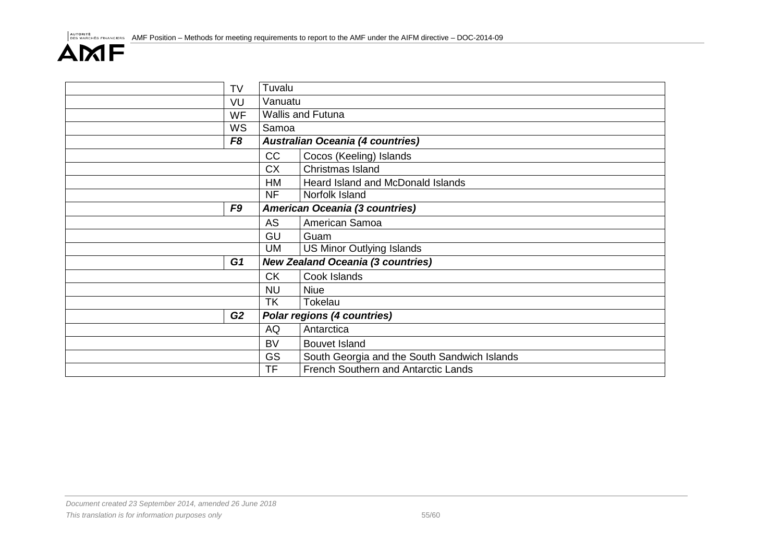| <b>TV</b>      | Tuvalu    |                                              |
|----------------|-----------|----------------------------------------------|
| VU             | Vanuatu   |                                              |
| WF             |           | Wallis and Futuna                            |
| WS             | Samoa     |                                              |
| F <sub>8</sub> |           | <b>Australian Oceania (4 countries)</b>      |
|                | CC        | Cocos (Keeling) Islands                      |
|                | <b>CX</b> | Christmas Island                             |
|                | HM        | Heard Island and McDonald Islands            |
|                | <b>NF</b> | Norfolk Island                               |
| F <sub>9</sub> |           | <b>American Oceania (3 countries)</b>        |
|                | AS        | American Samoa                               |
|                | GU        | Guam                                         |
|                | UM        | <b>US Minor Outlying Islands</b>             |
| G <sub>1</sub> |           | <b>New Zealand Oceania (3 countries)</b>     |
|                | <b>CK</b> | Cook Islands                                 |
|                | <b>NU</b> | <b>Niue</b>                                  |
|                | <b>TK</b> | Tokelau                                      |
| G2             |           | <b>Polar regions (4 countries)</b>           |
|                | AQ        | Antarctica                                   |
|                | <b>BV</b> | <b>Bouvet Island</b>                         |
|                | <b>GS</b> | South Georgia and the South Sandwich Islands |
|                | <b>TF</b> | French Southern and Antarctic Lands          |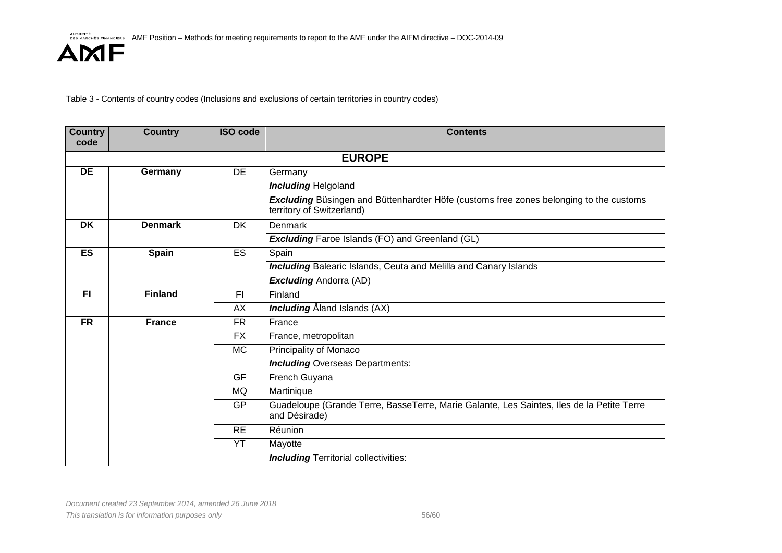Table 3 - Contents of country codes (Inclusions and exclusions of certain territories in country codes)

| <b>Country</b><br>code | <b>Country</b> | <b>ISO code</b> | <b>Contents</b>                                                                                                            |  |  |  |  |
|------------------------|----------------|-----------------|----------------------------------------------------------------------------------------------------------------------------|--|--|--|--|
|                        |                |                 |                                                                                                                            |  |  |  |  |
|                        | <b>EUROPE</b>  |                 |                                                                                                                            |  |  |  |  |
| <b>DE</b>              | Germany        | <b>DE</b>       | Germany                                                                                                                    |  |  |  |  |
|                        |                |                 | <b>Including Helgoland</b>                                                                                                 |  |  |  |  |
|                        |                |                 | <b>Excluding</b> Büsingen and Büttenhardter Höfe (customs free zones belonging to the customs<br>territory of Switzerland) |  |  |  |  |
| <b>DK</b>              | <b>Denmark</b> | <b>DK</b>       | Denmark                                                                                                                    |  |  |  |  |
|                        |                |                 | <b>Excluding</b> Faroe Islands (FO) and Greenland (GL)                                                                     |  |  |  |  |
| ES                     | <b>Spain</b>   | <b>ES</b>       | Spain                                                                                                                      |  |  |  |  |
|                        |                |                 | <b>Including</b> Balearic Islands, Ceuta and Melilla and Canary Islands                                                    |  |  |  |  |
|                        |                |                 | <b>Excluding Andorra (AD)</b>                                                                                              |  |  |  |  |
| F1                     | <b>Finland</b> | F1              | Finland                                                                                                                    |  |  |  |  |
|                        |                | AX              | <b>Including</b> Åland Islands (AX)                                                                                        |  |  |  |  |
| <b>FR</b>              | <b>France</b>  | <b>FR</b>       | France                                                                                                                     |  |  |  |  |
|                        |                | FX.             | France, metropolitan                                                                                                       |  |  |  |  |
|                        |                | <b>MC</b>       | Principality of Monaco                                                                                                     |  |  |  |  |
|                        |                |                 | <b>Including Overseas Departments:</b>                                                                                     |  |  |  |  |
|                        |                | <b>GF</b>       | French Guyana                                                                                                              |  |  |  |  |
|                        |                | <b>MQ</b>       | Martinique                                                                                                                 |  |  |  |  |
|                        |                | <b>GP</b>       | Guadeloupe (Grande Terre, BasseTerre, Marie Galante, Les Saintes, Iles de la Petite Terre<br>and Désirade)                 |  |  |  |  |
|                        |                | <b>RE</b>       | Réunion                                                                                                                    |  |  |  |  |
|                        |                | YT              | Mayotte                                                                                                                    |  |  |  |  |
|                        |                |                 | <b>Including Territorial collectivities:</b>                                                                               |  |  |  |  |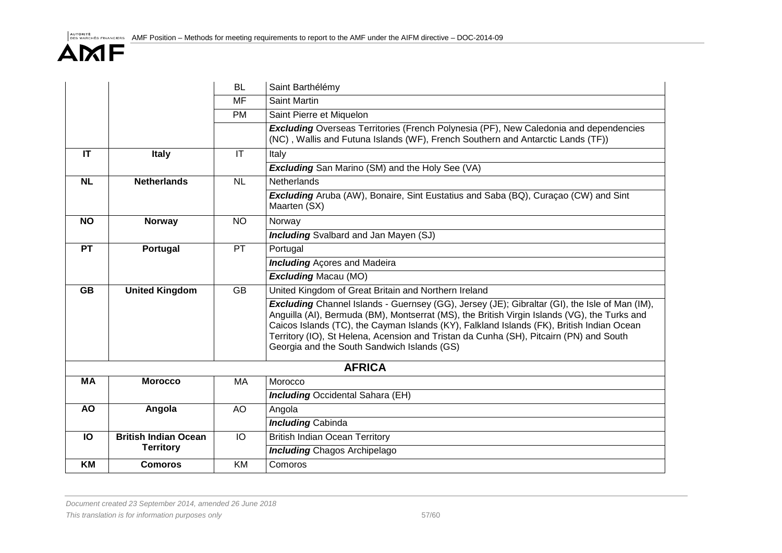|           |                             | <b>BL</b>              | Saint Barthélémy                                                                                                                                                                                                                                                                                                                                                                                                                           |
|-----------|-----------------------------|------------------------|--------------------------------------------------------------------------------------------------------------------------------------------------------------------------------------------------------------------------------------------------------------------------------------------------------------------------------------------------------------------------------------------------------------------------------------------|
|           |                             | MF                     | Saint Martin                                                                                                                                                                                                                                                                                                                                                                                                                               |
|           |                             | <b>PM</b>              | Saint Pierre et Miquelon                                                                                                                                                                                                                                                                                                                                                                                                                   |
|           |                             |                        | <b>Excluding</b> Overseas Territories (French Polynesia (PF), New Caledonia and dependencies<br>(NC), Wallis and Futuna Islands (WF), French Southern and Antarctic Lands (TF))                                                                                                                                                                                                                                                            |
| IT        | Italy                       | $\mathsf{I}\mathsf{T}$ | Italy                                                                                                                                                                                                                                                                                                                                                                                                                                      |
|           |                             |                        | <b>Excluding</b> San Marino (SM) and the Holy See (VA)                                                                                                                                                                                                                                                                                                                                                                                     |
| <b>NL</b> | <b>Netherlands</b>          | NL                     | <b>Netherlands</b>                                                                                                                                                                                                                                                                                                                                                                                                                         |
|           |                             |                        | <b>Excluding</b> Aruba (AW), Bonaire, Sint Eustatius and Saba (BQ), Curacao (CW) and Sint<br>Maarten (SX)                                                                                                                                                                                                                                                                                                                                  |
| <b>NO</b> | <b>Norway</b>               | <b>NO</b>              | Norway                                                                                                                                                                                                                                                                                                                                                                                                                                     |
|           |                             |                        | <b>Including</b> Svalbard and Jan Mayen (SJ)                                                                                                                                                                                                                                                                                                                                                                                               |
| <b>PT</b> | Portugal                    | PT                     | Portugal                                                                                                                                                                                                                                                                                                                                                                                                                                   |
|           |                             |                        | <b>Including</b> Acores and Madeira                                                                                                                                                                                                                                                                                                                                                                                                        |
|           |                             |                        | <b>Excluding Macau (MO)</b>                                                                                                                                                                                                                                                                                                                                                                                                                |
| <b>GB</b> | <b>United Kingdom</b>       | $\overline{GB}$        | United Kingdom of Great Britain and Northern Ireland                                                                                                                                                                                                                                                                                                                                                                                       |
|           |                             |                        | <b>Excluding</b> Channel Islands - Guernsey (GG), Jersey (JE); Gibraltar (GI), the Isle of Man (IM),<br>Anguilla (AI), Bermuda (BM), Montserrat (MS), the British Virgin Islands (VG), the Turks and<br>Caicos Islands (TC), the Cayman Islands (KY), Falkland Islands (FK), British Indian Ocean<br>Territory (IO), St Helena, Acension and Tristan da Cunha (SH), Pitcairn (PN) and South<br>Georgia and the South Sandwich Islands (GS) |
|           |                             |                        | <b>AFRICA</b>                                                                                                                                                                                                                                                                                                                                                                                                                              |
| MA        | <b>Morocco</b>              | MA                     | Morocco                                                                                                                                                                                                                                                                                                                                                                                                                                    |
|           |                             |                        | <b>Including Occidental Sahara (EH)</b>                                                                                                                                                                                                                                                                                                                                                                                                    |
| <b>AO</b> | Angola                      | AO                     | Angola                                                                                                                                                                                                                                                                                                                                                                                                                                     |
|           |                             |                        | <b>Including Cabinda</b>                                                                                                                                                                                                                                                                                                                                                                                                                   |
| IO        | <b>British Indian Ocean</b> | $\overline{10}$        | <b>British Indian Ocean Territory</b>                                                                                                                                                                                                                                                                                                                                                                                                      |
|           | <b>Territory</b>            |                        | <b>Including Chagos Archipelago</b>                                                                                                                                                                                                                                                                                                                                                                                                        |
| KM        | <b>Comoros</b>              | <b>KM</b>              | Comoros                                                                                                                                                                                                                                                                                                                                                                                                                                    |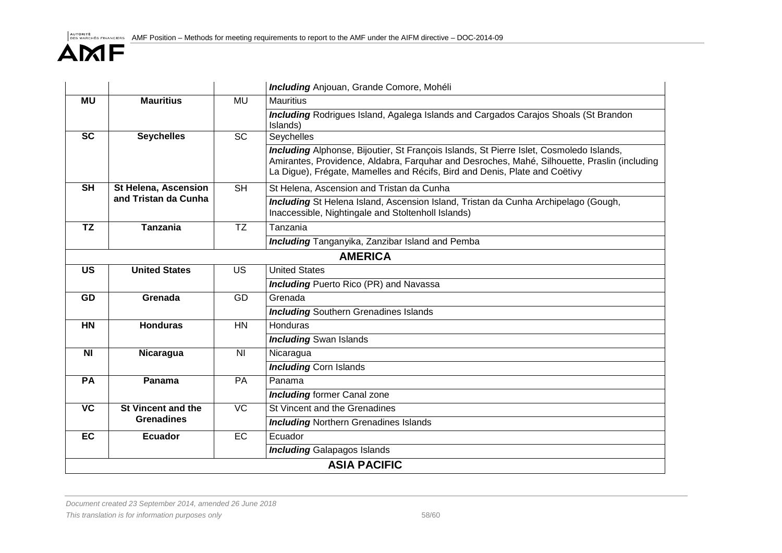|                 |                             |                 | <b>Including</b> Anjouan, Grande Comore, Mohéli                                                                                                                                                                                                                       |  |  |
|-----------------|-----------------------------|-----------------|-----------------------------------------------------------------------------------------------------------------------------------------------------------------------------------------------------------------------------------------------------------------------|--|--|
| <b>MU</b>       | <b>Mauritius</b>            | MU              | <b>Mauritius</b>                                                                                                                                                                                                                                                      |  |  |
|                 |                             |                 | <b>Including Rodrigues Island, Agalega Islands and Cargados Carajos Shoals (St Brandon</b><br>Islands)                                                                                                                                                                |  |  |
| $\overline{SC}$ | <b>Seychelles</b>           | $\overline{SC}$ | Seychelles                                                                                                                                                                                                                                                            |  |  |
|                 |                             |                 | Including Alphonse, Bijoutier, St François Islands, St Pierre Islet, Cosmoledo Islands,<br>Amirantes, Providence, Aldabra, Farguhar and Desroches, Mahé, Silhouette, Praslin (including<br>La Digue), Frégate, Mamelles and Récifs, Bird and Denis, Plate and Coëtivy |  |  |
| <b>SH</b>       | <b>St Helena, Ascension</b> | <b>SH</b>       | St Helena, Ascension and Tristan da Cunha                                                                                                                                                                                                                             |  |  |
|                 | and Tristan da Cunha        |                 | Including St Helena Island, Ascension Island, Tristan da Cunha Archipelago (Gough,<br>Inaccessible, Nightingale and Stoltenholl Islands)                                                                                                                              |  |  |
| <b>TZ</b>       | <b>Tanzania</b>             | <b>TZ</b>       | Tanzania                                                                                                                                                                                                                                                              |  |  |
|                 |                             |                 | <b>Including</b> Tanganyika, Zanzibar Island and Pemba                                                                                                                                                                                                                |  |  |
|                 | <b>AMERICA</b>              |                 |                                                                                                                                                                                                                                                                       |  |  |
| <b>US</b>       | <b>United States</b>        | <b>US</b>       | <b>United States</b>                                                                                                                                                                                                                                                  |  |  |
|                 |                             |                 | <b>Including</b> Puerto Rico (PR) and Navassa                                                                                                                                                                                                                         |  |  |
| <b>GD</b>       | Grenada                     | GD              | Grenada                                                                                                                                                                                                                                                               |  |  |
|                 |                             |                 | <b>Including Southern Grenadines Islands</b>                                                                                                                                                                                                                          |  |  |
| <b>HN</b>       | <b>Honduras</b>             | <b>HN</b>       | Honduras                                                                                                                                                                                                                                                              |  |  |
|                 |                             |                 | <b>Including</b> Swan Islands                                                                                                                                                                                                                                         |  |  |
| <b>NI</b>       | Nicaragua                   | N <sub>l</sub>  | Nicaragua                                                                                                                                                                                                                                                             |  |  |
|                 |                             |                 | <b>Including Corn Islands</b>                                                                                                                                                                                                                                         |  |  |
| PA              | Panama                      | PA              | Panama                                                                                                                                                                                                                                                                |  |  |
|                 |                             |                 | <b>Including former Canal zone</b>                                                                                                                                                                                                                                    |  |  |
| <b>VC</b>       | <b>St Vincent and the</b>   | <b>VC</b>       | St Vincent and the Grenadines                                                                                                                                                                                                                                         |  |  |
|                 | <b>Grenadines</b>           |                 | <b>Including Northern Grenadines Islands</b>                                                                                                                                                                                                                          |  |  |
| E               | <b>Ecuador</b>              | $E$ C           | Ecuador                                                                                                                                                                                                                                                               |  |  |
|                 |                             |                 | <b>Including Galapagos Islands</b>                                                                                                                                                                                                                                    |  |  |
|                 | <b>ASIA PACIFIC</b>         |                 |                                                                                                                                                                                                                                                                       |  |  |

*Document created 23 September 2014, amended 26 June 2018* This translation is for information purposes only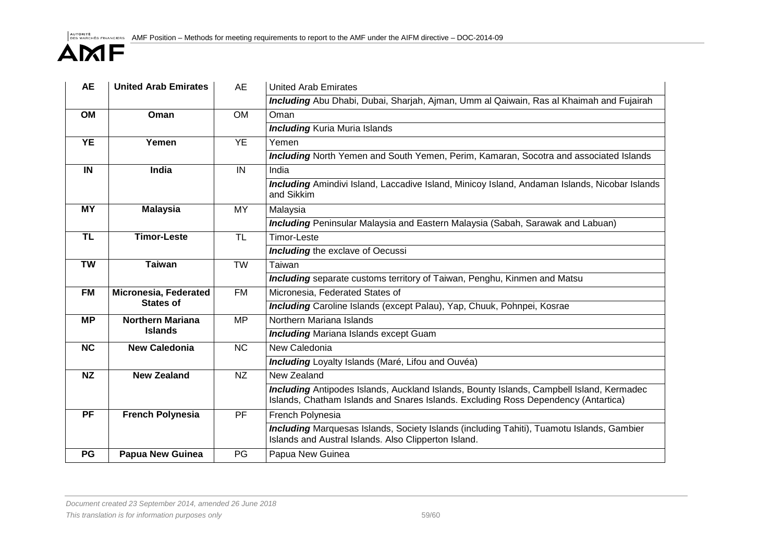| <b>AE</b>               | <b>United Arab Emirates</b>  | AE                  | <b>United Arab Emirates</b>                                                                                                                                                           |
|-------------------------|------------------------------|---------------------|---------------------------------------------------------------------------------------------------------------------------------------------------------------------------------------|
|                         |                              |                     | Including Abu Dhabi, Dubai, Sharjah, Ajman, Umm al Qaiwain, Ras al Khaimah and Fujairah                                                                                               |
| <b>OM</b>               | Oman                         | <b>OM</b>           | Oman                                                                                                                                                                                  |
|                         |                              |                     | <b>Including Kuria Muria Islands</b>                                                                                                                                                  |
| <b>YE</b>               | Yemen                        | <b>YE</b>           | Yemen                                                                                                                                                                                 |
|                         |                              |                     | <b>Including</b> North Yemen and South Yemen, Perim, Kamaran, Socotra and associated Islands                                                                                          |
| IN                      | India                        | IN                  | India                                                                                                                                                                                 |
|                         |                              |                     | Including Amindivi Island, Laccadive Island, Minicoy Island, Andaman Islands, Nicobar Islands<br>and Sikkim                                                                           |
| <b>MY</b>               | <b>Malaysia</b>              | MY                  | Malaysia                                                                                                                                                                              |
|                         |                              |                     | <b>Including</b> Peninsular Malaysia and Eastern Malaysia (Sabah, Sarawak and Labuan)                                                                                                 |
| $\overline{\mathsf{T}}$ | <b>Timor-Leste</b>           | $\overline{\sf TL}$ | <b>Timor-Leste</b>                                                                                                                                                                    |
|                         |                              |                     | <b>Including</b> the exclave of Oecussi                                                                                                                                               |
| <b>TW</b>               | <b>Taiwan</b>                | <b>TW</b>           | Taiwan                                                                                                                                                                                |
|                         |                              |                     | <b>Including</b> separate customs territory of Taiwan, Penghu, Kinmen and Matsu                                                                                                       |
| <b>FM</b>               | <b>Micronesia, Federated</b> | <b>FM</b>           | Micronesia, Federated States of                                                                                                                                                       |
|                         | <b>States of</b>             |                     | Including Caroline Islands (except Palau), Yap, Chuuk, Pohnpei, Kosrae                                                                                                                |
| <b>MP</b>               | <b>Northern Mariana</b>      | <b>MP</b>           | Northern Mariana Islands                                                                                                                                                              |
|                         | <b>Islands</b>               |                     | <b>Including Mariana Islands except Guam</b>                                                                                                                                          |
| NC                      | <b>New Caledonia</b>         | <b>NC</b>           | New Caledonia                                                                                                                                                                         |
|                         |                              |                     | <b>Including</b> Loyalty Islands (Maré, Lifou and Ouvéa)                                                                                                                              |
| <b>NZ</b>               | <b>New Zealand</b>           | <b>NZ</b>           | New Zealand                                                                                                                                                                           |
|                         |                              |                     | <b>Including</b> Antipodes Islands, Auckland Islands, Bounty Islands, Campbell Island, Kermadec<br>Islands, Chatham Islands and Snares Islands. Excluding Ross Dependency (Antartica) |
| <b>PF</b>               | <b>French Polynesia</b>      | <b>PF</b>           | French Polynesia                                                                                                                                                                      |
|                         |                              |                     | <b>Including</b> Marquesas Islands, Society Islands (including Tahiti), Tuamotu Islands, Gambier<br>Islands and Austral Islands. Also Clipperton Island.                              |
| PG                      | <b>Papua New Guinea</b>      | PG                  | Papua New Guinea                                                                                                                                                                      |